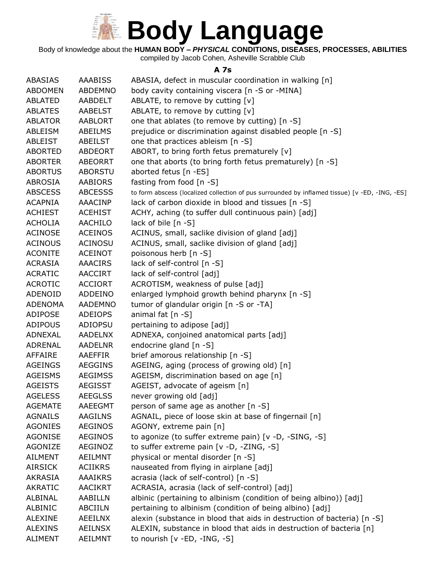

Body of knowledge about the **HUMAN BODY –** *PHYSICAL* **CONDITIONS, DISEASES, PROCESSES, ABILITIES**

compiled by Jacob Cohen, Asheville Scrabble Club

#### **A 7s**

| ABASIAS        | <b>AAABISS</b> | ABASIA, defect in muscular coordination in walking [n]                                         |
|----------------|----------------|------------------------------------------------------------------------------------------------|
| <b>ABDOMEN</b> | ABDEMNO        | body cavity containing viscera [n -S or -MINA]                                                 |
| <b>ABLATED</b> | AABDELT        | ABLATE, to remove by cutting [v]                                                               |
| <b>ABLATES</b> | AABELST        | ABLATE, to remove by cutting [v]                                                               |
| <b>ABLATOR</b> | <b>AABLORT</b> | one that ablates (to remove by cutting) [n -S]                                                 |
| ABLEISM        | ABEILMS        | prejudice or discrimination against disabled people [n -S]                                     |
| <b>ABLEIST</b> | <b>ABEILST</b> | one that practices ableism [n -S]                                                              |
| <b>ABORTED</b> | ABDEORT        | ABORT, to bring forth fetus prematurely [v]                                                    |
| <b>ABORTER</b> | <b>ABEORRT</b> | one that aborts (to bring forth fetus prematurely) [n -S]                                      |
| <b>ABORTUS</b> | <b>ABORSTU</b> | aborted fetus [n -ES]                                                                          |
| <b>ABROSIA</b> | AABIORS        | fasting from food [n -S]                                                                       |
| <b>ABSCESS</b> | <b>ABCESSS</b> | to form abscess (localized collection of pus surrounded by inflamed tissue) [v -ED, -ING, -ES] |
| <b>ACAPNIA</b> | AAACINP        | lack of carbon dioxide in blood and tissues [n -S]                                             |
| <b>ACHIEST</b> | <b>ACEHIST</b> | ACHY, aching (to suffer dull continuous pain) [adj]                                            |
| <b>ACHOLIA</b> | <b>AACHILO</b> | lack of bile [n -S]                                                                            |
| <b>ACINOSE</b> | <b>ACEINOS</b> | ACINUS, small, saclike division of gland [adj]                                                 |
| <b>ACINOUS</b> | <b>ACINOSU</b> | ACINUS, small, saclike division of gland [adj]                                                 |
| <b>ACONITE</b> | <b>ACEINOT</b> | poisonous herb [n -S]                                                                          |
| <b>ACRASIA</b> | <b>AAACIRS</b> | lack of self-control [n -S]                                                                    |
| <b>ACRATIC</b> | AACCIRT        | lack of self-control [adj]                                                                     |
| <b>ACROTIC</b> | <b>ACCIORT</b> | ACROTISM, weakness of pulse [adj]                                                              |
| ADENOID        | ADDEINO        | enlarged lymphoid growth behind pharynx [n -S]                                                 |
| <b>ADENOMA</b> | <b>AADEMNO</b> | tumor of glandular origin [n -S or -TA]                                                        |
| <b>ADIPOSE</b> | <b>ADEIOPS</b> | animal fat $[n -S]$                                                                            |
| <b>ADIPOUS</b> | ADIOPSU        | pertaining to adipose [adj]                                                                    |
| ADNEXAL        | <b>AADELNX</b> | ADNEXA, conjoined anatomical parts [adj]                                                       |
| ADRENAL        | <b>AADELNR</b> | endocrine gland [n -S]                                                                         |
| <b>AFFAIRE</b> | AAEFFIR        | brief amorous relationship [n -S]                                                              |
| <b>AGEINGS</b> | <b>AEGGINS</b> | AGEING, aging (process of growing old) [n]                                                     |
| <b>AGEISMS</b> | <b>AEGIMSS</b> | AGEISM, discrimination based on age [n]                                                        |
| <b>AGEISTS</b> | <b>AEGISST</b> | AGEIST, advocate of ageism [n]                                                                 |
| <b>AGELESS</b> | <b>AEEGLSS</b> | never growing old [adj]                                                                        |
| <b>AGEMATE</b> | <b>AAEEGMT</b> | person of same age as another [n -S]                                                           |
| <b>AGNAILS</b> | <b>AAGILNS</b> | AGNAIL, piece of loose skin at base of fingernail [n]                                          |
| <b>AGONIES</b> | <b>AEGINOS</b> | AGONY, extreme pain [n]                                                                        |
| <b>AGONISE</b> | <b>AEGINOS</b> | to agonize (to suffer extreme pain) [v -D, -SING, -S]                                          |
| <b>AGONIZE</b> | AEGINOZ        | to suffer extreme pain [v -D, -ZING, -S]                                                       |
| <b>AILMENT</b> | <b>AEILMNT</b> | physical or mental disorder [n -S]                                                             |
| <b>AIRSICK</b> | <b>ACIIKRS</b> | nauseated from flying in airplane [adj]                                                        |
| <b>AKRASIA</b> | AAAIKRS        | acrasia (lack of self-control) [n -S]                                                          |
| <b>AKRATIC</b> | <b>AACIKRT</b> | ACRASIA, acrasia (lack of self-control) [adj]                                                  |
| ALBINAL        | AABILLN        | albinic (pertaining to albinism (condition of being albino)) [adj]                             |
| ALBINIC        | ABCIILN        | pertaining to albinism (condition of being albino) [adj]                                       |
| <b>ALEXINE</b> | <b>AEEILNX</b> | alexin (substance in blood that aids in destruction of bacteria) [n -S]                        |
| <b>ALEXINS</b> | <b>AEILNSX</b> | ALEXIN, substance in blood that aids in destruction of bacteria [n]                            |
| <b>ALIMENT</b> | AEILMNT        | to nourish [v -ED, -ING, -S]                                                                   |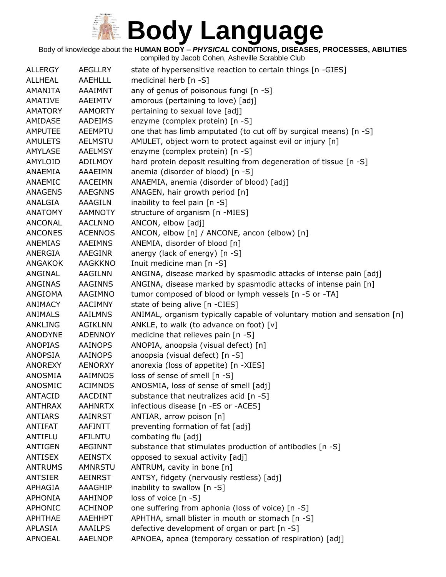Body of knowledge about the **HUMAN BODY –** *PHYSICAL* **CONDITIONS, DISEASES, PROCESSES, ABILITIES**

| <b>ALLERGY</b> | <b>AEGLLRY</b> | state of hypersensitive reaction to certain things [n -GIES]             |
|----------------|----------------|--------------------------------------------------------------------------|
| <b>ALLHEAL</b> | <b>AAEHLLL</b> | medicinal herb [n -S]                                                    |
| AMANITA        | AAAIMNT        | any of genus of poisonous fungi [n -S]                                   |
| <b>AMATIVE</b> | AAEIMTV        | amorous (pertaining to love) [adj]                                       |
| <b>AMATORY</b> | <b>AAMORTY</b> | pertaining to sexual love [adj]                                          |
| AMIDASE        | <b>AADEIMS</b> | enzyme (complex protein) [n -S]                                          |
| <b>AMPUTEE</b> | <b>AEEMPTU</b> | one that has limb amputated (to cut off by surgical means) [n -S]        |
| <b>AMULETS</b> | <b>AELMSTU</b> | AMULET, object worn to protect against evil or injury [n]                |
| <b>AMYLASE</b> | <b>AAELMSY</b> | enzyme (complex protein) [n -S]                                          |
| AMYLOID        | <b>ADILMOY</b> | hard protein deposit resulting from degeneration of tissue [n -S]        |
| ANAEMIA        | AAAEIMN        | anemia (disorder of blood) [n -S]                                        |
| ANAEMIC        | <b>AACEIMN</b> | ANAEMIA, anemia (disorder of blood) [adj]                                |
| <b>ANAGENS</b> | <b>AAEGNNS</b> | ANAGEN, hair growth period [n]                                           |
| ANALGIA        | AAAGILN        | inability to feel pain [n -S]                                            |
| <b>ANATOMY</b> | <b>AAMNOTY</b> | structure of organism [n -MIES]                                          |
| <b>ANCONAL</b> | <b>AACLNNO</b> | ANCON, elbow [adj]                                                       |
| <b>ANCONES</b> | <b>ACENNOS</b> | ANCON, elbow [n] / ANCONE, ancon (elbow) [n]                             |
| <b>ANEMIAS</b> | AAEIMNS        | ANEMIA, disorder of blood [n]                                            |
| ANERGIA        | AAEGINR        | anergy (lack of energy) [n -S]                                           |
| ANGAKOK        | AAGKKNO        | Inuit medicine man [n -S]                                                |
| ANGINAL        | AAGILNN        | ANGINA, disease marked by spasmodic attacks of intense pain [adj]        |
| <b>ANGINAS</b> | <b>AAGINNS</b> | ANGINA, disease marked by spasmodic attacks of intense pain [n]          |
| ANGIOMA        | AAGIMNO        | tumor composed of blood or lymph vessels [n -S or -TA]                   |
| ANIMACY        | <b>AACIMNY</b> | state of being alive [n -CIES]                                           |
| <b>ANIMALS</b> | <b>AAILMNS</b> | ANIMAL, organism typically capable of voluntary motion and sensation [n] |
| <b>ANKLING</b> | <b>AGIKLNN</b> | ANKLE, to walk (to advance on foot) [v]                                  |
| <b>ANODYNE</b> | <b>ADENNOY</b> | medicine that relieves pain [n -S]                                       |
| <b>ANOPIAS</b> | <b>AAINOPS</b> | ANOPIA, anoopsia (visual defect) [n]                                     |
| <b>ANOPSIA</b> | <b>AAINOPS</b> | anoopsia (visual defect) [n -S]                                          |
| ANOREXY        | <b>AENORXY</b> | anorexia (loss of appetite) [n -XIES]                                    |
| ANOSMIA        | AAIMNOS        | loss of sense of smell [n -S]                                            |
| ANOSMIC        | <b>ACIMNOS</b> | ANOSMIA, loss of sense of smell [adj]                                    |
| <b>ANTACID</b> | <b>AACDINT</b> | substance that neutralizes acid [n -S]                                   |
| <b>ANTHRAX</b> | <b>AAHNRTX</b> | infectious disease [n -ES or -ACES]                                      |
| <b>ANTIARS</b> | <b>AAINRST</b> | ANTIAR, arrow poison [n]                                                 |
| ANTIFAT        | AAFINTT        | preventing formation of fat [adj]                                        |
| ANTIFLU        | <b>AFILNTU</b> | combating flu [adj]                                                      |
| <b>ANTIGEN</b> | <b>AEGINNT</b> | substance that stimulates production of antibodies [n -S]                |
| <b>ANTISEX</b> | <b>AEINSTX</b> | opposed to sexual activity [adj]                                         |
| <b>ANTRUMS</b> | <b>AMNRSTU</b> | ANTRUM, cavity in bone [n]                                               |
| <b>ANTSIER</b> | <b>AEINRST</b> | ANTSY, fidgety (nervously restless) [adj]                                |
| APHAGIA        | AAAGHIP        | inability to swallow [n -S]                                              |
| <b>APHONIA</b> | <b>AAHINOP</b> | loss of voice [n -S]                                                     |
| <b>APHONIC</b> | <b>ACHINOP</b> | one suffering from aphonia (loss of voice) [n -S]                        |
| <b>APHTHAE</b> | AAEHHPT        | APHTHA, small blister in mouth or stomach [n -S]                         |
| APLASIA        | <b>AAAILPS</b> | defective development of organ or part [n -S]                            |
| <b>APNOEAL</b> | <b>AAELNOP</b> | APNOEA, apnea (temporary cessation of respiration) [adj]                 |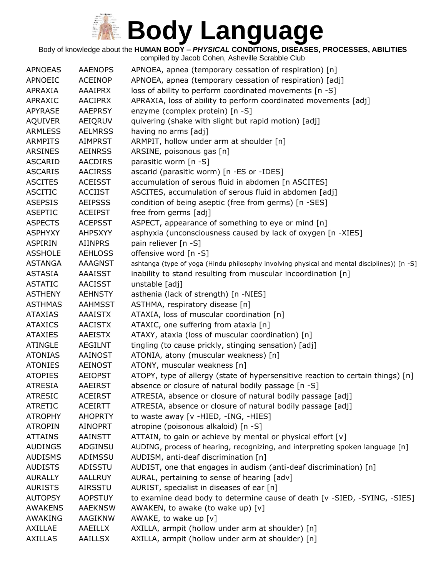Body of knowledge about the **HUMAN BODY –** *PHYSICAL* **CONDITIONS, DISEASES, PROCESSES, ABILITIES**

| <b>APNOEAS</b> | <b>AAENOPS</b> | APNOEA, apnea (temporary cessation of respiration) [n]                                      |
|----------------|----------------|---------------------------------------------------------------------------------------------|
| <b>APNOEIC</b> | <b>ACEINOP</b> | APNOEA, apnea (temporary cessation of respiration) [adj]                                    |
| APRAXIA        | <b>AAAIPRX</b> | loss of ability to perform coordinated movements [n -S]                                     |
| APRAXIC        | <b>AACIPRX</b> | APRAXIA, loss of ability to perform coordinated movements [adj]                             |
| <b>APYRASE</b> | <b>AAEPRSY</b> | enzyme (complex protein) [n -S]                                                             |
| <b>AQUIVER</b> | AEIQRUV        | quivering (shake with slight but rapid motion) [adj]                                        |
| <b>ARMLESS</b> | <b>AELMRSS</b> | having no arms [adj]                                                                        |
| <b>ARMPITS</b> | <b>AIMPRST</b> | ARMPIT, hollow under arm at shoulder [n]                                                    |
| <b>ARSINES</b> | <b>AEINRSS</b> | ARSINE, poisonous gas [n]                                                                   |
| <b>ASCARID</b> | <b>AACDIRS</b> | parasitic worm [n -S]                                                                       |
| <b>ASCARIS</b> | <b>AACIRSS</b> | ascarid (parasitic worm) [n -ES or -IDES]                                                   |
| <b>ASCITES</b> | <b>ACEISST</b> | accumulation of serous fluid in abdomen [n ASCITES]                                         |
| <b>ASCITIC</b> | <b>ACCIIST</b> | ASCITES, accumulation of serous fluid in abdomen [adj]                                      |
| <b>ASEPSIS</b> | <b>AEIPSSS</b> | condition of being aseptic (free from germs) [n -SES]                                       |
| <b>ASEPTIC</b> | <b>ACEIPST</b> | free from germs [adj]                                                                       |
| <b>ASPECTS</b> | <b>ACEPSST</b> | ASPECT, appearance of something to eye or mind [n]                                          |
| <b>ASPHYXY</b> | <b>AHPSXYY</b> | asphyxia (unconsciousness caused by lack of oxygen [n -XIES]                                |
| <b>ASPIRIN</b> | <b>AIINPRS</b> | pain reliever [n -S]                                                                        |
| <b>ASSHOLE</b> | <b>AEHLOSS</b> | offensive word [n -S]                                                                       |
| <b>ASTANGA</b> | <b>AAAGNST</b> | ashtanga (type of yoga (Hindu philosophy involving physical and mental disciplines)) [n -S] |
| <b>ASTASIA</b> | <b>AAAISST</b> | inability to stand resulting from muscular incoordination [n]                               |
| <b>ASTATIC</b> | <b>AACISST</b> | unstable [adj]                                                                              |
| <b>ASTHENY</b> | <b>AEHNSTY</b> | asthenia (lack of strength) [n -NIES]                                                       |
| <b>ASTHMAS</b> | <b>AAHMSST</b> | ASTHMA, respiratory disease [n]                                                             |
| <b>ATAXIAS</b> | AAAISTX        | ATAXIA, loss of muscular coordination [n]                                                   |
| <b>ATAXICS</b> | <b>AACISTX</b> | ATAXIC, one suffering from ataxia [n]                                                       |
| <b>ATAXIES</b> | <b>AAEISTX</b> | ATAXY, ataxia (loss of muscular coordination) [n]                                           |
| <b>ATINGLE</b> | <b>AEGILNT</b> | tingling (to cause prickly, stinging sensation) [adj]                                       |
| <b>ATONIAS</b> | AAINOST        | ATONIA, atony (muscular weakness) [n]                                                       |
| <b>ATONIES</b> | <b>AEINOST</b> | ATONY, muscular weakness [n]                                                                |
| <b>ATOPIES</b> | <b>AEIOPST</b> | ATOPY, type of allergy (state of hypersensitive reaction to certain things) [n]             |
| <b>ATRESIA</b> | <b>AAEIRST</b> | absence or closure of natural bodily passage [n -S]                                         |
| <b>ATRESIC</b> | <b>ACEIRST</b> | ATRESIA, absence or closure of natural bodily passage [adj]                                 |
| <b>ATRETIC</b> | <b>ACEIRTT</b> | ATRESIA, absence or closure of natural bodily passage [adj]                                 |
| <b>ATROPHY</b> | <b>AHOPRTY</b> | to waste away [v -HIED, -ING, -HIES]                                                        |
| <b>ATROPIN</b> | <b>AINOPRT</b> | atropine (poisonous alkaloid) [n -S]                                                        |
| <b>ATTAINS</b> | <b>AAINSTT</b> | ATTAIN, to gain or achieve by mental or physical effort [v]                                 |
| <b>AUDINGS</b> | ADGINSU        | AUDING, process of hearing, recognizing, and interpreting spoken language [n]               |
| <b>AUDISMS</b> | ADIMSSU        | AUDISM, anti-deaf discrimination [n]                                                        |
| <b>AUDISTS</b> | ADISSTU        | AUDIST, one that engages in audism (anti-deaf discrimination) [n]                           |
| <b>AURALLY</b> | <b>AALLRUY</b> | AURAL, pertaining to sense of hearing [adv]                                                 |
| <b>AURISTS</b> | <b>AIRSSTU</b> | AURIST, specialist in diseases of ear [n]                                                   |
| <b>AUTOPSY</b> | <b>AOPSTUY</b> | to examine dead body to determine cause of death [v -SIED, -SYING, -SIES]                   |
| <b>AWAKENS</b> | <b>AAEKNSW</b> | AWAKEN, to awake (to wake up) [v]                                                           |
| AWAKING        | <b>AAGIKNW</b> | AWAKE, to wake up [v]                                                                       |
| AXILLAE        | AAEILLX        | AXILLA, armpit (hollow under arm at shoulder) [n]                                           |
| <b>AXILLAS</b> | AAILLSX        | AXILLA, armpit (hollow under arm at shoulder) [n]                                           |
|                |                |                                                                                             |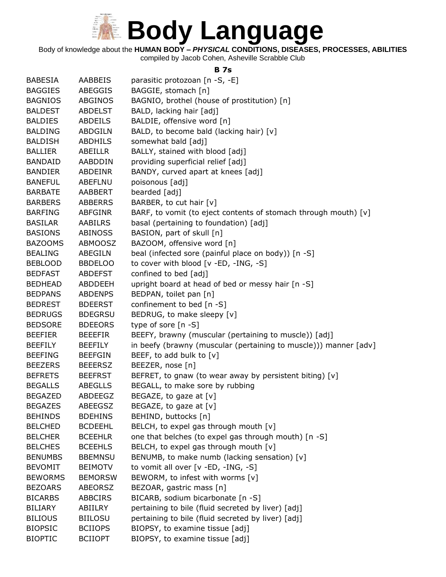

Body of knowledge about the **HUMAN BODY –** *PHYSICAL* **CONDITIONS, DISEASES, PROCESSES, ABILITIES**

compiled by Jacob Cohen, Asheville Scrabble Club

#### **B 7s**

| <b>BABESIA</b> | AABBEIS        | parasitic protozoan [n -S, -E]                                   |
|----------------|----------------|------------------------------------------------------------------|
| <b>BAGGIES</b> | ABEGGIS        | BAGGIE, stomach [n]                                              |
| <b>BAGNIOS</b> | <b>ABGINOS</b> | BAGNIO, brothel (house of prostitution) [n]                      |
| <b>BALDEST</b> | <b>ABDELST</b> | BALD, lacking hair [adj]                                         |
| <b>BALDIES</b> | ABDEILS        | BALDIE, offensive word [n]                                       |
| <b>BALDING</b> | ABDGILN        | BALD, to become bald (lacking hair) [v]                          |
| <b>BALDISH</b> | <b>ABDHILS</b> | somewhat bald [adj]                                              |
| <b>BALLIER</b> | ABEILLR        | BALLY, stained with blood [adj]                                  |
| <b>BANDAID</b> | AABDDIN        | providing superficial relief [adj]                               |
| <b>BANDIER</b> | <b>ABDEINR</b> | BANDY, curved apart at knees [adj]                               |
| <b>BANEFUL</b> | ABEFLNU        | poisonous [adj]                                                  |
| <b>BARBATE</b> | AABBERT        | bearded [adj]                                                    |
| <b>BARBERS</b> | <b>ABBERRS</b> | BARBER, to cut hair [v]                                          |
| <b>BARFING</b> | ABFGINR        | BARF, to vomit (to eject contents of stomach through mouth) [v]  |
| <b>BASILAR</b> | <b>AABILRS</b> | basal (pertaining to foundation) [adj]                           |
| <b>BASIONS</b> | <b>ABINOSS</b> | BASION, part of skull [n]                                        |
| <b>BAZOOMS</b> | ABMOOSZ        | BAZOOM, offensive word [n]                                       |
| <b>BEALING</b> | ABEGILN        | beal (infected sore (painful place on body)) [n -S]              |
| BEBLOOD        | <b>BBDELOO</b> | to cover with blood [v -ED, -ING, -S]                            |
| <b>BEDFAST</b> | ABDEFST        | confined to bed [adj]                                            |
| <b>BEDHEAD</b> | ABDDEEH        | upright board at head of bed or messy hair [n -S]                |
| <b>BEDPANS</b> | <b>ABDENPS</b> | BEDPAN, toilet pan [n]                                           |
| <b>BEDREST</b> | <b>BDEERST</b> | confinement to bed [n -S]                                        |
| <b>BEDRUGS</b> | <b>BDEGRSU</b> | BEDRUG, to make sleepy [v]                                       |
| <b>BEDSORE</b> | <b>BDEEORS</b> | type of sore [n -S]                                              |
| <b>BEEFIER</b> | <b>BEEEFIR</b> | BEEFY, brawny (muscular (pertaining to muscle)) [adj]            |
| <b>BEEFILY</b> | <b>BEEFILY</b> | in beefy (brawny (muscular (pertaining to muscle))) manner [adv] |
| <b>BEEFING</b> | <b>BEEFGIN</b> | BEEF, to add bulk to [v]                                         |
| <b>BEEZERS</b> | <b>BEEERSZ</b> | BEEZER, nose [n]                                                 |
| <b>BEFRETS</b> | <b>BEEFRST</b> | BEFRET, to gnaw (to wear away by persistent biting) [v]          |
| <b>BEGALLS</b> | ABEGLLS        | BEGALL, to make sore by rubbing                                  |
| <b>BEGAZED</b> | ABDEEGZ        | BEGAZE, to gaze at [v]                                           |
| <b>BEGAZES</b> | <b>ABEEGSZ</b> | BEGAZE, to gaze at $[v]$                                         |
| <b>BEHINDS</b> | <b>BDEHINS</b> | BEHIND, buttocks [n]                                             |
| <b>BELCHED</b> | <b>BCDEEHL</b> | BELCH, to expel gas through mouth [v]                            |
| <b>BELCHER</b> | <b>BCEEHLR</b> | one that belches (to expel gas through mouth) [n -S]             |
| <b>BELCHES</b> | <b>BCEEHLS</b> | BELCH, to expel gas through mouth [v]                            |
| <b>BENUMBS</b> | <b>BBEMNSU</b> | BENUMB, to make numb (lacking sensation) [v]                     |
| <b>BEVOMIT</b> | <b>BEIMOTV</b> | to vomit all over [v -ED, -ING, -S]                              |
| <b>BEWORMS</b> | <b>BEMORSW</b> | BEWORM, to infest with worms [v]                                 |
| <b>BEZOARS</b> | <b>ABEORSZ</b> | BEZOAR, gastric mass [n]                                         |
| <b>BICARBS</b> | ABBCIRS        | BICARB, sodium bicarbonate [n -S]                                |
| <b>BILIARY</b> | ABIILRY        | pertaining to bile (fluid secreted by liver) [adj]               |
| <b>BILIOUS</b> | <b>BIILOSU</b> | pertaining to bile (fluid secreted by liver) [adj]               |
| <b>BIOPSIC</b> | <b>BCIIOPS</b> | BIOPSY, to examine tissue [adj]                                  |
| <b>BIOPTIC</b> | <b>BCIIOPT</b> | BIOPSY, to examine tissue [adj]                                  |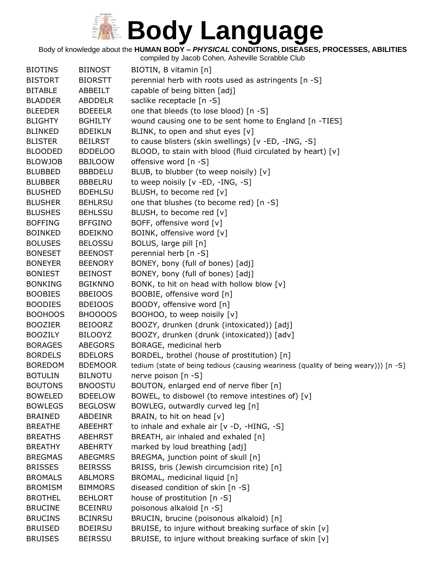Body of knowledge about the **HUMAN BODY –** *PHYSICAL* **CONDITIONS, DISEASES, PROCESSES, ABILITIES**

| <b>BIOTINS</b> | <b>BIINOST</b> | BIOTIN, B vitamin [n]                                                               |
|----------------|----------------|-------------------------------------------------------------------------------------|
| <b>BISTORT</b> | <b>BIORSTT</b> | perennial herb with roots used as astringents [n -S]                                |
| <b>BITABLE</b> | ABBEILT        | capable of being bitten [adj]                                                       |
| <b>BLADDER</b> | <b>ABDDELR</b> | saclike receptacle [n -S]                                                           |
| <b>BLEEDER</b> | <b>BDEEELR</b> | one that bleeds (to lose blood) [n -S]                                              |
| <b>BLIGHTY</b> | <b>BGHILTY</b> | wound causing one to be sent home to England [n -TIES]                              |
| <b>BLINKED</b> | <b>BDEIKLN</b> | BLINK, to open and shut eyes [v]                                                    |
| <b>BLISTER</b> | <b>BEILRST</b> | to cause blisters (skin swellings) [v -ED, -ING, -S]                                |
| <b>BLOODED</b> | <b>BDDELOO</b> | BLOOD, to stain with blood (fluid circulated by heart) [v]                          |
| <b>BLOWJOB</b> | <b>BBJLOOW</b> | offensive word [n -S]                                                               |
| <b>BLUBBED</b> | <b>BBBDELU</b> | BLUB, to blubber (to weep noisily) [v]                                              |
| <b>BLUBBER</b> | <b>BBBELRU</b> | to weep noisily [v -ED, -ING, -S]                                                   |
| <b>BLUSHED</b> | <b>BDEHLSU</b> | BLUSH, to become red [v]                                                            |
| <b>BLUSHER</b> | <b>BEHLRSU</b> | one that blushes (to become red) [n -S]                                             |
| <b>BLUSHES</b> | <b>BEHLSSU</b> | BLUSH, to become red [v]                                                            |
| <b>BOFFING</b> | <b>BFFGINO</b> | BOFF, offensive word [v]                                                            |
| <b>BOINKED</b> | <b>BDEIKNO</b> | BOINK, offensive word [v]                                                           |
| <b>BOLUSES</b> | <b>BELOSSU</b> | BOLUS, large pill [n]                                                               |
| <b>BONESET</b> | <b>BEENOST</b> | perennial herb [n -S]                                                               |
| <b>BONEYER</b> | <b>BEENORY</b> | BONEY, bony (full of bones) [adj]                                                   |
| <b>BONIEST</b> | <b>BEINOST</b> | BONEY, bony (full of bones) [adj]                                                   |
| <b>BONKING</b> | <b>BGIKNNO</b> | BONK, to hit on head with hollow blow [v]                                           |
| <b>BOOBIES</b> | <b>BBEIOOS</b> | BOOBIE, offensive word [n]                                                          |
| <b>BOODIES</b> | <b>BDEIOOS</b> | BOODY, offensive word [n]                                                           |
| <b>BOOHOOS</b> | BHOOOOS        | BOOHOO, to weep noisily [v]                                                         |
| <b>BOOZIER</b> | <b>BEIOORZ</b> | BOOZY, drunken (drunk (intoxicated)) [adj]                                          |
| <b>BOOZILY</b> | <b>BILOOYZ</b> | BOOZY, drunken (drunk (intoxicated)) [adv]                                          |
| <b>BORAGES</b> | <b>ABEGORS</b> | BORAGE, medicinal herb                                                              |
| <b>BORDELS</b> | <b>BDELORS</b> | BORDEL, brothel (house of prostitution) [n]                                         |
| <b>BOREDOM</b> | <b>BDEMOOR</b> | tedium (state of being tedious (causing weariness (quality of being weary))) [n -S] |
| <b>BOTULIN</b> | <b>BILNOTU</b> | nerve poison [n -S]                                                                 |
| <b>BOUTONS</b> | <b>BNOOSTU</b> | BOUTON, enlarged end of nerve fiber [n]                                             |
| <b>BOWELED</b> | <b>BDEELOW</b> | BOWEL, to disbowel (to remove intestines of) [v]                                    |
| <b>BOWLEGS</b> | <b>BEGLOSW</b> | BOWLEG, outwardly curved leg [n]                                                    |
| <b>BRAINED</b> | ABDEINR        | BRAIN, to hit on head [v]                                                           |
| <b>BREATHE</b> | ABEEHRT        | to inhale and exhale air $[v -D, -HING, -S]$                                        |
| <b>BREATHS</b> | <b>ABEHRST</b> | BREATH, air inhaled and exhaled [n]                                                 |
| <b>BREATHY</b> | <b>ABEHRTY</b> | marked by loud breathing [adj]                                                      |
| <b>BREGMAS</b> | <b>ABEGMRS</b> | BREGMA, junction point of skull [n]                                                 |
| <b>BRISSES</b> | <b>BEIRSSS</b> | BRISS, bris (Jewish circumcision rite) [n]                                          |
| <b>BROMALS</b> | <b>ABLMORS</b> | BROMAL, medicinal liquid [n]                                                        |
| <b>BROMISM</b> | <b>BIMMORS</b> | diseased condition of skin [n -S]                                                   |
| <b>BROTHEL</b> | <b>BEHLORT</b> | house of prostitution [n -S]                                                        |
| <b>BRUCINE</b> | <b>BCEINRU</b> | poisonous alkaloid [n -S]                                                           |
| <b>BRUCINS</b> | <b>BCINRSU</b> | BRUCIN, brucine (poisonous alkaloid) [n]                                            |
| <b>BRUISED</b> | <b>BDEIRSU</b> | BRUISE, to injure without breaking surface of skin [v]                              |
| <b>BRUISES</b> | <b>BEIRSSU</b> | BRUISE, to injure without breaking surface of skin [v]                              |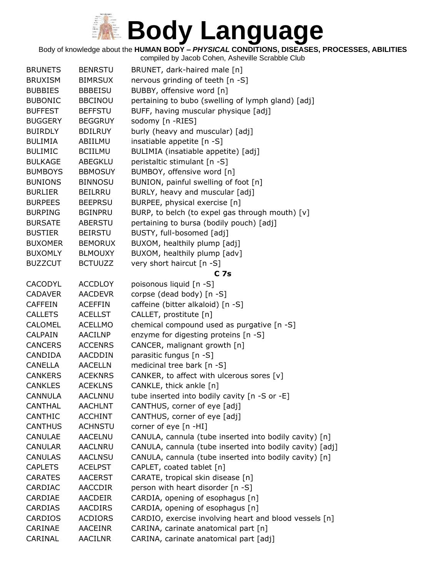#### Body of knowledge about the **HUMAN BODY –** *PHYSICAL* **CONDITIONS, DISEASES, PROCESSES, ABILITIES**

| <b>BRUNETS</b> | <b>BENRSTU</b> | BRUNET, dark-haired male [n]                             |
|----------------|----------------|----------------------------------------------------------|
| <b>BRUXISM</b> | <b>BIMRSUX</b> | nervous grinding of teeth [n -S]                         |
| <b>BUBBIES</b> | <b>BBBEISU</b> | BUBBY, offensive word [n]                                |
| <b>BUBONIC</b> | <b>BBCINOU</b> | pertaining to bubo (swelling of lymph gland) [adj]       |
| <b>BUFFEST</b> | <b>BEFFSTU</b> | BUFF, having muscular physique [adj]                     |
| <b>BUGGERY</b> | <b>BEGGRUY</b> | sodomy [n -RIES]                                         |
| <b>BUIRDLY</b> | <b>BDILRUY</b> | burly (heavy and muscular) [adj]                         |
| <b>BULIMIA</b> | ABIILMU        | insatiable appetite [n -S]                               |
| <b>BULIMIC</b> | <b>BCIILMU</b> | BULIMIA (insatiable appetite) [adj]                      |
| <b>BULKAGE</b> | ABEGKLU        | peristaltic stimulant [n -S]                             |
| <b>BUMBOYS</b> | <b>BBMOSUY</b> | BUMBOY, offensive word [n]                               |
| <b>BUNIONS</b> | <b>BINNOSU</b> | BUNION, painful swelling of foot [n]                     |
| <b>BURLIER</b> | BEILRRU        | BURLY, heavy and muscular [adj]                          |
| <b>BURPEES</b> | <b>BEEPRSU</b> | BURPEE, physical exercise [n]                            |
| <b>BURPING</b> | <b>BGINPRU</b> | BURP, to belch (to expel gas through mouth) [v]          |
| <b>BURSATE</b> | <b>ABERSTU</b> | pertaining to bursa (bodily pouch) [adj]                 |
| <b>BUSTIER</b> | <b>BEIRSTU</b> | BUSTY, full-bosomed [adj]                                |
| <b>BUXOMER</b> | <b>BEMORUX</b> | BUXOM, healthily plump [adj]                             |
| <b>BUXOMLY</b> | <b>BLMOUXY</b> | BUXOM, healthily plump [adv]                             |
| <b>BUZZCUT</b> | <b>BCTUUZZ</b> | very short haircut [n -S]                                |
|                |                | C <sub>7s</sub>                                          |
| <b>CACODYL</b> | <b>ACCDLOY</b> | poisonous liquid [n -S]                                  |
| <b>CADAVER</b> | <b>AACDEVR</b> | corpse (dead body) [n -S]                                |
| <b>CAFFEIN</b> | <b>ACEFFIN</b> | caffeine (bitter alkaloid) [n -S]                        |
| <b>CALLETS</b> | <b>ACELLST</b> | CALLET, prostitute [n]                                   |
| <b>CALOMEL</b> | <b>ACELLMO</b> | chemical compound used as purgative [n -S]               |
| <b>CALPAIN</b> | <b>AACILNP</b> | enzyme for digesting proteins [n -S]                     |
| <b>CANCERS</b> | <b>ACCENRS</b> | CANCER, malignant growth [n]                             |
| <b>CANDIDA</b> | AACDDIN        | parasitic fungus [n -S]                                  |
| <b>CANELLA</b> | <b>AACELLN</b> | medicinal tree bark [n -S]                               |
| <b>CANKERS</b> | <b>ACEKNRS</b> | CANKER, to affect with ulcerous sores [v]                |
| <b>CANKLES</b> | <b>ACEKLNS</b> | CANKLE, thick ankle [n]                                  |
| <b>CANNULA</b> | <b>AACLNNU</b> | tube inserted into bodily cavity $[n - S$ or $-E]$       |
| <b>CANTHAL</b> | <b>AACHLNT</b> | CANTHUS, corner of eye [adj]                             |
| <b>CANTHIC</b> | <b>ACCHINT</b> | CANTHUS, corner of eye [adj]                             |
| <b>CANTHUS</b> | <b>ACHNSTU</b> | corner of eye [n -HI]                                    |
| CANULAE        | <b>AACELNU</b> | CANULA, cannula (tube inserted into bodily cavity) [n]   |
| <b>CANULAR</b> | <b>AACLNRU</b> | CANULA, cannula (tube inserted into bodily cavity) [adj] |
| <b>CANULAS</b> | <b>AACLNSU</b> | CANULA, cannula (tube inserted into bodily cavity) [n]   |
| <b>CAPLETS</b> | <b>ACELPST</b> | CAPLET, coated tablet [n]                                |
| <b>CARATES</b> | <b>AACERST</b> | CARATE, tropical skin disease [n]                        |
| CARDIAC        | <b>AACCDIR</b> | person with heart disorder [n -S]                        |
| CARDIAE        | AACDEIR        | CARDIA, opening of esophagus [n]                         |
| <b>CARDIAS</b> | <b>AACDIRS</b> | CARDIA, opening of esophagus [n]                         |
| <b>CARDIOS</b> | <b>ACDIORS</b> | CARDIO, exercise involving heart and blood vessels [n]   |
| CARINAE        | <b>AACEINR</b> | CARINA, carinate anatomical part [n]                     |
| CARINAL        | AACILNR        | CARINA, carinate anatomical part [adj]                   |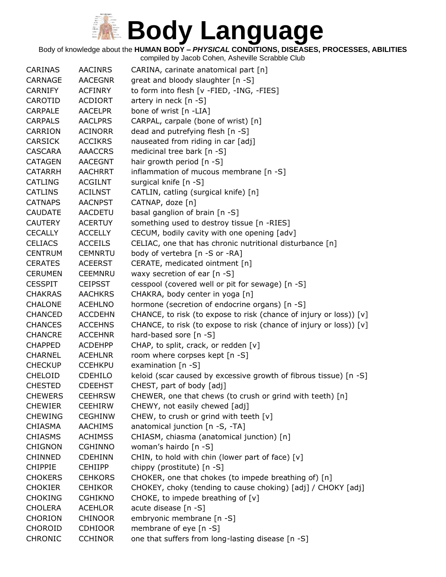Body of knowledge about the **HUMAN BODY –** *PHYSICAL* **CONDITIONS, DISEASES, PROCESSES, ABILITIES**

| <b>CARINAS</b> | <b>AACINRS</b> | CARINA, carinate anatomical part [n]                               |
|----------------|----------------|--------------------------------------------------------------------|
| CARNAGE        | <b>AACEGNR</b> | great and bloody slaughter [n -S]                                  |
| <b>CARNIFY</b> | <b>ACFINRY</b> | to form into flesh [v -FIED, -ING, -FIES]                          |
| CAROTID        | <b>ACDIORT</b> | artery in neck $[n - S]$                                           |
| <b>CARPALE</b> | <b>AACELPR</b> | bone of wrist [n -LIA]                                             |
| <b>CARPALS</b> | <b>AACLPRS</b> | CARPAL, carpale (bone of wrist) [n]                                |
| <b>CARRION</b> | <b>ACINORR</b> | dead and putrefying flesh [n -S]                                   |
| <b>CARSICK</b> | <b>ACCIKRS</b> | nauseated from riding in car [adj]                                 |
| CASCARA        | <b>AAACCRS</b> | medicinal tree bark [n -S]                                         |
| <b>CATAGEN</b> | <b>AACEGNT</b> | hair growth period [n -S]                                          |
| <b>CATARRH</b> | <b>AACHRRT</b> | inflammation of mucous membrane [n -S]                             |
| <b>CATLING</b> | <b>ACGILNT</b> | surgical knife [n -S]                                              |
| <b>CATLINS</b> | <b>ACILNST</b> | CATLIN, catling (surgical knife) [n]                               |
| <b>CATNAPS</b> | <b>AACNPST</b> | CATNAP, doze [n]                                                   |
| <b>CAUDATE</b> | <b>AACDETU</b> | basal ganglion of brain [n -S]                                     |
| <b>CAUTERY</b> | <b>ACERTUY</b> | something used to destroy tissue [n -RIES]                         |
| <b>CECALLY</b> | <b>ACCELLY</b> | CECUM, bodily cavity with one opening [adv]                        |
| <b>CELIACS</b> | <b>ACCEILS</b> | CELIAC, one that has chronic nutritional disturbance [n]           |
| <b>CENTRUM</b> | <b>CEMNRTU</b> | body of vertebra [n -S or -RA]                                     |
| <b>CERATES</b> | <b>ACEERST</b> | CERATE, medicated ointment [n]                                     |
| <b>CERUMEN</b> | <b>CEEMNRU</b> | waxy secretion of ear $[n -S]$                                     |
| <b>CESSPIT</b> | <b>CEIPSST</b> | cesspool (covered well or pit for sewage) [n -S]                   |
| <b>CHAKRAS</b> | <b>AACHKRS</b> | CHAKRA, body center in yoga [n]                                    |
| <b>CHALONE</b> | <b>ACEHLNO</b> | hormone (secretion of endocrine organs) [n -S]                     |
| <b>CHANCED</b> | <b>ACCDEHN</b> | CHANCE, to risk (to expose to risk (chance of injury or loss)) [v] |
| <b>CHANCES</b> | <b>ACCEHNS</b> | CHANCE, to risk (to expose to risk (chance of injury or loss)) [v] |
| <b>CHANCRE</b> | <b>ACCEHNR</b> | hard-based sore [n -S]                                             |
| <b>CHAPPED</b> | <b>ACDEHPP</b> | CHAP, to split, crack, or redden [v]                               |
| <b>CHARNEL</b> | <b>ACEHLNR</b> | room where corpses kept [n -S]                                     |
| <b>CHECKUP</b> | <b>CCEHKPU</b> | examination [n -S]                                                 |
| <b>CHELOID</b> | <b>CDEHILO</b> | keloid (scar caused by excessive growth of fibrous tissue) [n -S]  |
| <b>CHESTED</b> | <b>CDEEHST</b> | CHEST, part of body [adj]                                          |
| <b>CHEWERS</b> | <b>CEEHRSW</b> | CHEWER, one that chews (to crush or grind with teeth) [n]          |
| <b>CHEWIER</b> | <b>CEEHIRW</b> | CHEWY, not easily chewed [adj]                                     |
| <b>CHEWING</b> | <b>CEGHINW</b> | CHEW, to crush or grind with teeth [v]                             |
| <b>CHIASMA</b> | <b>AACHIMS</b> | anatomical junction [n -S, -TA]                                    |
| <b>CHIASMS</b> | <b>ACHIMSS</b> | CHIASM, chiasma (anatomical junction) [n]                          |
| <b>CHIGNON</b> | <b>CGHINNO</b> | woman's hairdo [n -S]                                              |
| <b>CHINNED</b> | <b>CDEHINN</b> | CHIN, to hold with chin (lower part of face) [v]                   |
| <b>CHIPPIE</b> | <b>CEHIIPP</b> | chippy (prostitute) [n -S]                                         |
| <b>CHOKERS</b> | <b>CEHKORS</b> | CHOKER, one that chokes (to impede breathing of) [n]               |
| <b>CHOKIER</b> | <b>CEHIKOR</b> | CHOKEY, choky (tending to cause choking) [adj] / CHOKY [adj]       |
| <b>CHOKING</b> | <b>CGHIKNO</b> | CHOKE, to impede breathing of $[v]$                                |
| <b>CHOLERA</b> | <b>ACEHLOR</b> | acute disease [n -S]                                               |
| <b>CHORION</b> | <b>CHINOOR</b> | embryonic membrane [n -S]                                          |
| <b>CHOROID</b> | <b>CDHIOOR</b> | membrane of eye [n -S]                                             |
| <b>CHRONIC</b> | <b>CCHINOR</b> | one that suffers from long-lasting disease [n -S]                  |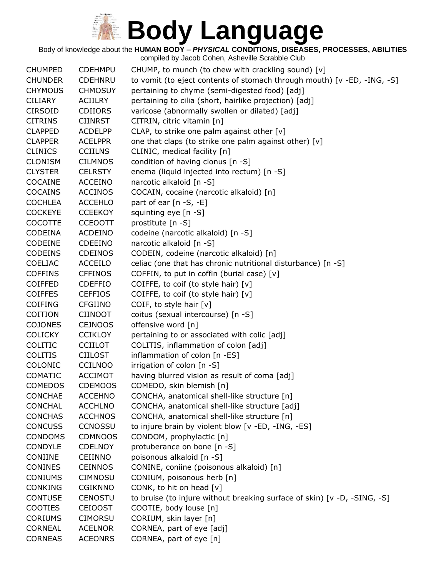Body of knowledge about the **HUMAN BODY –** *PHYSICAL* **CONDITIONS, DISEASES, PROCESSES, ABILITIES**

| <b>CHUMPED</b> | <b>CDEHMPU</b> | CHUMP, to munch (to chew with crackling sound) [v]                       |
|----------------|----------------|--------------------------------------------------------------------------|
| <b>CHUNDER</b> | <b>CDEHNRU</b> | to vomit (to eject contents of stomach through mouth) [v -ED, -ING, -S]  |
| <b>CHYMOUS</b> | <b>CHMOSUY</b> | pertaining to chyme (semi-digested food) [adj]                           |
| <b>CILIARY</b> | <b>ACIILRY</b> | pertaining to cilia (short, hairlike projection) [adj]                   |
| <b>CIRSOID</b> | <b>CDIIORS</b> | varicose (abnormally swollen or dilated) [adj]                           |
| <b>CITRINS</b> | <b>CIINRST</b> | CITRIN, citric vitamin [n]                                               |
| <b>CLAPPED</b> | <b>ACDELPP</b> | CLAP, to strike one palm against other [v]                               |
| <b>CLAPPER</b> | <b>ACELPPR</b> | one that claps (to strike one palm against other) [v]                    |
| <b>CLINICS</b> | <b>CCIILNS</b> | CLINIC, medical facility [n]                                             |
| <b>CLONISM</b> | <b>CILMNOS</b> | condition of having clonus [n -S]                                        |
| <b>CLYSTER</b> | <b>CELRSTY</b> | enema (liquid injected into rectum) [n -S]                               |
| COCAINE        | <b>ACCEINO</b> | narcotic alkaloid [n -S]                                                 |
| <b>COCAINS</b> | <b>ACCINOS</b> | COCAIN, cocaine (narcotic alkaloid) [n]                                  |
| <b>COCHLEA</b> | <b>ACCEHLO</b> | part of ear $[n - S, -E]$                                                |
| <b>COCKEYE</b> | <b>CCEEKOY</b> | squinting eye [n -S]                                                     |
| <b>COCOTTE</b> | <b>CCEOOTT</b> | prostitute [n -S]                                                        |
| <b>CODEINA</b> | <b>ACDEINO</b> | codeine (narcotic alkaloid) [n -S]                                       |
| CODEINE        | <b>CDEEINO</b> | narcotic alkaloid [n -S]                                                 |
| <b>CODEINS</b> | <b>CDEINOS</b> | CODEIN, codeine (narcotic alkaloid) [n]                                  |
| COELIAC        | <b>ACCEILO</b> | celiac (one that has chronic nutritional disturbance) [n -S]             |
| <b>COFFINS</b> | <b>CFFINOS</b> | COFFIN, to put in coffin (burial case) $[v]$                             |
| <b>COIFFED</b> | <b>CDEFFIO</b> | COIFFE, to coif (to style hair) [v]                                      |
| <b>COIFFES</b> | <b>CEFFIOS</b> | COIFFE, to coif (to style hair) [v]                                      |
| <b>COIFING</b> | <b>CFGIINO</b> | COIF, to style hair [v]                                                  |
| <b>COITION</b> | <b>CIINOOT</b> | coitus (sexual intercourse) [n -S]                                       |
| <b>COJONES</b> | <b>CEJNOOS</b> | offensive word [n]                                                       |
| <b>COLICKY</b> | <b>CCIKLOY</b> | pertaining to or associated with colic [adj]                             |
| COLITIC        | <b>CCIILOT</b> | COLITIS, inflammation of colon [adj]                                     |
| <b>COLITIS</b> | <b>CIILOST</b> | inflammation of colon [n -ES]                                            |
| <b>COLONIC</b> | <b>CCILNOO</b> | irrigation of colon [n -S]                                               |
| <b>COMATIC</b> | <b>ACCIMOT</b> | having blurred vision as result of coma [adj]                            |
| <b>COMEDOS</b> | <b>CDEMOOS</b> | COMEDO, skin blemish [n]                                                 |
| <b>CONCHAE</b> | <b>ACCEHNO</b> | CONCHA, anatomical shell-like structure [n]                              |
| <b>CONCHAL</b> | <b>ACCHLNO</b> | CONCHA, anatomical shell-like structure [adj]                            |
| <b>CONCHAS</b> | <b>ACCHNOS</b> | CONCHA, anatomical shell-like structure [n]                              |
| <b>CONCUSS</b> | <b>CCNOSSU</b> | to injure brain by violent blow [v -ED, -ING, -ES]                       |
| <b>CONDOMS</b> | <b>CDMNOOS</b> | CONDOM, prophylactic [n]                                                 |
| <b>CONDYLE</b> | <b>CDELNOY</b> | protuberance on bone [n -S]                                              |
| CONIINE        | <b>CEIINNO</b> | poisonous alkaloid [n -S]                                                |
| <b>CONINES</b> | <b>CEINNOS</b> | CONINE, coniine (poisonous alkaloid) [n]                                 |
| <b>CONIUMS</b> | <b>CIMNOSU</b> | CONIUM, poisonous herb [n]                                               |
| <b>CONKING</b> | <b>CGIKNNO</b> | CONK, to hit on head [v]                                                 |
| <b>CONTUSE</b> | <b>CENOSTU</b> | to bruise (to injure without breaking surface of skin) [v -D, -SING, -S] |
| <b>COOTIES</b> | <b>CEIOOST</b> | COOTIE, body louse [n]                                                   |
| <b>CORIUMS</b> | <b>CIMORSU</b> | CORIUM, skin layer [n]                                                   |
| <b>CORNEAL</b> | <b>ACELNOR</b> | CORNEA, part of eye [adj]                                                |
| <b>CORNEAS</b> | <b>ACEONRS</b> | CORNEA, part of eye [n]                                                  |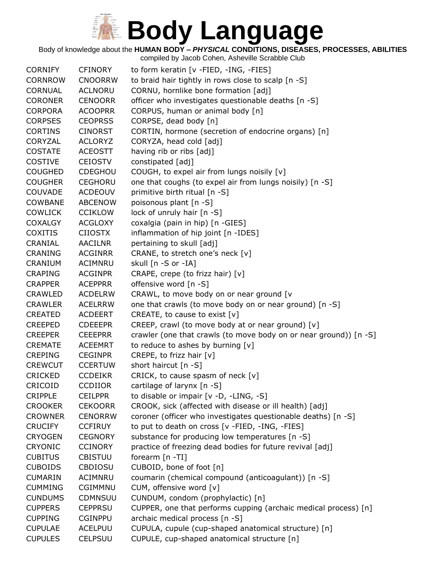Body of knowledge about the **HUMAN BODY –** *PHYSICAL* **CONDITIONS, DISEASES, PROCESSES, ABILITIES**

| <b>CORNIFY</b> | <b>CFINORY</b> | to form keratin [v -FIED, -ING, -FIES]                            |
|----------------|----------------|-------------------------------------------------------------------|
| <b>CORNROW</b> | <b>CNOORRW</b> | to braid hair tightly in rows close to scalp [n -S]               |
| <b>CORNUAL</b> | <b>ACLNORU</b> | CORNU, hornlike bone formation [adj]                              |
| <b>CORONER</b> | <b>CENOORR</b> | officer who investigates questionable deaths [n -S]               |
| <b>CORPORA</b> | <b>ACOOPRR</b> | CORPUS, human or animal body [n]                                  |
| <b>CORPSES</b> | <b>CEOPRSS</b> | CORPSE, dead body [n]                                             |
| <b>CORTINS</b> | <b>CINORST</b> | CORTIN, hormone (secretion of endocrine organs) [n]               |
| CORYZAL        | <b>ACLORYZ</b> | CORYZA, head cold [adj]                                           |
| <b>COSTATE</b> | <b>ACEOSTT</b> | having rib or ribs [adj]                                          |
| <b>COSTIVE</b> | <b>CEIOSTV</b> | constipated [adj]                                                 |
| <b>COUGHED</b> | <b>CDEGHOU</b> | COUGH, to expel air from lungs noisily [v]                        |
| <b>COUGHER</b> | <b>CEGHORU</b> | one that coughs (to expel air from lungs noisily) [n -S]          |
| <b>COUVADE</b> | <b>ACDEOUV</b> | primitive birth ritual [n -S]                                     |
| <b>COWBANE</b> | <b>ABCENOW</b> | poisonous plant [n -S]                                            |
| <b>COWLICK</b> | <b>CCIKLOW</b> | lock of unruly hair [n -S]                                        |
| <b>COXALGY</b> | <b>ACGLOXY</b> | coxalgia (pain in hip) [n -GIES]                                  |
| <b>COXITIS</b> | <b>CIIOSTX</b> | inflammation of hip joint [n -IDES]                               |
| CRANIAL        | <b>AACILNR</b> | pertaining to skull [adj]                                         |
| <b>CRANING</b> | <b>ACGINRR</b> | CRANE, to stretch one's neck [v]                                  |
| CRANIUM        | ACIMNRU        | skull [n -S or -IA]                                               |
| <b>CRAPING</b> | <b>ACGINPR</b> | CRAPE, crepe (to frizz hair) [v]                                  |
| <b>CRAPPER</b> | <b>ACEPPRR</b> | offensive word [n -S]                                             |
| <b>CRAWLED</b> | <b>ACDELRW</b> | CRAWL, to move body on or near ground [v                          |
| <b>CRAWLER</b> | <b>ACELRRW</b> | one that crawls (to move body on or near ground) [n -S]           |
| <b>CREATED</b> | <b>ACDEERT</b> | CREATE, to cause to exist $[v]$                                   |
| <b>CREEPED</b> | <b>CDEEEPR</b> | CREEP, crawl (to move body at or near ground) [v]                 |
| <b>CREEPER</b> | <b>CEEEPRR</b> | crawler (one that crawls (to move body on or near ground)) [n -S] |
| <b>CREMATE</b> | <b>ACEEMRT</b> | to reduce to ashes by burning [v]                                 |
| <b>CREPING</b> | <b>CEGINPR</b> | CREPE, to frizz hair [v]                                          |
| <b>CREWCUT</b> | <b>CCERTUW</b> | short haircut [n -S]                                              |
| <b>CRICKED</b> | <b>CCDEIKR</b> | CRICK, to cause spasm of neck $[v]$                               |
| CRICOID        | <b>CCDIIOR</b> | cartilage of larynx [n -S]                                        |
| <b>CRIPPLE</b> | <b>CEILPPR</b> | to disable or impair [v -D, -LING, -S]                            |
| <b>CROOKER</b> | <b>CEKOORR</b> | CROOK, sick (affected with disease or ill health) [adj]           |
| <b>CROWNER</b> | <b>CENORRW</b> | coroner (officer who investigates questionable deaths) [n -S]     |
| <b>CRUCIFY</b> | <b>CCFIRUY</b> | to put to death on cross [v -FIED, -ING, -FIES]                   |
| <b>CRYOGEN</b> | <b>CEGNORY</b> | substance for producing low temperatures [n -S]                   |
| <b>CRYONIC</b> | <b>CCINORY</b> | practice of freezing dead bodies for future revival [adj]         |
| <b>CUBITUS</b> | <b>CBISTUU</b> | forearm [n -TI]                                                   |
| <b>CUBOIDS</b> | <b>CBDIOSU</b> | CUBOID, bone of foot [n]                                          |
| <b>CUMARIN</b> | ACIMNRU        | coumarin (chemical compound (anticoagulant)) [n -S]               |
| <b>CUMMING</b> | CGIMMNU        | CUM, offensive word [v]                                           |
| <b>CUNDUMS</b> | CDMNSUU        | CUNDUM, condom (prophylactic) [n]                                 |
| <b>CUPPERS</b> | <b>CEPPRSU</b> | CUPPER, one that performs cupping (archaic medical process) [n]   |
| <b>CUPPING</b> | <b>CGINPPU</b> | archaic medical process [n -S]                                    |
| <b>CUPULAE</b> | <b>ACELPUU</b> | CUPULA, cupule (cup-shaped anatomical structure) [n]              |
| <b>CUPULES</b> | <b>CELPSUU</b> | CUPULE, cup-shaped anatomical structure [n]                       |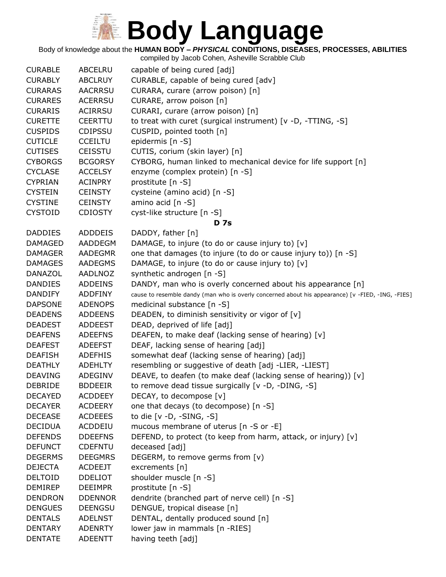

Body of knowledge about the **HUMAN BODY –** *PHYSICAL* **CONDITIONS, DISEASES, PROCESSES, ABILITIES**

| <b>CURABLE</b> | <b>ABCELRU</b> | capable of being cured [adj]                                                                      |
|----------------|----------------|---------------------------------------------------------------------------------------------------|
| <b>CURABLY</b> | <b>ABCLRUY</b> | CURABLE, capable of being cured [adv]                                                             |
| <b>CURARAS</b> | <b>AACRRSU</b> | CURARA, curare (arrow poison) [n]                                                                 |
| <b>CURARES</b> | <b>ACERRSU</b> | CURARE, arrow poison [n]                                                                          |
| <b>CURARIS</b> | <b>ACIRRSU</b> | CURARI, curare (arrow poison) [n]                                                                 |
| <b>CURETTE</b> | <b>CEERTTU</b> | to treat with curet (surgical instrument) [v -D, -TTING, -S]                                      |
| <b>CUSPIDS</b> | <b>CDIPSSU</b> | CUSPID, pointed tooth [n]                                                                         |
| <b>CUTICLE</b> | <b>CCEILTU</b> | epidermis [n -S]                                                                                  |
| <b>CUTISES</b> | <b>CEISSTU</b> | CUTIS, corium (skin layer) [n]                                                                    |
| <b>CYBORGS</b> | <b>BCGORSY</b> | CYBORG, human linked to mechanical device for life support [n]                                    |
| <b>CYCLASE</b> | <b>ACCELSY</b> | enzyme (complex protein) [n -S]                                                                   |
| <b>CYPRIAN</b> | <b>ACINPRY</b> | prostitute [n -S]                                                                                 |
| <b>CYSTEIN</b> | <b>CEINSTY</b> | cysteine (amino acid) [n -S]                                                                      |
| <b>CYSTINE</b> | <b>CEINSTY</b> | amino acid [n -S]                                                                                 |
| <b>CYSTOID</b> | <b>CDIOSTY</b> | cyst-like structure [n -S]                                                                        |
|                |                | <b>D</b> 7s                                                                                       |
| <b>DADDIES</b> | <b>ADDDEIS</b> | DADDY, father [n]                                                                                 |
| <b>DAMAGED</b> | AADDEGM        | DAMAGE, to injure (to do or cause injury to) [v]                                                  |
| <b>DAMAGER</b> | <b>AADEGMR</b> | one that damages (to injure (to do or cause injury to)) [n -S]                                    |
| <b>DAMAGES</b> | <b>AADEGMS</b> | DAMAGE, to injure (to do or cause injury to) [v]                                                  |
| <b>DANAZOL</b> | <b>AADLNOZ</b> | synthetic androgen [n -S]                                                                         |
| <b>DANDIES</b> | <b>ADDEINS</b> | DANDY, man who is overly concerned about his appearance [n]                                       |
| <b>DANDIFY</b> | <b>ADDFINY</b> | cause to resemble dandy (man who is overly concerned about his appearance) [v -FIED, -ING, -FIES] |
| <b>DAPSONE</b> | <b>ADENOPS</b> | medicinal substance [n -S]                                                                        |
| <b>DEADENS</b> | <b>ADDEENS</b> | DEADEN, to diminish sensitivity or vigor of [v]                                                   |
| <b>DEADEST</b> | <b>ADDEEST</b> | DEAD, deprived of life [adj]                                                                      |
| <b>DEAFENS</b> | <b>ADEEFNS</b> | DEAFEN, to make deaf (lacking sense of hearing) [v]                                               |
| <b>DEAFEST</b> | <b>ADEEFST</b> | DEAF, lacking sense of hearing [adj]                                                              |
| <b>DEAFISH</b> | <b>ADEFHIS</b> | somewhat deaf (lacking sense of hearing) [adj]                                                    |
| <b>DEATHLY</b> | <b>ADEHLTY</b> | resembling or suggestive of death [adj -LIER, -LIEST]                                             |
| <b>DEAVING</b> | ADEGINV        | DEAVE, to deafen (to make deaf (lacking sense of hearing)) [v]                                    |
| <b>DEBRIDE</b> | <b>BDDEEIR</b> | to remove dead tissue surgically [v -D, -DING, -S]                                                |
| <b>DECAYED</b> | <b>ACDDEEY</b> | DECAY, to decompose [v]                                                                           |
| <b>DECAYER</b> | <b>ACDEERY</b> | one that decays (to decompose) [n -S]                                                             |
| <b>DECEASE</b> | <b>ACDEEES</b> | to die $[v -D, -SING, -S]$                                                                        |
| <b>DECIDUA</b> | ACDDEIU        | mucous membrane of uterus [n -S or -E]                                                            |
| <b>DEFENDS</b> | <b>DDEEFNS</b> | DEFEND, to protect (to keep from harm, attack, or injury) [v]                                     |
| <b>DEFUNCT</b> | <b>CDEFNTU</b> | deceased [adj]                                                                                    |
| <b>DEGERMS</b> | <b>DEEGMRS</b> | DEGERM, to remove germs from [v)                                                                  |
| <b>DEJECTA</b> | <b>ACDEEJT</b> | excrements [n]                                                                                    |
| <b>DELTOID</b> | <b>DDELIOT</b> | shoulder muscle [n -S]                                                                            |
| <b>DEMIREP</b> | <b>DEEIMPR</b> | prostitute [n -S]                                                                                 |
| <b>DENDRON</b> | <b>DDENNOR</b> | dendrite (branched part of nerve cell) [n -S]                                                     |
| <b>DENGUES</b> | <b>DEENGSU</b> | DENGUE, tropical disease [n]                                                                      |
| <b>DENTALS</b> | <b>ADELNST</b> | DENTAL, dentally produced sound [n]                                                               |
| <b>DENTARY</b> | <b>ADENRTY</b> | lower jaw in mammals [n -RIES]                                                                    |
| <b>DENTATE</b> | <b>ADEENTT</b> | having teeth [adj]                                                                                |
|                |                |                                                                                                   |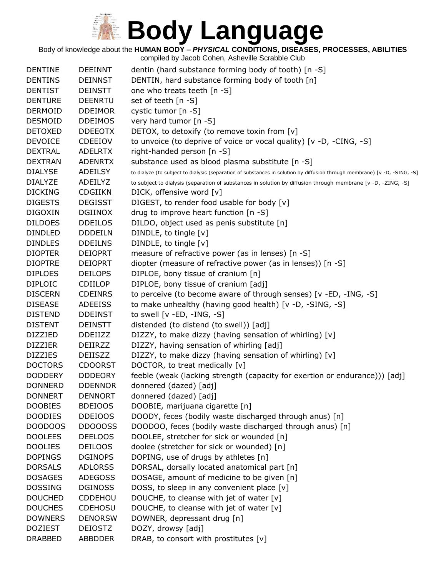Body of knowledge about the **HUMAN BODY –** *PHYSICAL* **CONDITIONS, DISEASES, PROCESSES, ABILITIES**

| <b>DENTINE</b> | <b>DEEINNT</b> | dentin (hard substance forming body of tooth) [n -S]                                                                      |
|----------------|----------------|---------------------------------------------------------------------------------------------------------------------------|
| <b>DENTINS</b> | <b>DEINNST</b> | DENTIN, hard substance forming body of tooth [n]                                                                          |
| <b>DENTIST</b> | <b>DEINSTT</b> | one who treats teeth [n -S]                                                                                               |
| <b>DENTURE</b> | <b>DEENRTU</b> | set of teeth [n -S]                                                                                                       |
| <b>DERMOID</b> | <b>DDEIMOR</b> | cystic tumor [n -S]                                                                                                       |
| <b>DESMOID</b> | <b>DDEIMOS</b> | very hard tumor [n -S]                                                                                                    |
| <b>DETOXED</b> | <b>DDEEOTX</b> | DETOX, to detoxify (to remove toxin from [v]                                                                              |
| <b>DEVOICE</b> | <b>CDEEIOV</b> | to unvoice (to deprive of voice or vocal quality) [v -D, -CING, -S]                                                       |
| <b>DEXTRAL</b> | <b>ADELRTX</b> | right-handed person [n -S]                                                                                                |
| <b>DEXTRAN</b> | <b>ADENRTX</b> | substance used as blood plasma substitute [n -S]                                                                          |
| <b>DIALYSE</b> | ADEILSY        | to dialyze (to subject to dialysis (separation of substances in solution by diffusion through membrane) [v -D, -SING, -S] |
| <b>DIALYZE</b> | ADEILYZ        | to subject to dialysis (separation of substances in solution by diffusion through membrane [v -D, -ZING, -S]              |
| <b>DICKING</b> | <b>CDGIIKN</b> | DICK, offensive word [v]                                                                                                  |
| <b>DIGESTS</b> | <b>DEGISST</b> | DIGEST, to render food usable for body [v]                                                                                |
| <b>DIGOXIN</b> | <b>DGIINOX</b> | drug to improve heart function [n -S]                                                                                     |
| <b>DILDOES</b> | <b>DDEILOS</b> | DILDO, object used as penis substitute [n]                                                                                |
| <b>DINDLED</b> | <b>DDDEILN</b> | DINDLE, to tingle [v]                                                                                                     |
| <b>DINDLES</b> | <b>DDEILNS</b> | DINDLE, to tingle [v]                                                                                                     |
| <b>DIOPTER</b> | <b>DEIOPRT</b> | measure of refractive power (as in lenses) [n -S]                                                                         |
| <b>DIOPTRE</b> | <b>DEIOPRT</b> | diopter (measure of refractive power (as in lenses)) [n -S]                                                               |
| <b>DIPLOES</b> | <b>DEILOPS</b> | DIPLOE, bony tissue of cranium [n]                                                                                        |
| <b>DIPLOIC</b> | <b>CDIILOP</b> | DIPLOE, bony tissue of cranium [adj]                                                                                      |
| <b>DISCERN</b> | <b>CDEINRS</b> | to perceive (to become aware of through senses) [v -ED, -ING, -S]                                                         |
| <b>DISEASE</b> | <b>ADEEISS</b> | to make unhealthy (having good health) [v -D, -SING, -S]                                                                  |
| <b>DISTEND</b> | <b>DDEINST</b> | to swell $[v - ED, -ING, -S]$                                                                                             |
| <b>DISTENT</b> | <b>DEINSTT</b> | distended (to distend (to swell)) [adj]                                                                                   |
| <b>DIZZIED</b> | <b>DDEIIZZ</b> | DIZZY, to make dizzy (having sensation of whirling) [v]                                                                   |
| <b>DIZZIER</b> | DEIIRZZ        | DIZZY, having sensation of whirling [adj]                                                                                 |
| <b>DIZZIES</b> | <b>DEIISZZ</b> | DIZZY, to make dizzy (having sensation of whirling) [v]                                                                   |
| <b>DOCTORS</b> | <b>CDOORST</b> | DOCTOR, to treat medically [v]                                                                                            |
| <b>DODDERY</b> | <b>DDDEORY</b> | feeble (weak (lacking strength (capacity for exertion or endurance))) [adj]                                               |
| <b>DONNERD</b> | <b>DDENNOR</b> | donnered (dazed) [adj]                                                                                                    |
| <b>DONNERT</b> | <b>DENNORT</b> | donnered (dazed) [adj]                                                                                                    |
| <b>DOOBIES</b> | <b>BDEIOOS</b> | DOOBIE, marijuana cigarette [n]                                                                                           |
| <b>DOODIES</b> | <b>DDEIOOS</b> | DOODY, feces (bodily waste discharged through anus) [n]                                                                   |
| DOODOOS        | DDOOOSS        | DOODOO, feces (bodily waste discharged through anus) [n]                                                                  |
| <b>DOOLEES</b> | <b>DEELOOS</b> | DOOLEE, stretcher for sick or wounded [n]                                                                                 |
| <b>DOOLIES</b> | <b>DEILOOS</b> | doolee (stretcher for sick or wounded) [n]                                                                                |
| <b>DOPINGS</b> | <b>DGINOPS</b> | DOPING, use of drugs by athletes [n]                                                                                      |
| <b>DORSALS</b> | <b>ADLORSS</b> | DORSAL, dorsally located anatomical part [n]                                                                              |
| <b>DOSAGES</b> | <b>ADEGOSS</b> | DOSAGE, amount of medicine to be given [n]                                                                                |
| <b>DOSSING</b> | <b>DGINOSS</b> | DOSS, to sleep in any convenient place [v]                                                                                |
| <b>DOUCHED</b> | CDDEHOU        | DOUCHE, to cleanse with jet of water [v]                                                                                  |
| <b>DOUCHES</b> | <b>CDEHOSU</b> | DOUCHE, to cleanse with jet of water [v]                                                                                  |
| <b>DOWNERS</b> | <b>DENORSW</b> | DOWNER, depressant drug [n]                                                                                               |
| <b>DOZIEST</b> | <b>DEIOSTZ</b> | DOZY, drowsy [adj]                                                                                                        |
| <b>DRABBED</b> | <b>ABBDDER</b> | DRAB, to consort with prostitutes [v]                                                                                     |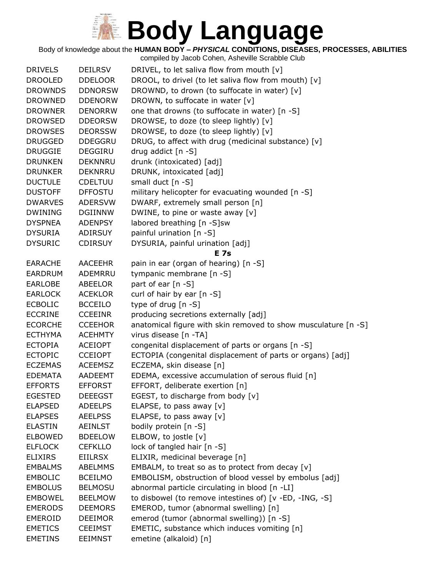Body of knowledge about the **HUMAN BODY –** *PHYSICAL* **CONDITIONS, DISEASES, PROCESSES, ABILITIES**

| <b>DRIVELS</b> | <b>DEILRSV</b> | DRIVEL, to let saliva flow from mouth [v]                      |
|----------------|----------------|----------------------------------------------------------------|
| <b>DROOLED</b> | <b>DDELOOR</b> | DROOL, to drivel (to let saliva flow from mouth) [v]           |
| <b>DROWNDS</b> | <b>DDNORSW</b> | DROWND, to drown (to suffocate in water) [v]                   |
| <b>DROWNED</b> | <b>DDENORW</b> | DROWN, to suffocate in water [v]                               |
| <b>DROWNER</b> | <b>DENORRW</b> | one that drowns (to suffocate in water) [n -S]                 |
| <b>DROWSED</b> | <b>DDEORSW</b> | DROWSE, to doze (to sleep lightly) [v]                         |
| <b>DROWSES</b> | <b>DEORSSW</b> | DROWSE, to doze (to sleep lightly) [v]                         |
| <b>DRUGGED</b> | <b>DDEGGRU</b> | DRUG, to affect with drug (medicinal substance) [v]            |
| <b>DRUGGIE</b> | DEGGIRU        | drug addict [n -S]                                             |
| <b>DRUNKEN</b> | DEKNNRU        | drunk (intoxicated) [adj]                                      |
| <b>DRUNKER</b> | <b>DEKNRRU</b> | DRUNK, intoxicated [adj]                                       |
| <b>DUCTULE</b> | <b>CDELTUU</b> | small duct [n -S]                                              |
| <b>DUSTOFF</b> | <b>DFFOSTU</b> | military helicopter for evacuating wounded [n -S]              |
| <b>DWARVES</b> | <b>ADERSVW</b> | DWARF, extremely small person [n]                              |
| <b>DWINING</b> | <b>DGIINNW</b> | DWINE, to pine or waste away [v]                               |
| <b>DYSPNEA</b> | <b>ADENPSY</b> | labored breathing [n -S]sw                                     |
| <b>DYSURIA</b> | ADIRSUY        | painful urination [n -S]                                       |
| <b>DYSURIC</b> | <b>CDIRSUY</b> | DYSURIA, painful urination [adj]                               |
|                |                | <b>E</b> 7s                                                    |
| <b>EARACHE</b> | <b>AACEEHR</b> | pain in ear (organ of hearing) [n -S]                          |
| <b>EARDRUM</b> | ADEMRRU        | tympanic membrane [n -S]                                       |
| <b>EARLOBE</b> | ABEELOR        | part of ear [n -S]                                             |
| <b>EARLOCK</b> | <b>ACEKLOR</b> | curl of hair by ear [n -S]                                     |
| <b>ECBOLIC</b> | <b>BCCEILO</b> | type of drug [n -S]                                            |
| <b>ECCRINE</b> | <b>CCEEINR</b> | producing secretions externally [adj]                          |
| <b>ECORCHE</b> | <b>CCEEHOR</b> | anatomical figure with skin removed to show musculature [n -S] |
| <b>ECTHYMA</b> | <b>ACEHMTY</b> | virus disease [n -TA]                                          |
| <b>ECTOPIA</b> | <b>ACEIOPT</b> | congenital displacement of parts or organs [n -S]              |
| <b>ECTOPIC</b> | <b>CCEIOPT</b> | ECTOPIA (congenital displacement of parts or organs) [adj]     |
| <b>ECZEMAS</b> | <b>ACEEMSZ</b> | ECZEMA, skin disease [n]                                       |
| <b>EDEMATA</b> | AADEEMT        | EDEMA, excessive accumulation of serous fluid [n]              |
| <b>EFFORTS</b> | <b>EFFORST</b> | EFFORT, deliberate exertion [n]                                |
| <b>EGESTED</b> | <b>DEEEGST</b> | EGEST, to discharge from body [v]                              |
| <b>ELAPSED</b> | <b>ADEELPS</b> | ELAPSE, to pass away $[v]$                                     |
| <b>ELAPSES</b> | <b>AEELPSS</b> | ELAPSE, to pass away [v]                                       |
| <b>ELASTIN</b> | AEINLST        | bodily protein [n -S]                                          |
| <b>ELBOWED</b> | <b>BDEELOW</b> | ELBOW, to jostle [v]                                           |
| <b>ELFLOCK</b> | <b>CEFKLLO</b> | lock of tangled hair [n -S]                                    |
| <b>ELIXIRS</b> | EIILRSX        | ELIXIR, medicinal beverage [n]                                 |
| <b>EMBALMS</b> | <b>ABELMMS</b> | EMBALM, to treat so as to protect from decay $[v]$             |
| <b>EMBOLIC</b> | <b>BCEILMO</b> | EMBOLISM, obstruction of blood vessel by embolus [adj]         |
| <b>EMBOLUS</b> | <b>BELMOSU</b> | abnormal particle circulating in blood [n -LI]                 |
| <b>EMBOWEL</b> | <b>BEELMOW</b> | to disbowel (to remove intestines of) [v -ED, -ING, -S]        |
| <b>EMERODS</b> | <b>DEEMORS</b> | EMEROD, tumor (abnormal swelling) [n]                          |
| <b>EMEROID</b> | <b>DEEIMOR</b> | emerod (tumor (abnormal swelling)) [n -S]                      |
| <b>EMETICS</b> | <b>CEEIMST</b> | EMETIC, substance which induces vomiting [n]                   |
| <b>EMETINS</b> | <b>EEIMNST</b> | emetine (alkaloid) [n]                                         |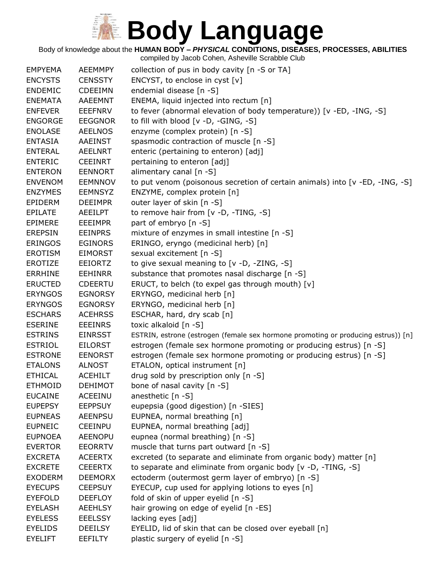Body of knowledge about the **HUMAN BODY –** *PHYSICAL* **CONDITIONS, DISEASES, PROCESSES, ABILITIES**

| <b>EMPYEMA</b><br><b>AEEMMPY</b><br>collection of pus in body cavity [n -S or TA]                                     |  |
|-----------------------------------------------------------------------------------------------------------------------|--|
| ENCYST, to enclose in cyst [v]<br><b>ENCYSTS</b><br><b>CENSSTY</b>                                                    |  |
| endemial disease [n -S]<br><b>ENDEMIC</b><br><b>CDEEIMN</b>                                                           |  |
| <b>ENEMATA</b><br><b>AAEEMNT</b><br>ENEMA, liquid injected into rectum [n]                                            |  |
| to fever (abnormal elevation of body temperature)) [v -ED, -ING, -S]<br><b>ENFEVER</b><br><b>EEEFNRV</b>              |  |
| to fill with blood [v -D, -GING, -S]<br><b>ENGORGE</b><br><b>EEGGNOR</b>                                              |  |
| enzyme (complex protein) [n -S]<br><b>ENOLASE</b><br><b>AEELNOS</b>                                                   |  |
| <b>ENTASIA</b><br><b>AAEINST</b><br>spasmodic contraction of muscle [n -S]                                            |  |
| <b>ENTERAL</b><br><b>AEELNRT</b><br>enteric (pertaining to enteron) [adj]                                             |  |
| <b>ENTERIC</b><br><b>CEEINRT</b><br>pertaining to enteron [adj]                                                       |  |
| <b>ENTERON</b><br><b>EENNORT</b><br>alimentary canal [n -S]                                                           |  |
| <b>ENVENOM</b><br><b>EEMNNOV</b><br>to put venom (poisonous secretion of certain animals) into $[v - ED, -ING, -S]$   |  |
| <b>ENZYMES</b><br>ENZYME, complex protein [n]<br><b>EEMNSYZ</b>                                                       |  |
| outer layer of skin [n -S]<br>EPIDERM<br><b>DEEIMPR</b>                                                               |  |
| to remove hair from [v -D, -TING, -S]<br><b>EPILATE</b><br>AEEILPT                                                    |  |
| part of embryo [n -S]<br><b>EPIMERE</b><br><b>EEEIMPR</b>                                                             |  |
| <b>EEINPRS</b><br>mixture of enzymes in small intestine [n -S]<br><b>EREPSIN</b>                                      |  |
| ERINGO, eryngo (medicinal herb) [n]<br><b>ERINGOS</b><br><b>EGINORS</b>                                               |  |
| sexual excitement [n -S]<br><b>EROTISM</b><br><b>EIMORST</b>                                                          |  |
| to give sexual meaning to [v -D, -ZING, -S]<br>EROTIZE<br><b>EEIORTZ</b>                                              |  |
| substance that promotes nasal discharge [n -S]<br><b>ERRHINE</b><br><b>EEHINRR</b>                                    |  |
| ERUCT, to belch (to expel gas through mouth) [v]<br><b>ERUCTED</b><br><b>CDEERTU</b>                                  |  |
| <b>ERYNGOS</b><br>ERYNGO, medicinal herb [n]<br><b>EGNORSY</b>                                                        |  |
| ERYNGO, medicinal herb [n]<br><b>ERYNGOS</b><br><b>EGNORSY</b>                                                        |  |
| ESCHAR, hard, dry scab [n]<br><b>ESCHARS</b><br><b>ACEHRSS</b>                                                        |  |
| toxic alkaloid [n -S]<br><b>ESERINE</b><br><b>EEEINRS</b>                                                             |  |
| ESTRIN, estrone (estrogen (female sex hormone promoting or producing estrus)) [n]<br><b>ESTRINS</b><br><b>EINRSST</b> |  |
| estrogen (female sex hormone promoting or producing estrus) [n -S]<br><b>ESTRIOL</b><br><b>EILORST</b>                |  |
| estrogen (female sex hormone promoting or producing estrus) [n -S]<br><b>ESTRONE</b><br><b>EENORST</b>                |  |
| ETALON, optical instrument [n]<br><b>ETALONS</b><br><b>ALNOST</b>                                                     |  |
| drug sold by prescription only [n -S]<br><b>ETHICAL</b><br><b>ACEHILT</b>                                             |  |
| bone of nasal cavity [n -S]<br><b>ETHMOID</b><br><b>DEHIMOT</b>                                                       |  |
| <b>EUCAINE</b><br><b>ACEEINU</b><br>anesthetic $[n -S]$                                                               |  |
| eupepsia (good digestion) [n -SIES]<br><b>EUPEPSY</b><br><b>EEPPSUY</b>                                               |  |
| EUPNEA, normal breathing [n]<br><b>EUPNEAS</b><br><b>AEENPSU</b>                                                      |  |
| <b>EUPNEIC</b><br>EUPNEA, normal breathing [adj]<br><b>CEEINPU</b>                                                    |  |
| eupnea (normal breathing) [n -S]<br><b>EUPNOEA</b><br><b>AEENOPU</b>                                                  |  |
| muscle that turns part outward [n -S]<br><b>EVERTOR</b><br><b>EEORRTV</b>                                             |  |
| excreted (to separate and eliminate from organic body) matter [n]<br><b>EXCRETA</b><br><b>ACEERTX</b>                 |  |
| to separate and eliminate from organic body [v -D, -TING, -S]<br><b>EXCRETE</b><br><b>CEEERTX</b>                     |  |
| ectoderm (outermost germ layer of embryo) [n -S]<br><b>EXODERM</b><br><b>DEEMORX</b>                                  |  |
| <b>EYECUPS</b><br>EYECUP, cup used for applying lotions to eyes [n]<br><b>CEEPSUY</b>                                 |  |
| fold of skin of upper eyelid [n -S]<br><b>EYEFOLD</b><br><b>DEEFLOY</b>                                               |  |
| <b>EYELASH</b><br><b>AEEHLSY</b><br>hair growing on edge of eyelid [n -ES]                                            |  |
| lacking eyes [adj]<br><b>EYELESS</b><br><b>EEELSSY</b>                                                                |  |
| EYELID, lid of skin that can be closed over eyeball [n]<br><b>EYELIDS</b><br><b>DEEILSY</b>                           |  |
| plastic surgery of eyelid [n -S]<br><b>EYELIFT</b><br><b>EEFILTY</b>                                                  |  |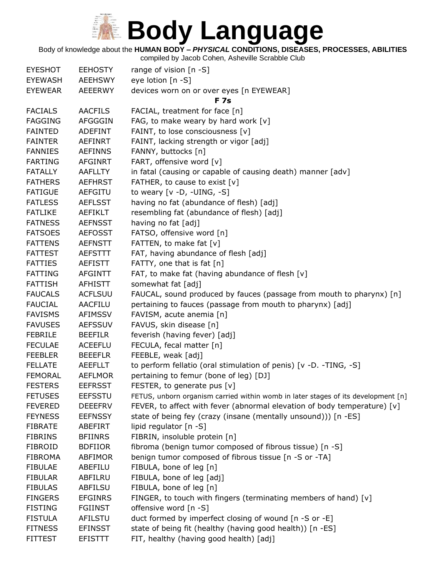Body of knowledge about the **HUMAN BODY –** *PHYSICAL* **CONDITIONS, DISEASES, PROCESSES, ABILITIES**

| <b>EYESHOT</b> | <b>EEHOSTY</b> | range of vision $[n - S]$                                                         |
|----------------|----------------|-----------------------------------------------------------------------------------|
| <b>EYEWASH</b> | <b>AEEHSWY</b> | eye lotion [n -S]                                                                 |
| <b>EYEWEAR</b> | <b>AEEERWY</b> | devices worn on or over eyes [n EYEWEAR]                                          |
|                |                | <b>F7s</b>                                                                        |
| <b>FACIALS</b> | <b>AACFILS</b> | FACIAL, treatment for face [n]                                                    |
| <b>FAGGING</b> | <b>AFGGGIN</b> | FAG, to make weary by hard work $[v]$                                             |
| <b>FAINTED</b> | <b>ADEFINT</b> | FAINT, to lose consciousness [v]                                                  |
| <b>FAINTER</b> | <b>AEFINRT</b> | FAINT, lacking strength or vigor [adj]                                            |
| <b>FANNIES</b> | <b>AEFINNS</b> | FANNY, buttocks [n]                                                               |
| <b>FARTING</b> | <b>AFGINRT</b> | FART, offensive word [v]                                                          |
| <b>FATALLY</b> | <b>AAFLLTY</b> | in fatal (causing or capable of causing death) manner [adv]                       |
| <b>FATHERS</b> | <b>AEFHRST</b> | FATHER, to cause to exist [v]                                                     |
| <b>FATIGUE</b> | <b>AEFGITU</b> | to weary $[v -D, -UING, -S]$                                                      |
| <b>FATLESS</b> | <b>AEFLSST</b> | having no fat (abundance of flesh) [adj]                                          |
| <b>FATLIKE</b> | AEFIKLT        | resembling fat (abundance of flesh) [adj]                                         |
| <b>FATNESS</b> | <b>AEFNSST</b> | having no fat [adj]                                                               |
| <b>FATSOES</b> | <b>AEFOSST</b> | FATSO, offensive word [n]                                                         |
| <b>FATTENS</b> | <b>AEFNSTT</b> | FATTEN, to make fat [v]                                                           |
| <b>FATTEST</b> | <b>AEFSTTT</b> | FAT, having abundance of flesh [adj]                                              |
| <b>FATTIES</b> | AEFISTT        | FATTY, one that is fat [n]                                                        |
| <b>FATTING</b> | <b>AFGINTT</b> | FAT, to make fat (having abundance of flesh [v]                                   |
| <b>FATTISH</b> | <b>AFHISTT</b> | somewhat fat [adj]                                                                |
| <b>FAUCALS</b> | <b>ACFLSUU</b> | FAUCAL, sound produced by fauces (passage from mouth to pharynx) [n]              |
| <b>FAUCIAL</b> | <b>AACFILU</b> | pertaining to fauces (passage from mouth to pharynx) [adj]                        |
| <b>FAVISMS</b> | <b>AFIMSSV</b> | FAVISM, acute anemia [n]                                                          |
| <b>FAVUSES</b> | <b>AEFSSUV</b> | FAVUS, skin disease [n]                                                           |
| <b>FEBRILE</b> | <b>BEEFILR</b> | feverish (having fever) [adj]                                                     |
| <b>FECULAE</b> | <b>ACEEFLU</b> | FECULA, fecal matter [n]                                                          |
| <b>FEEBLER</b> | <b>BEEEFLR</b> | FEEBLE, weak [adj]                                                                |
| <b>FELLATE</b> | <b>AEEFLLT</b> | to perform fellatio (oral stimulation of penis) [v -D. -TING, -S]                 |
| <b>FEMORAL</b> | <b>AEFLMOR</b> | pertaining to femur (bone of leg) [DJ]                                            |
| <b>FESTERS</b> | <b>EEFRSST</b> | FESTER, to generate pus [v]                                                       |
| <b>FETUSES</b> | <b>EEFSSTU</b> | FETUS, unborn organism carried within womb in later stages of its development [n] |
| <b>FEVERED</b> | <b>DEEEFRV</b> | FEVER, to affect with fever (abnormal elevation of body temperature) $[v]$        |
| <b>FEYNESS</b> | <b>EEFNSSY</b> | state of being fey (crazy (insane (mentally unsound))) [n -ES]                    |
| <b>FIBRATE</b> | ABEFIRT        | lipid regulator [n -S]                                                            |
| <b>FIBRINS</b> | <b>BFIINRS</b> | FIBRIN, insoluble protein [n]                                                     |
| <b>FIBROID</b> | <b>BDFIIOR</b> | fibroma (benign tumor composed of fibrous tissue) [n -S]                          |
| <b>FIBROMA</b> | <b>ABFIMOR</b> | benign tumor composed of fibrous tissue [n -S or -TA]                             |
| <b>FIBULAE</b> | ABEFILU        | FIBULA, bone of leg [n]                                                           |
| <b>FIBULAR</b> | ABFILRU        | FIBULA, bone of leg [adj]                                                         |
| <b>FIBULAS</b> | <b>ABFILSU</b> | FIBULA, bone of leg [n]                                                           |
| <b>FINGERS</b> | <b>EFGINRS</b> | FINGER, to touch with fingers (terminating members of hand) [v]                   |
| <b>FISTING</b> | <b>FGIINST</b> | offensive word [n -S]                                                             |
| <b>FISTULA</b> | AFILSTU        | duct formed by imperfect closing of wound [n -S or -E]                            |
| <b>FITNESS</b> | <b>EFINSST</b> | state of being fit (healthy (having good health)) [n -ES]                         |
| <b>FITTEST</b> | <b>EFISTTT</b> | FIT, healthy (having good health) [adj]                                           |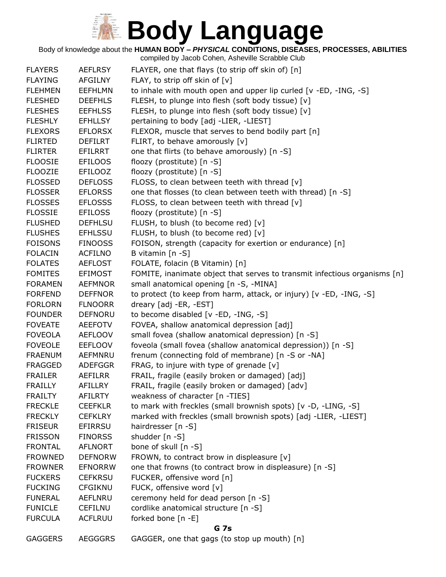Body of knowledge about the **HUMAN BODY –** *PHYSICAL* **CONDITIONS, DISEASES, PROCESSES, ABILITIES**

| <b>FLAYERS</b> | <b>AEFLRSY</b> | FLAYER, one that flays (to strip off skin of) [n]                         |
|----------------|----------------|---------------------------------------------------------------------------|
| <b>FLAYING</b> | <b>AFGILNY</b> | FLAY, to strip off skin of [v]                                            |
| <b>FLEHMEN</b> | <b>EEFHLMN</b> | to inhale with mouth open and upper lip curled [v -ED, -ING, -S]          |
| <b>FLESHED</b> | <b>DEEFHLS</b> | FLESH, to plunge into flesh (soft body tissue) [v]                        |
| <b>FLESHES</b> | <b>EEFHLSS</b> | FLESH, to plunge into flesh (soft body tissue) [v]                        |
| <b>FLESHLY</b> | <b>EFHLLSY</b> | pertaining to body [adj -LIER, -LIEST]                                    |
| <b>FLEXORS</b> | <b>EFLORSX</b> | FLEXOR, muscle that serves to bend bodily part [n]                        |
| <b>FLIRTED</b> | <b>DEFILRT</b> | FLIRT, to behave amorously [v]                                            |
| <b>FLIRTER</b> | EFILRRT        | one that flirts (to behave amorously) [n -S]                              |
| <b>FLOOSIE</b> | <b>EFILOOS</b> | floozy (prostitute) [n -S]                                                |
| <b>FLOOZIE</b> | <b>EFILOOZ</b> | floozy (prostitute) [n -S]                                                |
| <b>FLOSSED</b> | <b>DEFLOSS</b> | FLOSS, to clean between teeth with thread [v]                             |
| <b>FLOSSER</b> | <b>EFLORSS</b> | one that flosses (to clean between teeth with thread) [n -S]              |
| <b>FLOSSES</b> | <b>EFLOSSS</b> | FLOSS, to clean between teeth with thread [v]                             |
| <b>FLOSSIE</b> | <b>EFILOSS</b> | floozy (prostitute) [n -S]                                                |
| <b>FLUSHED</b> | <b>DEFHLSU</b> | FLUSH, to blush (to become red) [v]                                       |
| <b>FLUSHES</b> | <b>EFHLSSU</b> | FLUSH, to blush (to become red) [v]                                       |
| <b>FOISONS</b> | <b>FINOOSS</b> | FOISON, strength (capacity for exertion or endurance) [n]                 |
| <b>FOLACIN</b> | <b>ACFILNO</b> | B vitamin $[n - S]$                                                       |
| <b>FOLATES</b> | <b>AEFLOST</b> | FOLATE, folacin (B Vitamin) [n]                                           |
| <b>FOMITES</b> | <b>EFIMOST</b> | FOMITE, inanimate object that serves to transmit infectious organisms [n] |
| <b>FORAMEN</b> | <b>AEFMNOR</b> | small anatomical opening [n -S, -MINA]                                    |
| <b>FORFEND</b> | <b>DEFFNOR</b> | to protect (to keep from harm, attack, or injury) [v -ED, -ING, -S]       |
| <b>FORLORN</b> | <b>FLNOORR</b> | dreary [adj -ER, -EST]                                                    |
| <b>FOUNDER</b> | <b>DEFNORU</b> | to become disabled [v -ED, -ING, -S]                                      |
| <b>FOVEATE</b> | <b>AEEFOTV</b> | FOVEA, shallow anatomical depression [adj]                                |
| <b>FOVEOLA</b> | <b>AEFLOOV</b> | small fovea (shallow anatomical depression) [n -S]                        |
| <b>FOVEOLE</b> | <b>EEFLOOV</b> | foveola (small fovea (shallow anatomical depression)) [n -S]              |
| <b>FRAENUM</b> | <b>AEFMNRU</b> | frenum (connecting fold of membrane) [n -S or -NA]                        |
| <b>FRAGGED</b> | <b>ADEFGGR</b> | FRAG, to injure with type of grenade $[v]$                                |
| <b>FRAILER</b> | AEFILRR        | FRAIL, fragile (easily broken or damaged) [adj]                           |
| <b>FRAILLY</b> | <b>AFILLRY</b> | FRAIL, fragile (easily broken or damaged) [adv]                           |
| <b>FRAILTY</b> | <b>AFILRTY</b> | weakness of character [n -TIES]                                           |
| <b>FRECKLE</b> | <b>CEEFKLR</b> | to mark with freckles (small brownish spots) [v -D, -LING, -S]            |
| <b>FRECKLY</b> | <b>CEFKLRY</b> | marked with freckles (small brownish spots) [adj -LIER, -LIEST]           |
| <b>FRISEUR</b> | <b>EFIRRSU</b> | hairdresser [n -S]                                                        |
| <b>FRISSON</b> | <b>FINORSS</b> | shudder [n -S]                                                            |
| <b>FRONTAL</b> | <b>AFLNORT</b> | bone of skull [n -S]                                                      |
| <b>FROWNED</b> | <b>DEFNORW</b> | FROWN, to contract brow in displeasure [v]                                |
| <b>FROWNER</b> | <b>EFNORRW</b> | one that frowns (to contract brow in displeasure) [n -S]                  |
| <b>FUCKERS</b> | <b>CEFKRSU</b> | FUCKER, offensive word [n]                                                |
| <b>FUCKING</b> | <b>CFGIKNU</b> | FUCK, offensive word [v]                                                  |
| <b>FUNERAL</b> | AEFLNRU        | ceremony held for dead person [n -S]                                      |
| <b>FUNICLE</b> | <b>CEFILNU</b> | cordlike anatomical structure [n -S]                                      |
| <b>FURCULA</b> | <b>ACFLRUU</b> | forked bone [n -E]                                                        |
|                |                | G 7s                                                                      |
| <b>GAGGERS</b> | <b>AEGGGRS</b> | GAGGER, one that gags (to stop up mouth) [n]                              |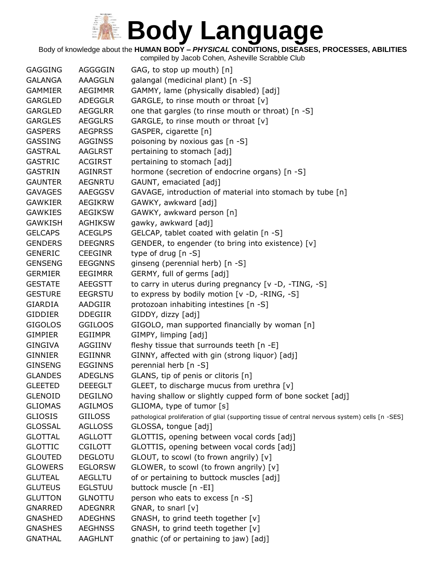Body of knowledge about the **HUMAN BODY –** *PHYSICAL* **CONDITIONS, DISEASES, PROCESSES, ABILITIES**

| <b>GAGGING</b> | AGGGGIN        | GAG, to stop up mouth) [n]                                                                       |
|----------------|----------------|--------------------------------------------------------------------------------------------------|
| <b>GALANGA</b> | AAAGGLN        | galangal (medicinal plant) [n -S]                                                                |
| <b>GAMMIER</b> | <b>AEGIMMR</b> | GAMMY, lame (physically disabled) [adj]                                                          |
| <b>GARGLED</b> | <b>ADEGGLR</b> | GARGLE, to rinse mouth or throat [v]                                                             |
| <b>GARGLED</b> | <b>AEGGLRR</b> | one that gargles (to rinse mouth or throat) [n -S]                                               |
| <b>GARGLES</b> | <b>AEGGLRS</b> | GARGLE, to rinse mouth or throat [v]                                                             |
| <b>GASPERS</b> | <b>AEGPRSS</b> | GASPER, cigarette [n]                                                                            |
| <b>GASSING</b> | <b>AGGINSS</b> | poisoning by noxious gas [n -S]                                                                  |
| <b>GASTRAL</b> | <b>AAGLRST</b> | pertaining to stomach [adj]                                                                      |
| <b>GASTRIC</b> | <b>ACGIRST</b> | pertaining to stomach [adj]                                                                      |
| <b>GASTRIN</b> | <b>AGINRST</b> | hormone (secretion of endocrine organs) [n -S]                                                   |
| <b>GAUNTER</b> | <b>AEGNRTU</b> | GAUNT, emaciated [adj]                                                                           |
| <b>GAVAGES</b> | AAEGGSV        | GAVAGE, introduction of material into stomach by tube [n]                                        |
| <b>GAWKIER</b> | AEGIKRW        | GAWKY, awkward [adj]                                                                             |
| <b>GAWKIES</b> | <b>AEGIKSW</b> | GAWKY, awkward person [n]                                                                        |
| <b>GAWKISH</b> | <b>AGHIKSW</b> | gawky, awkward [adj]                                                                             |
| <b>GELCAPS</b> | <b>ACEGLPS</b> | GELCAP, tablet coated with gelatin [n -S]                                                        |
| <b>GENDERS</b> | <b>DEEGNRS</b> | GENDER, to engender (to bring into existence) [v]                                                |
| <b>GENERIC</b> | <b>CEEGINR</b> | type of drug [n -S]                                                                              |
| <b>GENSENG</b> | <b>EEGGNNS</b> | ginseng (perennial herb) [n -S]                                                                  |
| <b>GERMIER</b> | <b>EEGIMRR</b> | GERMY, full of germs [adj]                                                                       |
| <b>GESTATE</b> | <b>AEEGSTT</b> | to carry in uterus during pregnancy [v -D, -TING, -S]                                            |
| <b>GESTURE</b> | <b>EEGRSTU</b> | to express by bodily motion [v -D, -RING, -S]                                                    |
| <b>GIARDIA</b> | AADGIIR        | protozoan inhabiting intestines [n -S]                                                           |
| <b>GIDDIER</b> | <b>DDEGIIR</b> | GIDDY, dizzy [adj]                                                                               |
| <b>GIGOLOS</b> | <b>GGILOOS</b> | GIGOLO, man supported financially by woman [n]                                                   |
| <b>GIMPIER</b> | <b>EGIIMPR</b> | GIMPY, limping [adj]                                                                             |
| <b>GINGIVA</b> | AGGIINV        | fleshy tissue that surrounds teeth [n -E]                                                        |
| <b>GINNIER</b> | <b>EGIINNR</b> | GINNY, affected with gin (strong liquor) [adj]                                                   |
| <b>GINSENG</b> | <b>EGGINNS</b> | perennial herb [n -S]                                                                            |
| <b>GLANDES</b> | <b>ADEGLNS</b> | GLANS, tip of penis or clitoris [n]                                                              |
| <b>GLEETED</b> | <b>DEEEGLT</b> | GLEET, to discharge mucus from urethra [v]                                                       |
| <b>GLENOID</b> | <b>DEGILNO</b> | having shallow or slightly cupped form of bone socket [adj]                                      |
| <b>GLIOMAS</b> | <b>AGILMOS</b> | GLIOMA, type of tumor [s]                                                                        |
| <b>GLIOSIS</b> | <b>GIILOSS</b> | pathological proliferation of glial (supporting tissue of central nervous system) cells [n -SES] |
| <b>GLOSSAL</b> | <b>AGLLOSS</b> | GLOSSA, tongue [adj]                                                                             |
| <b>GLOTTAL</b> | <b>AGLLOTT</b> | GLOTTIS, opening between vocal cords [adj]                                                       |
| <b>GLOTTIC</b> | <b>CGILOTT</b> | GLOTTIS, opening between vocal cords [adj]                                                       |
| <b>GLOUTED</b> | <b>DEGLOTU</b> | GLOUT, to scowl (to frown angrily) [v]                                                           |
| <b>GLOWERS</b> | <b>EGLORSW</b> | GLOWER, to scowl (to frown angrily) [v]                                                          |
| <b>GLUTEAL</b> | <b>AEGLLTU</b> | of or pertaining to buttock muscles [adj]                                                        |
| <b>GLUTEUS</b> | <b>EGLSTUU</b> | buttock muscle [n -EI]                                                                           |
| <b>GLUTTON</b> | <b>GLNOTTU</b> | person who eats to excess [n -S]                                                                 |
| <b>GNARRED</b> | <b>ADEGNRR</b> | GNAR, to snarl $[v]$                                                                             |
| <b>GNASHED</b> | <b>ADEGHNS</b> | GNASH, to grind teeth together [v]                                                               |
| <b>GNASHES</b> | <b>AEGHNSS</b> | GNASH, to grind teeth together [v]                                                               |
| <b>GNATHAL</b> | <b>AAGHLNT</b> | gnathic (of or pertaining to jaw) [adj]                                                          |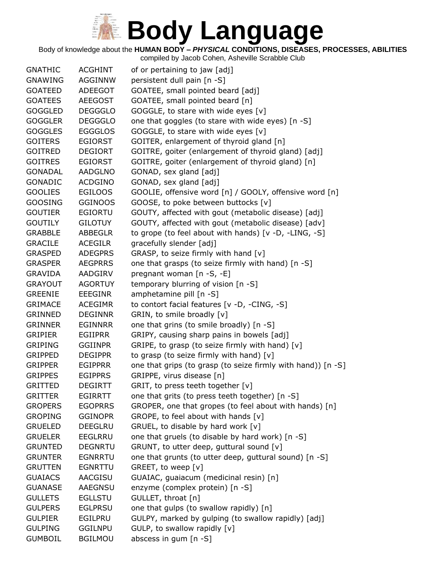Body of knowledge about the **HUMAN BODY –** *PHYSICAL* **CONDITIONS, DISEASES, PROCESSES, ABILITIES**

| <b>GNATHIC</b> | ACGHINT        | of or pertaining to jaw [adj]                                |
|----------------|----------------|--------------------------------------------------------------|
| <b>GNAWING</b> | <b>AGGINNW</b> | persistent dull pain [n -S]                                  |
| <b>GOATEED</b> | ADEEGOT        | GOATEE, small pointed beard [adj]                            |
| <b>GOATEES</b> | <b>AEEGOST</b> | GOATEE, small pointed beard [n]                              |
| <b>GOGGLED</b> | <b>DEGGGLO</b> | GOGGLE, to stare with wide eyes [v]                          |
| <b>GOGGLER</b> | <b>DEGGGLO</b> | one that goggles (to stare with wide eyes) [n -S]            |
| <b>GOGGLES</b> | <b>EGGGLOS</b> | GOGGLE, to stare with wide eyes [v]                          |
| <b>GOITERS</b> | <b>EGIORST</b> | GOITER, enlargement of thyroid gland [n]                     |
| <b>GOITRED</b> | <b>DEGIORT</b> | GOITRE, goiter (enlargement of thyroid gland) [adj]          |
| <b>GOITRES</b> | <b>EGIORST</b> | GOITRE, goiter (enlargement of thyroid gland) [n]            |
| <b>GONADAL</b> | <b>AADGLNO</b> | GONAD, sex gland [adj]                                       |
| <b>GONADIC</b> | <b>ACDGINO</b> | GONAD, sex gland [adj]                                       |
| <b>GOOLIES</b> | <b>EGILOOS</b> | GOOLIE, offensive word [n] / GOOLY, offensive word [n]       |
| <b>GOOSING</b> | <b>GGINOOS</b> | GOOSE, to poke between buttocks [v]                          |
| <b>GOUTIER</b> | EGIORTU        | GOUTY, affected with gout (metabolic disease) [adj]          |
| <b>GOUTILY</b> | <b>GILOTUY</b> | GOUTY, affected with gout (metabolic disease) [adv]          |
| <b>GRABBLE</b> | <b>ABBEGLR</b> | to grope (to feel about with hands) [v -D, -LING, -S]        |
| <b>GRACILE</b> | <b>ACEGILR</b> | gracefully slender [adj]                                     |
| <b>GRASPED</b> | <b>ADEGPRS</b> | GRASP, to seize firmly with hand [v]                         |
| <b>GRASPER</b> | <b>AEGPRRS</b> | one that grasps (to seize firmly with hand) [n -S]           |
| <b>GRAVIDA</b> | AADGIRV        | pregnant woman [n -S, -E]                                    |
| <b>GRAYOUT</b> | <b>AGORTUY</b> | temporary blurring of vision [n -S]                          |
| <b>GREENIE</b> | EEEGINR        | amphetamine pill [n -S]                                      |
| <b>GRIMACE</b> | <b>ACEGIMR</b> | to contort facial features [v -D, -CING, -S]                 |
| <b>GRINNED</b> | <b>DEGINNR</b> | GRIN, to smile broadly [v]                                   |
| <b>GRINNER</b> | <b>EGINNRR</b> | one that grins (to smile broadly) [n -S]                     |
| <b>GRIPIER</b> | <b>EGIIPRR</b> | GRIPY, causing sharp pains in bowels [adj]                   |
| <b>GRIPING</b> | <b>GGIINPR</b> | GRIPE, to grasp (to seize firmly with hand) [v]              |
| GRIPPED        | <b>DEGIPPR</b> | to grasp (to seize firmly with hand) $[v]$                   |
| <b>GRIPPER</b> | <b>EGIPPRR</b> | one that grips (to grasp (to seize firmly with hand)) [n -S] |
| <b>GRIPPES</b> | <b>EGIPPRS</b> | GRIPPE, virus disease [n]                                    |
| <b>GRITTED</b> | <b>DEGIRTT</b> | GRIT, to press teeth together [v]                            |
| <b>GRITTER</b> | <b>EGIRRTT</b> | one that grits (to press teeth together) [n -S]              |
| <b>GROPERS</b> | <b>EGOPRRS</b> | GROPER, one that gropes (to feel about with hands) [n]       |
| <b>GROPING</b> | <b>GGINOPR</b> | GROPE, to feel about with hands [v]                          |
| <b>GRUELED</b> | <b>DEEGLRU</b> | GRUEL, to disable by hard work [v]                           |
| <b>GRUELER</b> | <b>EEGLRRU</b> | one that gruels (to disable by hard work) [n -S]             |
| <b>GRUNTED</b> | <b>DEGNRTU</b> | GRUNT, to utter deep, guttural sound [v]                     |
| <b>GRUNTER</b> | <b>EGNRRTU</b> | one that grunts (to utter deep, guttural sound) [n -S]       |
| <b>GRUTTEN</b> | EGNRTTU        | GREET, to weep [v]                                           |
| <b>GUAIACS</b> | <b>AACGISU</b> | GUAIAC, guaiacum (medicinal resin) [n]                       |
| <b>GUANASE</b> | AAEGNSU        | enzyme (complex protein) [n -S]                              |
| <b>GULLETS</b> | <b>EGLLSTU</b> | GULLET, throat [n]                                           |
| <b>GULPERS</b> | <b>EGLPRSU</b> | one that gulps (to swallow rapidly) [n]                      |
| <b>GULPIER</b> | EGILPRU        | GULPY, marked by gulping (to swallow rapidly) [adj]          |
| <b>GULPING</b> | <b>GGILNPU</b> | GULP, to swallow rapidly [v]                                 |
| <b>GUMBOIL</b> | <b>BGILMOU</b> | abscess in gum [n -S]                                        |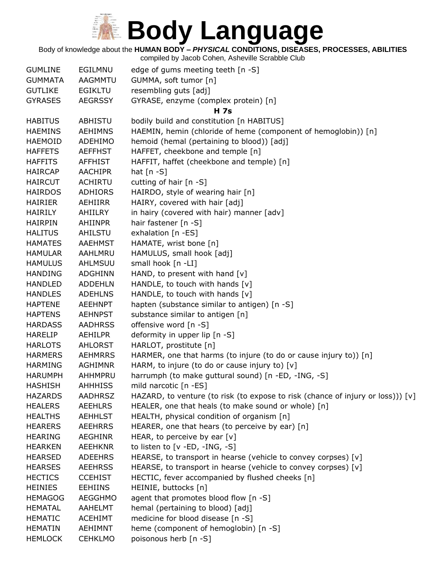

Body of knowledge about the **HUMAN BODY –** *PHYSICAL* **CONDITIONS, DISEASES, PROCESSES, ABILITIES**

| <b>GUMLINE</b> | EGILMNU        | edge of gums meeting teeth [n -S]                                               |
|----------------|----------------|---------------------------------------------------------------------------------|
| <b>GUMMATA</b> | AAGMMTU        | GUMMA, soft tumor [n]                                                           |
| <b>GUTLIKE</b> | <b>EGIKLTU</b> | resembling guts [adj]                                                           |
| <b>GYRASES</b> | <b>AEGRSSY</b> | GYRASE, enzyme (complex protein) [n]                                            |
| <b>HABITUS</b> | ABHISTU        | H 7s<br>bodily build and constitution [n HABITUS]                               |
| <b>HAEMINS</b> | <b>AEHIMNS</b> | HAEMIN, hemin (chloride of heme (component of hemoglobin)) [n]                  |
| <b>HAEMOID</b> | <b>ADEHIMO</b> | hemoid (hemal (pertaining to blood)) [adj]                                      |
| <b>HAFFETS</b> | <b>AEFFHST</b> | HAFFET, cheekbone and temple [n]                                                |
| <b>HAFFITS</b> | <b>AFFHIST</b> | HAFFIT, haffet (cheekbone and temple) [n]                                       |
| <b>HAIRCAP</b> | <b>AACHIPR</b> | hat $[n - S]$                                                                   |
| <b>HAIRCUT</b> | <b>ACHIRTU</b> | cutting of hair $[n - S]$                                                       |
| <b>HAIRDOS</b> | <b>ADHIORS</b> | HAIRDO, style of wearing hair [n]                                               |
| <b>HAIRIER</b> | AEHIIRR        | HAIRY, covered with hair [adj]                                                  |
| <b>HAIRILY</b> | AHIILRY        | in hairy (covered with hair) manner [adv]                                       |
| <b>HAIRPIN</b> | AHIINPR        | hair fastener [n -S]                                                            |
| <b>HALITUS</b> | AHILSTU        | exhalation [n -ES]                                                              |
| <b>HAMATES</b> | <b>AAEHMST</b> | HAMATE, wrist bone [n]                                                          |
| <b>HAMULAR</b> | AAHLMRU        | HAMULUS, small hook [adj]                                                       |
| <b>HAMULUS</b> | AHLMSUU        | small hook [n -LI]                                                              |
| <b>HANDING</b> | <b>ADGHINN</b> | HAND, to present with hand $[v]$                                                |
| <b>HANDLED</b> | <b>ADDEHLN</b> | HANDLE, to touch with hands [v]                                                 |
| <b>HANDLES</b> | <b>ADEHLNS</b> | HANDLE, to touch with hands [v]                                                 |
| <b>HAPTENE</b> | <b>AEEHNPT</b> | hapten (substance similar to antigen) [n -S]                                    |
| <b>HAPTENS</b> | <b>AEHNPST</b> | substance similar to antigen [n]                                                |
| <b>HARDASS</b> | <b>AADHRSS</b> | offensive word [n -S]                                                           |
| <b>HARELIP</b> | <b>AEHILPR</b> | deformity in upper lip [n -S]                                                   |
| <b>HARLOTS</b> | <b>AHLORST</b> | HARLOT, prostitute [n]                                                          |
| <b>HARMERS</b> | <b>AEHMRRS</b> | HARMER, one that harms (to injure (to do or cause injury to)) [n]               |
| <b>HARMING</b> | <b>AGHIMNR</b> | HARM, to injure (to do or cause injury to) [v]                                  |
| <b>HARUMPH</b> | AHHMPRU        | harrumph (to make guttural sound) [n -ED, -ING, -S]                             |
| <b>HASHISH</b> | <b>AHHHISS</b> | mild narcotic [n -ES]                                                           |
| <b>HAZARDS</b> | <b>AADHRSZ</b> | HAZARD, to venture (to risk (to expose to risk (chance of injury or loss))) [v] |
| <b>HEALERS</b> | <b>AEEHLRS</b> | HEALER, one that heals (to make sound or whole) [n]                             |
| <b>HEALTHS</b> | <b>AEHHLST</b> | HEALTH, physical condition of organism [n]                                      |
| <b>HEARERS</b> | <b>AEEHRRS</b> | HEARER, one that hears (to perceive by ear) [n]                                 |
| <b>HEARING</b> | <b>AEGHINR</b> | HEAR, to perceive by ear $[v]$                                                  |
| <b>HEARKEN</b> | <b>AEEHKNR</b> | to listen to [v -ED, -ING, -S]                                                  |
| <b>HEARSED</b> | <b>ADEEHRS</b> | HEARSE, to transport in hearse (vehicle to convey corpses) [v]                  |
| <b>HEARSES</b> | <b>AEEHRSS</b> | HEARSE, to transport in hearse (vehicle to convey corpses) [v]                  |
| <b>HECTICS</b> | <b>CCEHIST</b> | HECTIC, fever accompanied by flushed cheeks [n]                                 |
| <b>HEINIES</b> | <b>EEHIINS</b> | HEINIE, buttocks [n]                                                            |
| <b>HEMAGOG</b> | <b>AEGGHMO</b> | agent that promotes blood flow [n -S]                                           |
| <b>HEMATAL</b> | AAHELMT        | hemal (pertaining to blood) [adj]                                               |
| <b>HEMATIC</b> | <b>ACEHIMT</b> | medicine for blood disease [n -S]                                               |
| <b>HEMATIN</b> | AEHIMNT        | heme (component of hemoglobin) [n -S]                                           |
| <b>HEMLOCK</b> | <b>CEHKLMO</b> | poisonous herb [n -S]                                                           |
|                |                |                                                                                 |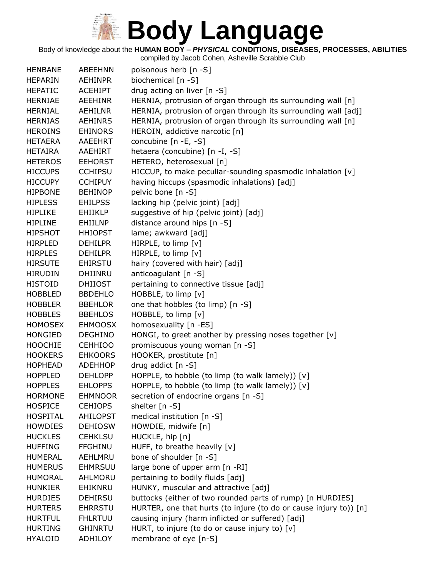Body of knowledge about the **HUMAN BODY –** *PHYSICAL* **CONDITIONS, DISEASES, PROCESSES, ABILITIES**

| <b>HENBANE</b>  | <b>ABEEHNN</b>  | poisonous herb [n -S]                                             |
|-----------------|-----------------|-------------------------------------------------------------------|
| <b>HEPARIN</b>  | <b>AEHINPR</b>  | biochemical [n -S]                                                |
| <b>HEPATIC</b>  | <b>ACEHIPT</b>  | drug acting on liver [n -S]                                       |
| <b>HERNIAE</b>  | <b>AEEHINR</b>  | HERNIA, protrusion of organ through its surrounding wall [n]      |
| <b>HERNIAL</b>  | AEHILNR         | HERNIA, protrusion of organ through its surrounding wall [adj]    |
| <b>HERNIAS</b>  | <b>AEHINRS</b>  | HERNIA, protrusion of organ through its surrounding wall [n]      |
| <b>HEROINS</b>  | <b>EHINORS</b>  | HEROIN, addictive narcotic [n]                                    |
| <b>HETAERA</b>  | <b>AAEEHRT</b>  | concubine [n -E, -S]                                              |
| <b>HETAIRA</b>  | AAEHIRT         | hetaera (concubine) [n -I, -S]                                    |
| <b>HETEROS</b>  | <b>EEHORST</b>  | HETERO, heterosexual [n]                                          |
| <b>HICCUPS</b>  | <b>CCHIPSU</b>  | HICCUP, to make peculiar-sounding spasmodic inhalation [v]        |
| <b>HICCUPY</b>  | <b>CCHIPUY</b>  | having hiccups (spasmodic inhalations) [adj]                      |
| <b>HIPBONE</b>  | <b>BEHINOP</b>  | pelvic bone [n -S]                                                |
| <b>HIPLESS</b>  | <b>EHILPSS</b>  | lacking hip (pelvic joint) [adj]                                  |
| <b>HIPLIKE</b>  | <b>EHIIKLP</b>  | suggestive of hip (pelvic joint) [adj]                            |
| <b>HIPLINE</b>  | EHIILNP         | distance around hips [n -S]                                       |
| <b>HIPSHOT</b>  | <b>HHIOPST</b>  | lame; awkward [adj]                                               |
| <b>HIRPLED</b>  | <b>DEHILPR</b>  | HIRPLE, to limp [v]                                               |
| <b>HIRPLES</b>  | <b>DEHILPR</b>  | HIRPLE, to limp [v]                                               |
| <b>HIRSUTE</b>  | <b>EHIRSTU</b>  | hairy (covered with hair) [adj]                                   |
| <b>HIRUDIN</b>  | <b>DHIINRU</b>  | anticoagulant $[n - S]$                                           |
| <b>HISTOID</b>  | <b>DHIIOST</b>  | pertaining to connective tissue [adj]                             |
| <b>HOBBLED</b>  | <b>BBDEHLO</b>  | HOBBLE, to limp [v]                                               |
| <b>HOBBLER</b>  | <b>BBEHLOR</b>  | one that hobbles (to limp) [n -S]                                 |
| <b>HOBBLES</b>  | <b>BBEHLOS</b>  | HOBBLE, to limp [v]                                               |
| <b>HOMOSEX</b>  | <b>EHMOOSX</b>  | homosexuality [n -ES]                                             |
| <b>HONGIED</b>  | <b>DEGHINO</b>  | HONGI, to greet another by pressing noses together [v]            |
| <b>HOOCHIE</b>  | <b>CEHHIOO</b>  | promiscuous young woman [n -S]                                    |
| <b>HOOKERS</b>  | <b>EHKOORS</b>  | HOOKER, prostitute [n]                                            |
| <b>HOPHEAD</b>  | <b>ADEHHOP</b>  | drug addict [n -S]                                                |
| <b>HOPPLED</b>  | <b>DEHLOPP</b>  | HOPPLE, to hobble (to limp (to walk lamely)) [v]                  |
| <b>HOPPLES</b>  | <b>EHLOPPS</b>  | HOPPLE, to hobble (to limp (to walk lamely)) [v]                  |
| <b>HORMONE</b>  | <b>EHMNOOR</b>  | secretion of endocrine organs [n -S]                              |
| <b>HOSPICE</b>  | <b>CEHIOPS</b>  | shelter [n -S]                                                    |
| <b>HOSPITAL</b> | <b>AHILOPST</b> | medical institution [n -S]                                        |
| <b>HOWDIES</b>  | <b>DEHIOSW</b>  | HOWDIE, midwife [n]                                               |
| <b>HUCKLES</b>  | <b>CEHKLSU</b>  | HUCKLE, hip [n]                                                   |
| <b>HUFFING</b>  | <b>FFGHINU</b>  | HUFF, to breathe heavily [v]                                      |
| <b>HUMERAL</b>  | AEHLMRU         | bone of shoulder [n -S]                                           |
| <b>HUMERUS</b>  | <b>EHMRSUU</b>  | large bone of upper arm [n -RI]                                   |
| <b>HUMORAL</b>  | AHLMORU         | pertaining to bodily fluids [adj]                                 |
| <b>HUNKIER</b>  | EHIKNRU         | HUNKY, muscular and attractive [adj]                              |
| <b>HURDIES</b>  | <b>DEHIRSU</b>  | buttocks (either of two rounded parts of rump) [n HURDIES]        |
| <b>HURTERS</b>  | <b>EHRRSTU</b>  | HURTER, one that hurts (to injure (to do or cause injury to)) [n] |
| <b>HURTFUL</b>  | <b>FHLRTUU</b>  | causing injury (harm inflicted or suffered) [adj]                 |
| <b>HURTING</b>  | <b>GHINRTU</b>  | HURT, to injure (to do or cause injury to) [v]                    |
| <b>HYALOID</b>  | <b>ADHILOY</b>  | membrane of eye [n-S]                                             |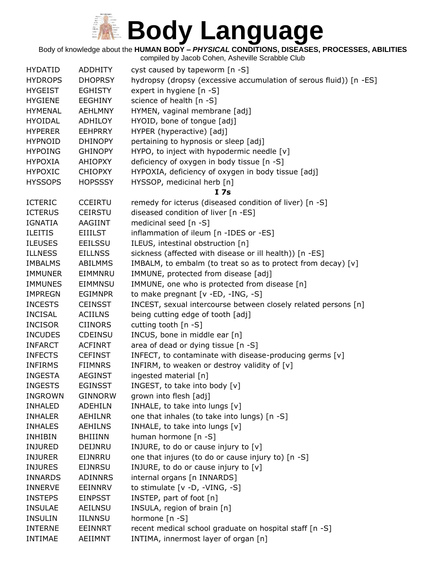Body of knowledge about the **HUMAN BODY –** *PHYSICAL* **CONDITIONS, DISEASES, PROCESSES, ABILITIES**

| <b>HYDATID</b> | <b>ADDHITY</b> | cyst caused by tapeworm [n -S]                                     |
|----------------|----------------|--------------------------------------------------------------------|
| <b>HYDROPS</b> | <b>DHOPRSY</b> | hydropsy (dropsy (excessive accumulation of serous fluid)) [n -ES] |
| <b>HYGEIST</b> | <b>EGHISTY</b> | expert in hygiene [n -S]                                           |
| <b>HYGIENE</b> | <b>EEGHINY</b> | science of health [n -S]                                           |
| <b>HYMENAL</b> | <b>AEHLMNY</b> | HYMEN, vaginal membrane [adj]                                      |
| <b>HYOIDAL</b> | ADHILOY        | HYOID, bone of tongue [adj]                                        |
| <b>HYPERER</b> | <b>EEHPRRY</b> | HYPER (hyperactive) [adj]                                          |
| <b>HYPNOID</b> | <b>DHINOPY</b> | pertaining to hypnosis or sleep [adj]                              |
| <b>HYPOING</b> | <b>GHINOPY</b> | HYPO, to inject with hypodermic needle [v]                         |
| <b>HYPOXIA</b> | <b>AHIOPXY</b> | deficiency of oxygen in body tissue [n -S]                         |
| <b>HYPOXIC</b> | <b>CHIOPXY</b> | HYPOXIA, deficiency of oxygen in body tissue [adj]                 |
| <b>HYSSOPS</b> | <b>HOPSSSY</b> | HYSSOP, medicinal herb [n]                                         |
|                |                | I <sub>7s</sub>                                                    |
| <b>ICTERIC</b> | <b>CCEIRTU</b> | remedy for icterus (diseased condition of liver) [n -S]            |
| <b>ICTERUS</b> | <b>CEIRSTU</b> | diseased condition of liver [n -ES]                                |
| <b>IGNATIA</b> | AAGIINT        | medicinal seed [n -S]                                              |
| <b>ILEITIS</b> | <b>EIIILST</b> | inflammation of ileum [n -IDES or -ES]                             |
| <b>ILEUSES</b> | <b>EEILSSU</b> | ILEUS, intestinal obstruction [n]                                  |
| <b>ILLNESS</b> | <b>EILLNSS</b> | sickness (affected with disease or ill health)) [n -ES]            |
| <b>IMBALMS</b> | <b>ABILMMS</b> | IMBALM, to embalm (to treat so as to protect from decay) [v]       |
| <b>IMMUNER</b> | EIMMNRU        | IMMUNE, protected from disease [adj]                               |
| <b>IMMUNES</b> | EIMMNSU        | IMMUNE, one who is protected from disease [n]                      |
| <b>IMPREGN</b> | <b>EGIMNPR</b> | to make pregnant [v -ED, -ING, -S]                                 |
| <b>INCESTS</b> | <b>CEINSST</b> | INCEST, sexual intercourse between closely related persons [n]     |
| <b>INCISAL</b> | <b>ACIILNS</b> | being cutting edge of tooth [adj]                                  |
| <b>INCISOR</b> | <b>CIINORS</b> | cutting tooth [n -S]                                               |
| <b>INCUDES</b> | <b>CDEINSU</b> | INCUS, bone in middle ear [n]                                      |
| <b>INFARCT</b> | <b>ACFINRT</b> | area of dead or dying tissue [n -S]                                |
| <b>INFECTS</b> | <b>CEFINST</b> | INFECT, to contaminate with disease-producing germs [v]            |
| <b>INFIRMS</b> | <b>FIIMNRS</b> | INFIRM, to weaken or destroy validity of [v]                       |
| <b>INGESTA</b> | <b>AEGINST</b> | ingested material [n]                                              |
| <b>INGESTS</b> | <b>EGINSST</b> | INGEST, to take into body [v]                                      |
| <b>INGROWN</b> | <b>GINNORW</b> | grown into flesh [adj]                                             |
| <b>INHALED</b> | <b>ADEHILN</b> | INHALE, to take into lungs [v]                                     |
| <b>INHALER</b> | AEHILNR        | one that inhales (to take into lungs) [n -S]                       |
| <b>INHALES</b> | <b>AEHILNS</b> | INHALE, to take into lungs [v]                                     |
| <b>INHIBIN</b> | <b>BHIIINN</b> | human hormone [n -S]                                               |
| <b>INJURED</b> | DEIJNRU        | INJURE, to do or cause injury to [v]                               |
| <b>INJURER</b> | EIJNRRU        | one that injures (to do or cause injury to) [n -S]                 |
| <b>INJURES</b> | <b>EIJNRSU</b> | INJURE, to do or cause injury to [v]                               |
| <b>INNARDS</b> | <b>ADINNRS</b> | internal organs [n INNARDS]                                        |
| <b>INNERVE</b> | <b>EEINNRV</b> | to stimulate [v -D, -VING, -S]                                     |
| <b>INSTEPS</b> | <b>EINPSST</b> | INSTEP, part of foot [n]                                           |
| <b>INSULAE</b> | <b>AEILNSU</b> | INSULA, region of brain [n]                                        |
| <b>INSULIN</b> | <b>IILNNSU</b> | hormone [n -S]                                                     |
| <b>INTERNE</b> | <b>EEINNRT</b> | recent medical school graduate on hospital staff [n -S]            |
| <b>INTIMAE</b> | AEIIMNT        | INTIMA, innermost layer of organ [n]                               |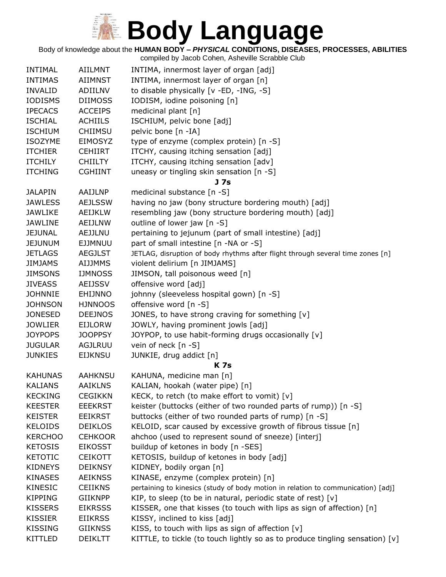

Body of knowledge about the **HUMAN BODY –** *PHYSICAL* **CONDITIONS, DISEASES, PROCESSES, ABILITIES**

| INTIMAL        | <b>AIILMNT</b> | INTIMA, innermost layer of organ [adj]                                           |
|----------------|----------------|----------------------------------------------------------------------------------|
| <b>INTIMAS</b> | <b>AIIMNST</b> | INTIMA, innermost layer of organ [n]                                             |
| <b>INVALID</b> | ADIILNV        | to disable physically [v -ED, -ING, -S]                                          |
| <b>IODISMS</b> | <b>DIIMOSS</b> | IODISM, iodine poisoning [n]                                                     |
| <b>IPECACS</b> | <b>ACCEIPS</b> | medicinal plant [n]                                                              |
| <b>ISCHIAL</b> | <b>ACHIILS</b> | ISCHIUM, pelvic bone [adj]                                                       |
| <b>ISCHIUM</b> | <b>CHIIMSU</b> | pelvic bone [n -IA]                                                              |
| <b>ISOZYME</b> | EIMOSYZ        | type of enzyme (complex protein) [n -S]                                          |
| <b>ITCHIER</b> | <b>CEHIIRT</b> | ITCHY, causing itching sensation [adj]                                           |
| <b>ITCHILY</b> | <b>CHIILTY</b> | ITCHY, causing itching sensation [adv]                                           |
| <b>ITCHING</b> | <b>CGHIINT</b> | uneasy or tingling skin sensation [n -S]                                         |
|                |                | <b>J</b> 7s                                                                      |
| <b>JALAPIN</b> | AAIJLNP        | medicinal substance [n -S]                                                       |
| <b>JAWLESS</b> | <b>AEJLSSW</b> | having no jaw (bony structure bordering mouth) [adj]                             |
| <b>JAWLIKE</b> | <b>AEIJKLW</b> | resembling jaw (bony structure bordering mouth) [adj]                            |
| <b>JAWLINE</b> | AEIJLNW        | outline of lower jaw [n -S]                                                      |
| <b>JEJUNAL</b> | AEJJLNU        | pertaining to jejunum (part of small intestine) [adj]                            |
| <b>JEJUNUM</b> | <b>EJJMNUU</b> | part of small intestine [n -NA or -S]                                            |
| <b>JETLAGS</b> | <b>AEGJLST</b> | JETLAG, disruption of body rhythms after flight through several time zones [n]   |
| <b>JIMJAMS</b> | <b>AIJJMMS</b> | violent delirium [n JIMJAMS]                                                     |
| <b>JIMSONS</b> | <b>IJMNOSS</b> | JIMSON, tall poisonous weed [n]                                                  |
| <b>JIVEASS</b> | <b>AEIJSSV</b> | offensive word [adj]                                                             |
| <b>JOHNNIE</b> | EHIJNNO        | johnny (sleeveless hospital gown) [n -S]                                         |
| <b>JOHNSON</b> | <b>HJNNOOS</b> | offensive word [n -S]                                                            |
| <b>JONESED</b> | <b>DEEJNOS</b> | JONES, to have strong craving for something [v]                                  |
| <b>JOWLIER</b> | <b>EIJLORW</b> | JOWLY, having prominent jowls [adj]                                              |
| <b>JOYPOPS</b> | <b>JOOPPSY</b> | JOYPOP, to use habit-forming drugs occasionally [v]                              |
| <b>JUGULAR</b> | <b>AGJLRUU</b> | vein of neck [n -S]                                                              |
| <b>JUNKIES</b> | <b>EIJKNSU</b> | JUNKIE, drug addict [n]                                                          |
|                |                | <b>K7s</b>                                                                       |
| <b>KAHUNAS</b> | <b>AAHKNSU</b> | KAHUNA, medicine man [n]                                                         |
| <b>KALIANS</b> | <b>AAIKLNS</b> | KALIAN, hookah (water pipe) [n]                                                  |
| <b>KECKING</b> | <b>CEGIKKN</b> | KECK, to retch (to make effort to vomit) $[v]$                                   |
| <b>KEESTER</b> | <b>EEEKRST</b> | keister (buttocks (either of two rounded parts of rump)) [n -S]                  |
| <b>KEISTER</b> | EEIKRST        | buttocks (either of two rounded parts of rump) [n -S]                            |
| <b>KELOIDS</b> | <b>DEIKLOS</b> | KELOID, scar caused by excessive growth of fibrous tissue [n]                    |
| <b>KERCHOO</b> | <b>CEHKOOR</b> | ahchoo (used to represent sound of sneeze) [interj]                              |
| <b>KETOSIS</b> | <b>EIKOSST</b> | buildup of ketones in body [n -SES]                                              |
| <b>KETOTIC</b> | <b>CEIKOTT</b> | KETOSIS, buildup of ketones in body [adj]                                        |
| <b>KIDNEYS</b> | <b>DEIKNSY</b> | KIDNEY, bodily organ [n]                                                         |
| <b>KINASES</b> | <b>AEIKNSS</b> | KINASE, enzyme (complex protein) [n]                                             |
| KINESIC        | <b>CEIIKNS</b> | pertaining to kinesics (study of body motion in relation to communication) [adj] |
| <b>KIPPING</b> | <b>GIIKNPP</b> | KIP, to sleep (to be in natural, periodic state of rest) [v]                     |
| <b>KISSERS</b> | <b>EIKRSSS</b> | KISSER, one that kisses (to touch with lips as sign of affection) [n]            |
| <b>KISSIER</b> | <b>EIIKRSS</b> | KISSY, inclined to kiss [adj]                                                    |
| <b>KISSING</b> | <b>GIIKNSS</b> | KISS, to touch with lips as sign of affection [v]                                |
| <b>KITTLED</b> | DEIKLTT        | KITTLE, to tickle (to touch lightly so as to produce tingling sensation) [v]     |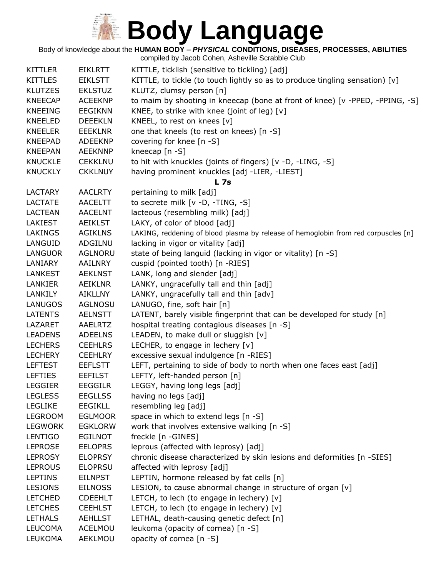

#### Body of knowledge about the **HUMAN BODY –** *PHYSICAL* **CONDITIONS, DISEASES, PROCESSES, ABILITIES**

| <b>KITTLER</b> | <b>EIKLRTT</b> | KITTLE, ticklish (sensitive to tickling) [adj]                                     |
|----------------|----------------|------------------------------------------------------------------------------------|
| <b>KITTLES</b> | <b>EIKLSTT</b> | KITTLE, to tickle (to touch lightly so as to produce tingling sensation) [v]       |
| <b>KLUTZES</b> | <b>EKLSTUZ</b> | KLUTZ, clumsy person [n]                                                           |
| <b>KNEECAP</b> | <b>ACEEKNP</b> | to maim by shooting in kneecap (bone at front of knee) [v -PPED, -PPING, -S]       |
| <b>KNEEING</b> | <b>EEGIKNN</b> | KNEE, to strike with knee (joint of leg) [v]                                       |
| <b>KNEELED</b> | <b>DEEEKLN</b> | KNEEL, to rest on knees [v]                                                        |
| <b>KNEELER</b> | <b>EEEKLNR</b> | one that kneels (to rest on knees) [n -S]                                          |
| <b>KNEEPAD</b> | <b>ADEEKNP</b> | covering for knee [n -S]                                                           |
| <b>KNEEPAN</b> | <b>AEEKNNP</b> | kneecap [n -S]                                                                     |
| <b>KNUCKLE</b> | <b>CEKKLNU</b> | to hit with knuckles (joints of fingers) [v -D, -LING, -S]                         |
| <b>KNUCKLY</b> | <b>CKKLNUY</b> | having prominent knuckles [adj -LIER, -LIEST]                                      |
|                |                | <b>L7s</b>                                                                         |
| <b>LACTARY</b> | <b>AACLRTY</b> | pertaining to milk [adj]                                                           |
| <b>LACTATE</b> | <b>AACELTT</b> | to secrete milk [v -D, -TING, -S]                                                  |
| <b>LACTEAN</b> | <b>AACELNT</b> | lacteous (resembling milk) [adj]                                                   |
| <b>LAKIEST</b> | <b>AEIKLST</b> | LAKY, of color of blood [adj]                                                      |
| <b>LAKINGS</b> | <b>AGIKLNS</b> | LAKING, reddening of blood plasma by release of hemoglobin from red corpuscles [n] |
| LANGUID        | ADGILNU        | lacking in vigor or vitality [adj]                                                 |
| LANGUOR        | <b>AGLNORU</b> | state of being languid (lacking in vigor or vitality) [n -S]                       |
| LANIARY        | AAILNRY        | cuspid (pointed tooth) [n -RIES]                                                   |
| LANKEST        | <b>AEKLNST</b> | LANK, long and slender [adj]                                                       |
| LANKIER        | AEIKLNR        | LANKY, ungracefully tall and thin [adj]                                            |
| LANKILY        | AIKLLNY        | LANKY, ungracefully tall and thin [adv]                                            |
| <b>LANUGOS</b> | <b>AGLNOSU</b> | LANUGO, fine, soft hair [n]                                                        |
| <b>LATENTS</b> | <b>AELNSTT</b> | LATENT, barely visible fingerprint that can be developed for study [n]             |
| LAZARET        | AAELRTZ        | hospital treating contagious diseases [n -S]                                       |
| <b>LEADENS</b> | <b>ADEELNS</b> | LEADEN, to make dull or sluggish [v]                                               |
| <b>LECHERS</b> | <b>CEEHLRS</b> | LECHER, to engage in lechery [v]                                                   |
| <b>LECHERY</b> | <b>CEEHLRY</b> | excessive sexual indulgence [n -RIES]                                              |
| <b>LEFTEST</b> | <b>EEFLSTT</b> | LEFT, pertaining to side of body to north when one faces east [adj]                |
| <b>LEFTIES</b> | <b>EEFILST</b> | LEFTY, left-handed person [n]                                                      |
| <b>LEGGIER</b> | <b>EEGGILR</b> | LEGGY, having long legs [adj]                                                      |
| <b>LEGLESS</b> | <b>EEGLLSS</b> | having no legs [adj]                                                               |
| <b>LEGLIKE</b> | <b>EEGIKLL</b> | resembling leg [adj]                                                               |
| <b>LEGROOM</b> | <b>EGLMOOR</b> | space in which to extend legs [n -S]                                               |
| <b>LEGWORK</b> | <b>EGKLORW</b> | work that involves extensive walking [n -S]                                        |
| <b>LENTIGO</b> | <b>EGILNOT</b> | freckle [n -GINES]                                                                 |
| <b>LEPROSE</b> | <b>EELOPRS</b> | leprous (affected with leprosy) [adj]                                              |
| <b>LEPROSY</b> | <b>ELOPRSY</b> | chronic disease characterized by skin lesions and deformities [n -SIES]            |
| <b>LEPROUS</b> | <b>ELOPRSU</b> | affected with leprosy [adj]                                                        |
| <b>LEPTINS</b> | <b>EILNPST</b> | LEPTIN, hormone released by fat cells [n]                                          |
| <b>LESIONS</b> | <b>EILNOSS</b> | LESION, to cause abnormal change in structure of organ [v]                         |
| <b>LETCHED</b> | <b>CDEEHLT</b> | LETCH, to lech (to engage in lechery) $[v]$                                        |
| <b>LETCHES</b> | <b>CEEHLST</b> | LETCH, to lech (to engage in lechery) $[v]$                                        |
| <b>LETHALS</b> | <b>AEHLLST</b> | LETHAL, death-causing genetic defect [n]                                           |
| <b>LEUCOMA</b> | ACELMOU        | leukoma (opacity of cornea) [n -S]                                                 |
| LEUKOMA        | AEKLMOU        | opacity of cornea [n -S]                                                           |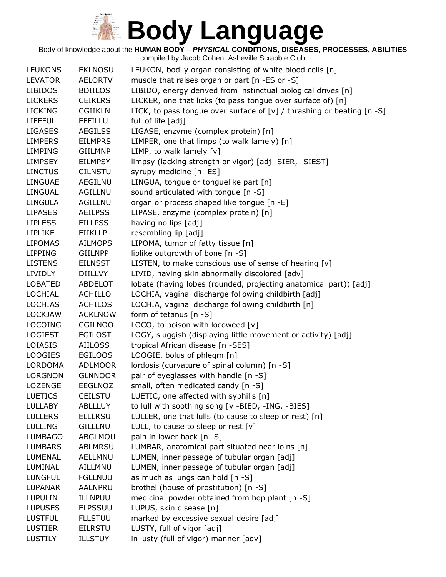Body of knowledge about the **HUMAN BODY –** *PHYSICAL* **CONDITIONS, DISEASES, PROCESSES, ABILITIES**

| <b>LEUKONS</b> | <b>EKLNOSU</b> | LEUKON, bodily organ consisting of white blood cells [n]                    |
|----------------|----------------|-----------------------------------------------------------------------------|
| <b>LEVATOR</b> | <b>AELORTV</b> | muscle that raises organ or part [n -ES or -S]                              |
| <b>LIBIDOS</b> | <b>BDIILOS</b> | LIBIDO, energy derived from instinctual biological drives [n]               |
| <b>LICKERS</b> | <b>CEIKLRS</b> | LICKER, one that licks (to pass tongue over surface of) [n]                 |
| <b>LICKING</b> | <b>CGIIKLN</b> | LICK, to pass tongue over surface of $[v]$ / thrashing or beating $[n - S]$ |
| <b>LIFEFUL</b> | <b>EFFILLU</b> | full of life [adj]                                                          |
| <b>LIGASES</b> | <b>AEGILSS</b> | LIGASE, enzyme (complex protein) [n]                                        |
| <b>LIMPERS</b> | <b>EILMPRS</b> | LIMPER, one that limps (to walk lamely) [n]                                 |
| <b>LIMPING</b> | <b>GIILMNP</b> | LIMP, to walk lamely [v]                                                    |
| <b>LIMPSEY</b> | <b>EILMPSY</b> | limpsy (lacking strength or vigor) [adj -SIER, -SIEST]                      |
| <b>LINCTUS</b> | <b>CILNSTU</b> | syrupy medicine [n -ES]                                                     |
| <b>LINGUAE</b> | <b>AEGILNU</b> | LINGUA, tongue or tonguelike part [n]                                       |
| LINGUAL        | <b>AGILLNU</b> | sound articulated with tongue [n -S]                                        |
| <b>LINGULA</b> | AGILLNU        | organ or process shaped like tongue [n -E]                                  |
| <b>LIPASES</b> | <b>AEILPSS</b> | LIPASE, enzyme (complex protein) [n]                                        |
| <b>LIPLESS</b> | <b>EILLPSS</b> | having no lips [adj]                                                        |
| <b>LIPLIKE</b> | <b>EIIKLLP</b> | resembling lip [adj]                                                        |
| <b>LIPOMAS</b> | <b>AILMOPS</b> | LIPOMA, tumor of fatty tissue [n]                                           |
| <b>LIPPING</b> | <b>GIILNPP</b> | liplike outgrowth of bone [n -S]                                            |
| <b>LISTENS</b> | <b>EILNSST</b> | LISTEN, to make conscious use of sense of hearing [v]                       |
| <b>LIVIDLY</b> | <b>DIILLVY</b> | LIVID, having skin abnormally discolored [adv]                              |
| <b>LOBATED</b> | <b>ABDELOT</b> | lobate (having lobes (rounded, projecting anatomical part)) [adj]           |
| LOCHIAL        | ACHILLO        | LOCHIA, vaginal discharge following childbirth [adj]                        |
| <b>LOCHIAS</b> | <b>ACHILOS</b> | LOCHIA, vaginal discharge following childbirth [n]                          |
| <b>LOCKJAW</b> | <b>ACKLNOW</b> | form of tetanus $[n - S]$                                                   |
| <b>LOCOING</b> | <b>CGILNOO</b> | LOCO, to poison with locoweed [v]                                           |
| <b>LOGIEST</b> | <b>EGILOST</b> | LOGY, sluggish (displaying little movement or activity) [adj]               |
| LOIASIS        | <b>AIILOSS</b> | tropical African disease [n -SES]                                           |
| <b>LOOGIES</b> | <b>EGILOOS</b> | LOOGIE, bolus of phlegm [n]                                                 |
| <b>LORDOMA</b> | <b>ADLMOOR</b> | lordosis (curvature of spinal column) [n -S]                                |
| <b>LORGNON</b> | <b>GLNNOOR</b> | pair of eyeglasses with handle [n -S]                                       |
| LOZENGE        | <b>EEGLNOZ</b> | small, often medicated candy [n -S]                                         |
| <b>LUETICS</b> | <b>CEILSTU</b> | LUETIC, one affected with syphilis [n]                                      |
| <b>LULLABY</b> | <b>ABLLLUY</b> | to lull with soothing song [v -BIED, -ING, -BIES]                           |
| <b>LULLERS</b> | <b>ELLLRSU</b> | LULLER, one that lulls (to cause to sleep or rest) [n]                      |
| <b>LULLING</b> | <b>GILLLNU</b> | LULL, to cause to sleep or rest $[v]$                                       |
| <b>LUMBAGO</b> | ABGLMOU        | pain in lower back [n -S]                                                   |
| <b>LUMBARS</b> | <b>ABLMRSU</b> | LUMBAR, anatomical part situated near loins [n]                             |
| LUMENAL        | AELLMNU        | LUMEN, inner passage of tubular organ [adj]                                 |
| LUMINAL        | AILLMNU        | LUMEN, inner passage of tubular organ [adj]                                 |
| <b>LUNGFUL</b> | <b>FGLLNUU</b> | as much as lungs can hold [n -S]                                            |
| <b>LUPANAR</b> | <b>AALNPRU</b> | brothel (house of prostitution) [n -S]                                      |
| <b>LUPULIN</b> | ILLNPUU        | medicinal powder obtained from hop plant [n -S]                             |
| <b>LUPUSES</b> | <b>ELPSSUU</b> | LUPUS, skin disease [n]                                                     |
| <b>LUSTFUL</b> | <b>FLLSTUU</b> | marked by excessive sexual desire [adj]                                     |
| <b>LUSTIER</b> | <b>EILRSTU</b> | LUSTY, full of vigor [adj]                                                  |
| <b>LUSTILY</b> | <b>ILLSTUY</b> | in lusty (full of vigor) manner [adv]                                       |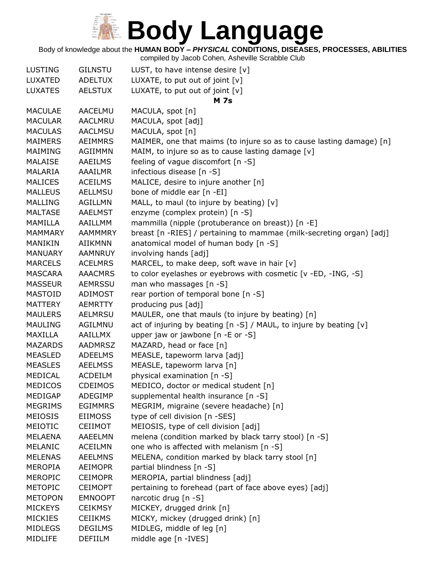#### Body of knowledge about the **HUMAN BODY –** *PHYSICAL* **CONDITIONS, DISEASES, PROCESSES, ABILITIES**

| <b>LUSTING</b> | <b>GILNSTU</b> | LUST, to have intense desire $[v]$                                   |
|----------------|----------------|----------------------------------------------------------------------|
| LUXATED        | <b>ADELTUX</b> | LUXATE, to put out of joint [v]                                      |
| <b>LUXATES</b> | <b>AELSTUX</b> | LUXATE, to put out of joint [v]                                      |
|                |                | <b>M</b> 7s                                                          |
| <b>MACULAE</b> | AACELMU        | MACULA, spot [n]                                                     |
| <b>MACULAR</b> | <b>AACLMRU</b> | MACULA, spot [adj]                                                   |
| <b>MACULAS</b> | <b>AACLMSU</b> | MACULA, spot [n]                                                     |
| <b>MAIMERS</b> | <b>AEIMMRS</b> | MAIMER, one that maims (to injure so as to cause lasting damage) [n] |
| MAIMING        | AGIIMMN        | MAIM, to injure so as to cause lasting damage [v]                    |
| <b>MALAISE</b> | <b>AAEILMS</b> | feeling of vague discomfort [n -S]                                   |
| MALARIA        | <b>AAAILMR</b> | infectious disease [n -S]                                            |
| <b>MALICES</b> | <b>ACEILMS</b> | MALICE, desire to injure another [n]                                 |
| <b>MALLEUS</b> | <b>AELLMSU</b> | bone of middle ear [n -EI]                                           |
| <b>MALLING</b> | <b>AGILLMN</b> | MALL, to maul (to injure by beating) [v]                             |
| <b>MALTASE</b> | <b>AAELMST</b> | enzyme (complex protein) [n -S]                                      |
| <b>MAMILLA</b> | AAILLMM        | mammilla (nipple (protuberance on breast)) [n -E]                    |
| MAMMARY        | <b>AAMMMRY</b> | breast [n -RIES] / pertaining to mammae (milk-secreting organ) [adj] |
| MANIKIN        | <b>AIIKMNN</b> | anatomical model of human body [n -S]                                |
| MANUARY        | <b>AAMNRUY</b> | involving hands [adj]                                                |
| <b>MARCELS</b> | <b>ACELMRS</b> | MARCEL, to make deep, soft wave in hair [v]                          |
| <b>MASCARA</b> | <b>AAACMRS</b> | to color eyelashes or eyebrows with cosmetic [v -ED, -ING, -S]       |
| <b>MASSEUR</b> | <b>AEMRSSU</b> | man who massages [n -S]                                              |
| <b>MASTOID</b> | ADIMOST        | rear portion of temporal bone [n -S]                                 |
| <b>MATTERY</b> | <b>AEMRTTY</b> | producing pus [adj]                                                  |
| <b>MAULERS</b> | AELMRSU        | MAULER, one that mauls (to injure by beating) [n]                    |
| <b>MAULING</b> | AGILMNU        | act of injuring by beating [n -S] / MAUL, to injure by beating [v]   |
| MAXILLA        | <b>AAILLMX</b> | upper jaw or jawbone [n -E or -S]                                    |
| <b>MAZARDS</b> | <b>AADMRSZ</b> | MAZARD, head or face [n]                                             |
| <b>MEASLED</b> | <b>ADEELMS</b> | MEASLE, tapeworm larva [adj]                                         |
| <b>MEASLES</b> | <b>AEELMSS</b> | MEASLE, tapeworm larva [n]                                           |
| MEDICAL        | <b>ACDEILM</b> | physical examination [n -S]                                          |
| <b>MEDICOS</b> | <b>CDEIMOS</b> | MEDICO, doctor or medical student [n]                                |
| <b>MEDIGAP</b> | ADEGIMP        | supplemental health insurance [n -S]                                 |
| <b>MEGRIMS</b> | <b>EGIMMRS</b> | MEGRIM, migraine (severe headache) [n]                               |
| <b>MEIOSIS</b> | EIIMOSS        | type of cell division [n -SES]                                       |
| MEIOTIC        | <b>CEIIMOT</b> | MEIOSIS, type of cell division [adj]                                 |
| <b>MELAENA</b> | AAEELMN        | melena (condition marked by black tarry stool) [n -S]                |
| MELANIC        | <b>ACEILMN</b> | one who is affected with melanism [n -S]                             |
| <b>MELENAS</b> | <b>AEELMNS</b> | MELENA, condition marked by black tarry stool [n]                    |
| <b>MEROPIA</b> | <b>AEIMOPR</b> | partial blindness [n -S]                                             |
| <b>MEROPIC</b> | <b>CEIMOPR</b> | MEROPIA, partial blindness [adj]                                     |
| <b>METOPIC</b> | <b>CEIMOPT</b> | pertaining to forehead (part of face above eyes) [adj]               |
| <b>METOPON</b> | <b>EMNOOPT</b> | narcotic drug [n -S]                                                 |
| <b>MICKEYS</b> | <b>CEIKMSY</b> | MICKEY, drugged drink [n]                                            |
| <b>MICKIES</b> | <b>CEIIKMS</b> | MICKY, mickey (drugged drink) [n]                                    |
| <b>MIDLEGS</b> | <b>DEGILMS</b> | MIDLEG, middle of leg [n]                                            |
| MIDLIFE        | <b>DEFIILM</b> | middle age [n -IVES]                                                 |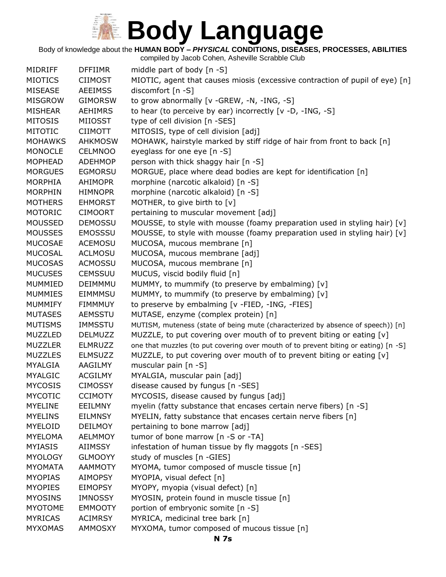Body of knowledge about the **HUMAN BODY –** *PHYSICAL* **CONDITIONS, DISEASES, PROCESSES, ABILITIES**

compiled by Jacob Cohen, Asheville Scrabble Club MIDRIFF DFFIIMR middle part of body [n -S] MIOTICS CIIMOST MIOTIC, agent that causes miosis (excessive contraction of pupil of eye) [n] MISEASE AEEIMSS discomfort [n -S] MISGROW GIMORSW to grow abnormally [v -GREW, -N, -ING, -S] MISHEAR AEHIMRS to hear (to perceive by ear) incorrectly  $[v - D, -ING, -S]$ MITOSIS MIIOSST type of cell division [n -SES] MITOTIC CIIMOTT MITOSIS, type of cell division [adj] MOHAWKS AHKMOSW MOHAWK, hairstyle marked by stiff ridge of hair from front to back [n] MONOCLE CELMNOO eyeglass for one eye [n -S] MOPHEAD ADEHMOP person with thick shaggy hair [n -S] MORGUES EGMORSU MORGUE, place where dead bodies are kept for identification [n] MORPHIA AHIMOPR morphine (narcotic alkaloid) [n -S] MORPHIN HIMNOPR morphine (narcotic alkaloid) [n -S] MOTHERS EHMORST MOTHER, to give birth to [v] MOTORIC CIMOORT pertaining to muscular movement [adj] MOUSSED DEMOSSU MOUSSE, to style with mousse (foamy preparation used in styling hair) [v] MOUSSES EMOSSSU MOUSSE, to style with mousse (foamy preparation used in styling hair) [v] MUCOSAE ACEMOSU MUCOSA, mucous membrane [n] MUCOSAL ACLMOSU MUCOSA, mucous membrane [adj] MUCOSAS ACMOSSU MUCOSA, mucous membrane [n] MUCUSES CEMSSUU MUCUS, viscid bodily fluid [n] MUMMIED DEIMMMU MUMMY, to mummify (to preserve by embalming) [v] MUMMIES EIMMMSU MUMMY, to mummify (to preserve by embalming) [v] MUMMIFY FIMMMUY to preserve by embalming [v -FIED, -ING, -FIES] MUTASES AEMSSTU MUTASE, enzyme (complex protein) [n] MUTISMS IMMSSTU MUTISM, muteness (state of being mute (characterized by absence of speech)) [n] MUZZLED DELMUZZ MUZZLE, to put covering over mouth of to prevent biting or eating  $[v]$ MUZZLER ELMRUZZ one that muzzles (to put covering over mouth of to prevent biting or eating) [n -S] MUZZLES ELMSUZZ MUZZLE, to put covering over mouth of to prevent biting or eating [v] MYALGIA AAGILMY muscular pain [n -S] MYALGIC ACGILMY MYALGIA, muscular pain [adj] MYCOSIS CIMOSSY disease caused by fungus [n -SES] MYCOTIC CCIMOTY MYCOSIS, disease caused by fungus [adj] MYELINE EEILMNY myelin (fatty substance that encases certain nerve fibers) [n -S] MYELINS EILMNSY MYELIN, fatty substance that encases certain nerve fibers [n] MYELOID DEILMOY pertaining to bone marrow [adj] MYELOMA AELMMOY tumor of bone marrow [n -S or -TA] MYIASIS AIIMSSY infestation of human tissue by fly maggots [n -SES] MYOLOGY GLMOOYY study of muscles [n -GIES] MYOMATA AAMMOTY MYOMA, tumor composed of muscle tissue [n] MYOPIAS AIMOPSY MYOPIA, visual defect [n] MYOPIES EIMOPSY MYOPY, myopia (visual defect) [n] MYOSINS IMNOSSY MYOSIN, protein found in muscle tissue [n] MYOTOME EMMOOTY portion of embryonic somite [n -S] MYRICAS ACIMRSY MYRICA, medicinal tree bark [n] MYXOMAS AMMOSXY MYXOMA, tumor composed of mucous tissue [n]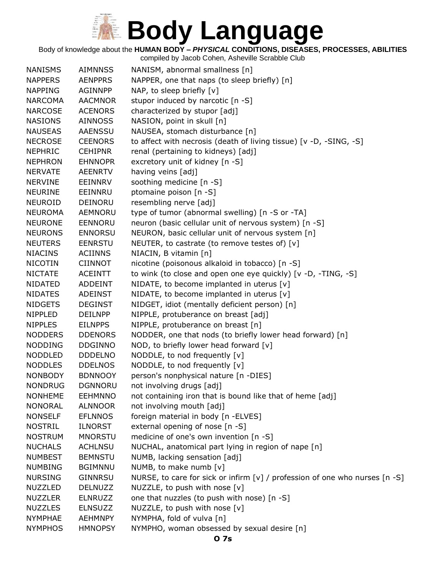Body of knowledge about the **HUMAN BODY –** *PHYSICAL* **CONDITIONS, DISEASES, PROCESSES, ABILITIES**

| <b>NANISMS</b> | <b>AIMNNSS</b> | NANISM, abnormal smallness [n]                                              |
|----------------|----------------|-----------------------------------------------------------------------------|
| <b>NAPPERS</b> | <b>AENPPRS</b> | NAPPER, one that naps (to sleep briefly) [n]                                |
| <b>NAPPING</b> | <b>AGINNPP</b> | NAP, to sleep briefly $[v]$                                                 |
| <b>NARCOMA</b> | <b>AACMNOR</b> | stupor induced by narcotic [n -S]                                           |
| <b>NARCOSE</b> | <b>ACENORS</b> | characterized by stupor [adj]                                               |
| <b>NASIONS</b> | <b>AINNOSS</b> | NASION, point in skull [n]                                                  |
| <b>NAUSEAS</b> | <b>AAENSSU</b> | NAUSEA, stomach disturbance [n]                                             |
| <b>NECROSE</b> | <b>CEENORS</b> | to affect with necrosis (death of living tissue) [v -D, -SING, -S]          |
| <b>NEPHRIC</b> | <b>CEHIPNR</b> | renal (pertaining to kidneys) [adj]                                         |
| <b>NEPHRON</b> | <b>EHNNOPR</b> | excretory unit of kidney [n -S]                                             |
| <b>NERVATE</b> | <b>AEENRTV</b> | having veins [adj]                                                          |
| <b>NERVINE</b> | EEINNRV        | soothing medicine [n -S]                                                    |
| <b>NEURINE</b> | EEINNRU        | ptomaine poison [n -S]                                                      |
| NEUROID        | DEINORU        | resembling nerve [adj]                                                      |
| <b>NEUROMA</b> | AEMNORU        | type of tumor (abnormal swelling) [n -S or -TA]                             |
| <b>NEURONE</b> |                | neuron (basic cellular unit of nervous system) [n -S]                       |
|                | <b>EENNORU</b> |                                                                             |
| <b>NEURONS</b> | <b>ENNORSU</b> | NEURON, basic cellular unit of nervous system [n]                           |
| <b>NEUTERS</b> | <b>EENRSTU</b> | NEUTER, to castrate (to remove testes of) [v]                               |
| <b>NIACINS</b> | <b>ACIINNS</b> | NIACIN, B vitamin [n]                                                       |
| <b>NICOTIN</b> | <b>CIINNOT</b> | nicotine (poisonous alkaloid in tobacco) [n -S]                             |
| <b>NICTATE</b> | <b>ACEINTT</b> | to wink (to close and open one eye quickly) [v -D, -TING, -S]               |
| <b>NIDATED</b> | <b>ADDEINT</b> | NIDATE, to become implanted in uterus [v]                                   |
| <b>NIDATES</b> | <b>ADEINST</b> | NIDATE, to become implanted in uterus $[v]$                                 |
| <b>NIDGETS</b> | <b>DEGINST</b> | NIDGET, idiot (mentally deficient person) [n]                               |
| <b>NIPPLED</b> | <b>DEILNPP</b> | NIPPLE, protuberance on breast [adj]                                        |
| <b>NIPPLES</b> | <b>EILNPPS</b> | NIPPLE, protuberance on breast [n]                                          |
| <b>NODDERS</b> | <b>DDENORS</b> | NODDER, one that nods (to briefly lower head forward) [n]                   |
| <b>NODDING</b> | <b>DDGINNO</b> | NOD, to briefly lower head forward [v]                                      |
| <b>NODDLED</b> | <b>DDDELNO</b> | NODDLE, to nod frequently [v]                                               |
| <b>NODDLES</b> | <b>DDELNOS</b> | NODDLE, to nod frequently [v]                                               |
| <b>NONBODY</b> | <b>BDNNOOY</b> | person's nonphysical nature [n -DIES]                                       |
| <b>NONDRUG</b> | <b>DGNNORU</b> | not involving drugs [adj]                                                   |
| <b>NONHEME</b> | <b>EEHMNNO</b> | not containing iron that is bound like that of heme [adj]                   |
| <b>NONORAL</b> | <b>ALNNOOR</b> | not involving mouth [adj]                                                   |
| <b>NONSELF</b> | <b>EFLNNOS</b> | foreign material in body [n -ELVES]                                         |
| <b>NOSTRIL</b> | <b>ILNORST</b> | external opening of nose [n -S]                                             |
| <b>NOSTRUM</b> | <b>MNORSTU</b> | medicine of one's own invention [n -S]                                      |
| <b>NUCHALS</b> | <b>ACHLNSU</b> | NUCHAL, anatomical part lying in region of nape [n]                         |
| <b>NUMBEST</b> | <b>BEMNSTU</b> | NUMB, lacking sensation [adj]                                               |
| <b>NUMBING</b> | <b>BGIMNNU</b> | NUMB, to make numb [v]                                                      |
| <b>NURSING</b> | <b>GINNRSU</b> | NURSE, to care for sick or infirm [v] / profession of one who nurses [n -S] |
| <b>NUZZLED</b> | <b>DELNUZZ</b> | NUZZLE, to push with nose [v]                                               |
| <b>NUZZLER</b> | <b>ELNRUZZ</b> | one that nuzzles (to push with nose) [n -S]                                 |
| <b>NUZZLES</b> | <b>ELNSUZZ</b> | NUZZLE, to push with nose [v]                                               |
| <b>NYMPHAE</b> | <b>AEHMNPY</b> | NYMPHA, fold of vulva [n]                                                   |
| <b>NYMPHOS</b> | <b>HMNOPSY</b> | NYMPHO, woman obsessed by sexual desire [n]                                 |
|                |                |                                                                             |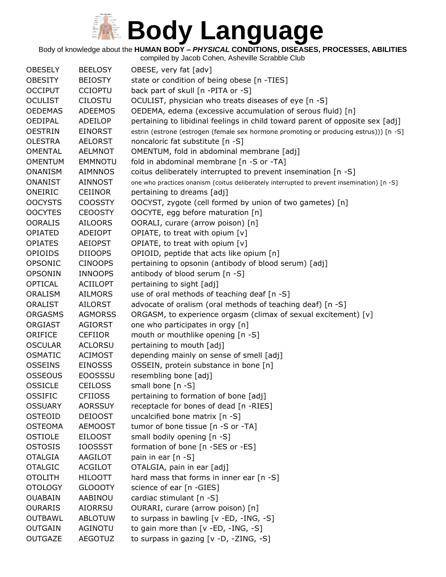Body of knowledge about the **HUMAN BODY –** *PHYSICAL* **CONDITIONS, DISEASES, PROCESSES, ABILITIES**

| <b>OBESELY</b> | <b>BEELOSY</b>  | OBESE, very fat [adv]                                                                      |
|----------------|-----------------|--------------------------------------------------------------------------------------------|
| <b>OBESITY</b> | <b>BEIOSTY</b>  | state or condition of being obese [n -TIES]                                                |
| <b>OCCIPUT</b> | <b>CCIOPTU</b>  | back part of skull [n -PITA or -S]                                                         |
| <b>OCULIST</b> | <b>CILOSTU</b>  | OCULIST, physician who treats diseases of eye [n -S]                                       |
| <b>OEDEMAS</b> | <b>ADEEMOS</b>  | OEDEMA, edema (excessive accumulation of serous fluid) [n]                                 |
| <b>OEDIPAL</b> | ADEILOP         | pertaining to libidinal feelings in child toward parent of opposite sex [adj]              |
| <b>OESTRIN</b> | <b>EINORST</b>  | estrin (estrone (estrogen (female sex hormone promoting or producing estrus))) [n -S]      |
| <b>OLESTRA</b> | <b>AELORST</b>  | noncaloric fat substitute [n -S]                                                           |
| <b>OMENTAL</b> | <b>AELMNOT</b>  | OMENTUM, fold in abdominal membrane [adj]                                                  |
| <b>OMENTUM</b> | <b>EMMNOTU</b>  | fold in abdominal membrane [n -S or -TA]                                                   |
| <b>ONANISM</b> | <b>AIMNNOS</b>  | coitus deliberately interrupted to prevent insemination [n -S]                             |
| <b>ONANIST</b> | <b>AINNOST</b>  | one who practices onanism (coitus deliberately interrupted to prevent insemination) [n -S] |
| ONEIRIC        | <b>CEIINOR</b>  | pertaining to dreams [adj]                                                                 |
| <b>OOCYSTS</b> | <b>COOSSTY</b>  | OOCYST, zygote (cell formed by union of two gametes) [n]                                   |
| <b>OOCYTES</b> | <b>CEOOSTY</b>  | OOCYTE, egg before maturation [n]                                                          |
| <b>OORALIS</b> | <b>AILOORS</b>  | OORALI, curare (arrow poison) [n]                                                          |
| <b>OPIATED</b> | ADEIOPT         | OPIATE, to treat with opium [v]                                                            |
| <b>OPIATES</b> | <b>AEIOPST</b>  | OPIATE, to treat with opium [v]                                                            |
| <b>OPIOIDS</b> | <b>DIIOOPS</b>  | OPIOID, peptide that acts like opium [n]                                                   |
| <b>OPSONIC</b> | <b>CINOOPS</b>  | pertaining to opsonin (antibody of blood serum) [adj]                                      |
| <b>OPSONIN</b> | <b>INNOOPS</b>  | antibody of blood serum [n -S]                                                             |
| <b>OPTICAL</b> | <b>ACIILOPT</b> | pertaining to sight [adj]                                                                  |
| <b>ORALISM</b> | <b>AILMORS</b>  | use of oral methods of teaching deaf [n -S]                                                |
| <b>ORALIST</b> | <b>AILORST</b>  | advocate of oralism (oral methods of teaching deaf) [n -S]                                 |
| <b>ORGASMS</b> | <b>AGMORSS</b>  | ORGASM, to experience orgasm (climax of sexual excitement) [v]                             |
| ORGIAST        | AGIORST         | one who participates in orgy [n]                                                           |
| ORIFICE        | <b>CEFIIOR</b>  | mouth or mouthlike opening [n -S]                                                          |
| <b>OSCULAR</b> | <b>ACLORSU</b>  | pertaining to mouth [adj]                                                                  |
| <b>OSMATIC</b> | <b>ACIMOST</b>  | depending mainly on sense of smell [adj]                                                   |
| <b>OSSEINS</b> | <b>EINOSSS</b>  | OSSEIN, protein substance in bone [n]                                                      |
| <b>OSSEOUS</b> | <b>EOOSSSU</b>  | resembling bone [adj]                                                                      |
| <b>OSSICLE</b> | <b>CEILOSS</b>  | small bone $[n -S]$                                                                        |
| <b>OSSIFIC</b> | <b>CFIIOSS</b>  | pertaining to formation of bone [adj]                                                      |
| <b>OSSUARY</b> | <b>AORSSUY</b>  | receptacle for bones of dead [n -RIES]                                                     |
| <b>OSTEOID</b> | <b>DEIOOST</b>  | uncalcified bone matrix [n -S]                                                             |
| <b>OSTEOMA</b> | <b>AEMOOST</b>  | tumor of bone tissue [n -S or -TA]                                                         |
| <b>OSTIOLE</b> | <b>EILOOST</b>  | small bodily opening [n -S]                                                                |
| <b>OSTOSIS</b> | <b>IOOSSST</b>  | formation of bone [n -SES or -ES]                                                          |
| <b>OTALGIA</b> | AAGILOT         | pain in ear [n -S]                                                                         |
| <b>OTALGIC</b> | <b>ACGILOT</b>  | OTALGIA, pain in ear [adj]                                                                 |
| <b>OTOLITH</b> | <b>HILOOTT</b>  | hard mass that forms in inner ear [n -S]                                                   |
| <b>OTOLOGY</b> | <b>GLOOOTY</b>  | science of ear [n -GIES]                                                                   |
| <b>OUABAIN</b> | AABINOU         | cardiac stimulant [n -S]                                                                   |
| <b>OURARIS</b> | AIORRSU         | OURARI, curare (arrow poison) [n]                                                          |
| <b>OUTBAWL</b> | <b>ABLOTUW</b>  | to surpass in bawling [v -ED, -ING, -S]                                                    |
| <b>OUTGAIN</b> | AGINOTU         | to gain more than [v -ED, -ING, -S]                                                        |
| <b>OUTGAZE</b> | <b>AEGOTUZ</b>  | to surpass in gazing [v -D, -ZING, -S]                                                     |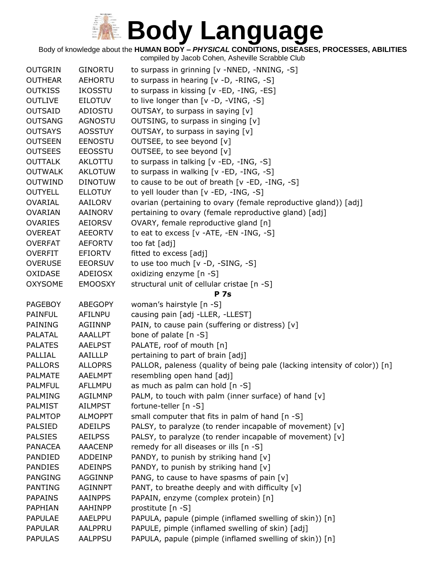Body of knowledge about the **HUMAN BODY –** *PHYSICAL* **CONDITIONS, DISEASES, PROCESSES, ABILITIES**

| <b>OUTGRIN</b> | <b>GINORTU</b> | to surpass in grinning [v -NNED, -NNING, -S]                              |
|----------------|----------------|---------------------------------------------------------------------------|
| <b>OUTHEAR</b> | <b>AEHORTU</b> | to surpass in hearing [v -D, -RING, -S]                                   |
| <b>OUTKISS</b> | <b>IKOSSTU</b> | to surpass in kissing [v -ED, -ING, -ES]                                  |
| <b>OUTLIVE</b> | <b>EILOTUV</b> | to live longer than [v -D, -VING, -S]                                     |
| <b>OUTSAID</b> | <b>ADIOSTU</b> | OUTSAY, to surpass in saying [v]                                          |
| <b>OUTSANG</b> | <b>AGNOSTU</b> | OUTSING, to surpass in singing [v]                                        |
| <b>OUTSAYS</b> | <b>AOSSTUY</b> | OUTSAY, to surpass in saying [v]                                          |
| <b>OUTSEEN</b> | <b>EENOSTU</b> | OUTSEE, to see beyond [v]                                                 |
| <b>OUTSEES</b> | <b>EEOSSTU</b> | OUTSEE, to see beyond [v]                                                 |
| <b>OUTTALK</b> | AKLOTTU        | to surpass in talking [v -ED, -ING, -S]                                   |
| <b>OUTWALK</b> | <b>AKLOTUW</b> | to surpass in walking [v -ED, -ING, -S]                                   |
| <b>OUTWIND</b> | <b>DINOTUW</b> | to cause to be out of breath [v -ED, -ING, -S]                            |
| <b>OUTYELL</b> | <b>ELLOTUY</b> | to yell louder than [v -ED, -ING, -S]                                     |
| <b>OVARIAL</b> | AAILORV        | ovarian (pertaining to ovary (female reproductive gland)) [adj]           |
| <b>OVARIAN</b> | <b>AAINORV</b> | pertaining to ovary (female reproductive gland) [adj]                     |
| <b>OVARIES</b> | <b>AEIORSV</b> | OVARY, female reproductive gland [n]                                      |
| <b>OVEREAT</b> | <b>AEEORTV</b> | to eat to excess [v -ATE, -EN -ING, -S]                                   |
| <b>OVERFAT</b> | <b>AEFORTV</b> | too fat [adj]                                                             |
| <b>OVERFIT</b> | <b>EFIORTV</b> | fitted to excess [adj]                                                    |
| <b>OVERUSE</b> | <b>EEORSUV</b> | to use too much [v -D, -SING, -S]                                         |
| OXIDASE        | ADEIOSX        | oxidizing enzyme [n -S]                                                   |
| <b>OXYSOME</b> | <b>EMOOSXY</b> | structural unit of cellular cristae [n -S]                                |
|                |                | <b>P</b> 7s                                                               |
| <b>PAGEBOY</b> | <b>ABEGOPY</b> | woman's hairstyle [n -S]                                                  |
| <b>PAINFUL</b> | AFILNPU        | causing pain [adj -LLER, -LLEST]                                          |
| PAINING        | AGIINNP        | PAIN, to cause pain (suffering or distress) [v]                           |
| <b>PALATAL</b> | <b>AAALLPT</b> | bone of palate [n -S]                                                     |
| <b>PALATES</b> | <b>AAELPST</b> | PALATE, roof of mouth [n]                                                 |
| PALLIAL        | AAILLLP        | pertaining to part of brain [adj]                                         |
| <b>PALLORS</b> | <b>ALLOPRS</b> | PALLOR, paleness (quality of being pale (lacking intensity of color)) [n] |
| PALMATE        | AAELMPT        | resembling open hand [adj]                                                |
| <b>PALMFUL</b> | <b>AFLLMPU</b> | as much as palm can hold [n -S]                                           |
| <b>PALMING</b> | <b>AGILMNP</b> | PALM, to touch with palm (inner surface) of hand $[v]$                    |
| <b>PALMIST</b> | <b>AILMPST</b> | fortune-teller [n -S]                                                     |
| <b>PALMTOP</b> | <b>ALMOPPT</b> | small computer that fits in palm of hand [n -S]                           |
| <b>PALSIED</b> | <b>ADEILPS</b> | PALSY, to paralyze (to render incapable of movement) [v]                  |
| <b>PALSIES</b> | <b>AEILPSS</b> | PALSY, to paralyze (to render incapable of movement) [v]                  |
| <b>PANACEA</b> | AAACENP        | remedy for all diseases or ills [n -S]                                    |
| PANDIED        | ADDEINP        | PANDY, to punish by striking hand [v]                                     |
| <b>PANDIES</b> | <b>ADEINPS</b> | PANDY, to punish by striking hand [v]                                     |
| <b>PANGING</b> | <b>AGGINNP</b> | PANG, to cause to have spasms of pain [v]                                 |
| <b>PANTING</b> | <b>AGINNPT</b> | PANT, to breathe deeply and with difficulty [v]                           |
| <b>PAPAINS</b> | <b>AAINPPS</b> | PAPAIN, enzyme (complex protein) [n]                                      |
| PAPHIAN        | AAHINPP        | prostitute [n -S]                                                         |
| <b>PAPULAE</b> | <b>AAELPPU</b> | PAPULA, papule (pimple (inflamed swelling of skin)) [n]                   |
| <b>PAPULAR</b> | AALPPRU        | PAPULE, pimple (inflamed swelling of skin) [adj]                          |
| <b>PAPULAS</b> | <b>AALPPSU</b> | PAPULA, papule (pimple (inflamed swelling of skin)) [n]                   |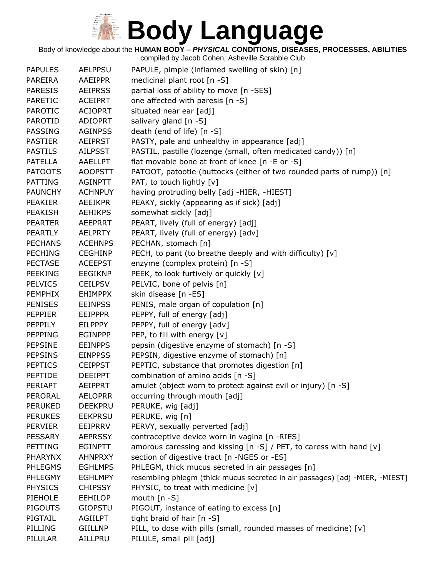Body of knowledge about the **HUMAN BODY –** *PHYSICAL* **CONDITIONS, DISEASES, PROCESSES, ABILITIES**

| <b>PAPULES</b> | <b>AELPPSU</b> | PAPULE, pimple (inflamed swelling of skin) [n]                               |
|----------------|----------------|------------------------------------------------------------------------------|
| PAREIRA        | AAEIPPR        | medicinal plant root [n -S]                                                  |
| <b>PARESIS</b> | <b>AEIPRSS</b> | partial loss of ability to move [n -SES]                                     |
| <b>PARETIC</b> | <b>ACEIPRT</b> | one affected with paresis [n -S]                                             |
| <b>PAROTIC</b> | <b>ACIOPRT</b> | situated near ear [adj]                                                      |
| <b>PAROTID</b> | <b>ADIOPRT</b> | salivary gland [n -S]                                                        |
| <b>PASSING</b> | <b>AGINPSS</b> | death (end of life) [n -S]                                                   |
| <b>PASTIER</b> | <b>AEIPRST</b> | PASTY, pale and unhealthy in appearance [adj]                                |
| <b>PASTILS</b> | <b>AILPSST</b> | PASTIL, pastille (lozenge (small, often medicated candy)) [n]                |
| <b>PATELLA</b> | <b>AAELLPT</b> | flat movable bone at front of knee [n -E or -S]                              |
| <b>PATOOTS</b> | <b>AOOPSTT</b> | PATOOT, patootie (buttocks (either of two rounded parts of rump)) [n]        |
| <b>PATTING</b> | <b>AGINPTT</b> | PAT, to touch lightly [v]                                                    |
| <b>PAUNCHY</b> | <b>ACHNPUY</b> | having protruding belly [adj -HIER, -HIEST]                                  |
| <b>PEAKIER</b> | <b>AEEIKPR</b> | PEAKY, sickly (appearing as if sick) [adj]                                   |
| <b>PEAKISH</b> | <b>AEHIKPS</b> | somewhat sickly [adj]                                                        |
| <b>PEARTER</b> | <b>AEEPRRT</b> | PEART, lively (full of energy) [adj]                                         |
| <b>PEARTLY</b> | <b>AELPRTY</b> | PEART, lively (full of energy) [adv]                                         |
| <b>PECHANS</b> | <b>ACEHNPS</b> | PECHAN, stomach [n]                                                          |
| <b>PECHING</b> | <b>CEGHINP</b> | PECH, to pant (to breathe deeply and with difficulty) [v]                    |
| <b>PECTASE</b> | <b>ACEEPST</b> | enzyme (complex protein) [n -S]                                              |
| <b>PEEKING</b> | <b>EEGIKNP</b> | PEEK, to look furtively or quickly [v]                                       |
| <b>PELVICS</b> | <b>CEILPSV</b> | PELVIC, bone of pelvis [n]                                                   |
| <b>PEMPHIX</b> | <b>EHIMPPX</b> | skin disease [n -ES]                                                         |
| <b>PENISES</b> | <b>EEINPSS</b> | PENIS, male organ of copulation [n]                                          |
| <b>PEPPIER</b> | <b>EEIPPPR</b> | PEPPY, full of energy [adj]                                                  |
| PEPPILY        | <b>EILPPPY</b> | PEPPY, full of energy [adv]                                                  |
| <b>PEPPING</b> | <b>EGINPPP</b> | PEP, to fill with energy [v]                                                 |
| <b>PEPSINE</b> | <b>EEINPPS</b> | pepsin (digestive enzyme of stomach) [n -S]                                  |
| <b>PEPSINS</b> | <b>EINPPSS</b> | PEPSIN, digestive enzyme of stomach) [n]                                     |
| <b>PEPTICS</b> | <b>CEIPPST</b> | PEPTIC, substance that promotes digestion [n]                                |
| <b>PEPTIDE</b> | <b>DEEIPPT</b> | combination of amino acids [n -S]                                            |
| PERIAPT        | <b>AEIPPRT</b> | amulet (object worn to protect against evil or injury) [n -S]                |
| PERORAL        | <b>AELOPRR</b> | occurring through mouth [adj]                                                |
| <b>PERUKED</b> | <b>DEEKPRU</b> | PERUKE, wig [adj]                                                            |
| <b>PERUKES</b> | <b>EEKPRSU</b> | PERUKE, wig [n]                                                              |
| <b>PERVIER</b> | EEIPRRV        | PERVY, sexually perverted [adj]                                              |
| <b>PESSARY</b> | <b>AEPRSSY</b> | contraceptive device worn in vagina [n -RIES]                                |
| <b>PETTING</b> | <b>EGINPTT</b> | amorous caressing and kissing $[n -S]$ / PET, to caress with hand $[v]$      |
| <b>PHARYNX</b> | <b>AHNPRXY</b> | section of digestive tract [n -NGES or -ES]                                  |
| <b>PHLEGMS</b> | <b>EGHLMPS</b> | PHLEGM, thick mucus secreted in air passages [n]                             |
| <b>PHLEGMY</b> | <b>EGHLMPY</b> | resembling phlegm (thick mucus secreted in air passages) [adj -MIER, -MIEST] |
| <b>PHYSICS</b> | <b>CHIPSSY</b> | PHYSIC, to treat with medicine [v]                                           |
| PIEHOLE        | <b>EEHILOP</b> | mouth $[n - S]$                                                              |
| <b>PIGOUTS</b> | <b>GIOPSTU</b> | PIGOUT, instance of eating to excess [n]                                     |
| PIGTAIL        | <b>AGIILPT</b> | tight braid of hair [n -S]                                                   |
| PILLING        | <b>GIILLNP</b> | PILL, to dose with pills (small, rounded masses of medicine) [v]             |
| PILULAR        | AILLPRU        | PILULE, small pill [adj]                                                     |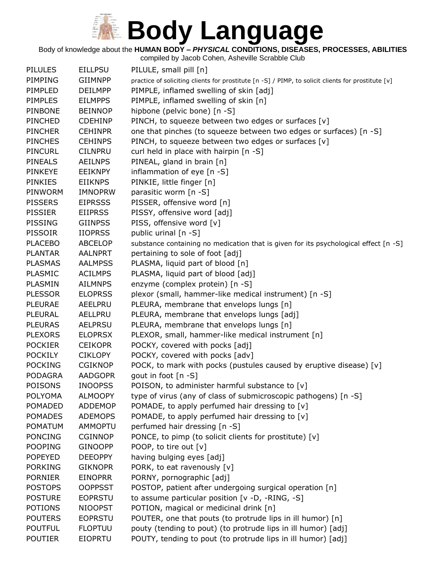Body of knowledge about the **HUMAN BODY –** *PHYSICAL* **CONDITIONS, DISEASES, PROCESSES, ABILITIES**

| <b>PILULES</b> | <b>EILLPSU</b> | PILULE, small pill [n]                                                                             |
|----------------|----------------|----------------------------------------------------------------------------------------------------|
| PIMPING        | <b>GIIMNPP</b> | practice of soliciting clients for prostitute [n -S] / PIMP, to solicit clients for prostitute [v] |
| PIMPLED        | <b>DEILMPP</b> | PIMPLE, inflamed swelling of skin [adj]                                                            |
| <b>PIMPLES</b> | <b>EILMPPS</b> | PIMPLE, inflamed swelling of skin [n]                                                              |
| <b>PINBONE</b> | <b>BEINNOP</b> | hipbone (pelvic bone) [n -S]                                                                       |
| PINCHED        | <b>CDEHINP</b> | PINCH, to squeeze between two edges or surfaces [v]                                                |
| <b>PINCHER</b> | <b>CEHINPR</b> | one that pinches (to squeeze between two edges or surfaces) [n -S]                                 |
| <b>PINCHES</b> | <b>CEHINPS</b> | PINCH, to squeeze between two edges or surfaces [v]                                                |
| PINCURL        | <b>CILNPRU</b> | curl held in place with hairpin [n -S]                                                             |
| <b>PINEALS</b> | <b>AEILNPS</b> | PINEAL, gland in brain [n]                                                                         |
| <b>PINKEYE</b> | <b>EEIKNPY</b> | inflammation of eye [n -S]                                                                         |
| <b>PINKIES</b> | <b>EIIKNPS</b> | PINKIE, little finger [n]                                                                          |
| PINWORM        | <b>IMNOPRW</b> | parasitic worm [n -S]                                                                              |
| <b>PISSERS</b> | <b>EIPRSSS</b> | PISSER, offensive word [n]                                                                         |
| <b>PISSIER</b> | <b>EIIPRSS</b> | PISSY, offensive word [adj]                                                                        |
| <b>PISSING</b> | <b>GIINPSS</b> | PISS, offensive word [v]                                                                           |
| <b>PISSOIR</b> | <b>IIOPRSS</b> | public urinal [n -S]                                                                               |
| <b>PLACEBO</b> | <b>ABCELOP</b> | substance containing no medication that is given for its psychological effect [n -S]               |
| <b>PLANTAR</b> | <b>AALNPRT</b> | pertaining to sole of foot [adj]                                                                   |
| <b>PLASMAS</b> | <b>AALMPSS</b> | PLASMA, liquid part of blood [n]                                                                   |
| <b>PLASMIC</b> | <b>ACILMPS</b> | PLASMA, liquid part of blood [adj]                                                                 |
| PLASMIN        | <b>AILMNPS</b> | enzyme (complex protein) [n -S]                                                                    |
| <b>PLESSOR</b> | <b>ELOPRSS</b> | plexor (small, hammer-like medical instrument) [n -S]                                              |
| <b>PLEURAE</b> | AEELPRU        | PLEURA, membrane that envelops lungs [n]                                                           |
| <b>PLEURAL</b> | AELLPRU        | PLEURA, membrane that envelops lungs [adj]                                                         |
| <b>PLEURAS</b> | <b>AELPRSU</b> | PLEURA, membrane that envelops lungs [n]                                                           |
| <b>PLEXORS</b> | <b>ELOPRSX</b> | PLEXOR, small, hammer-like medical instrument [n]                                                  |
| <b>POCKIER</b> | <b>CEIKOPR</b> | POCKY, covered with pocks [adj]                                                                    |
| <b>POCKILY</b> | <b>CIKLOPY</b> | POCKY, covered with pocks [adv]                                                                    |
| <b>POCKING</b> | <b>CGIKNOP</b> | POCK, to mark with pocks (pustules caused by eruptive disease) [v]                                 |
| <b>PODAGRA</b> | <b>AADGOPR</b> | gout in foot [n -S]                                                                                |
| <b>POISONS</b> | <b>INOOPSS</b> | POISON, to administer harmful substance to [v]                                                     |
| <b>POLYOMA</b> | <b>ALMOOPY</b> | type of virus (any of class of submicroscopic pathogens) [n -S]                                    |
| <b>POMADED</b> | <b>ADDEMOP</b> | POMADE, to apply perfumed hair dressing to [v]                                                     |
| <b>POMADES</b> | <b>ADEMOPS</b> | POMADE, to apply perfumed hair dressing to [v]                                                     |
| POMATUM        | <b>AMMOPTU</b> | perfumed hair dressing [n -S]                                                                      |
| <b>PONCING</b> | <b>CGINNOP</b> | PONCE, to pimp (to solicit clients for prostitute) [v]                                             |
| <b>POOPING</b> | <b>GINOOPP</b> | POOP, to tire out [v]                                                                              |
| <b>POPEYED</b> | <b>DEEOPPY</b> | having bulging eyes [adj]                                                                          |
| <b>PORKING</b> | <b>GIKNOPR</b> | PORK, to eat ravenously [v]                                                                        |
| <b>PORNIER</b> | <b>EINOPRR</b> | PORNY, pornographic [adj]                                                                          |
| <b>POSTOPS</b> | <b>OOPPSST</b> | POSTOP, patient after undergoing surgical operation [n]                                            |
| <b>POSTURE</b> | <b>EOPRSTU</b> | to assume particular position [v -D, -RING, -S]                                                    |
| <b>POTIONS</b> | <b>NIOOPST</b> | POTION, magical or medicinal drink [n]                                                             |
| <b>POUTERS</b> | <b>EOPRSTU</b> | POUTER, one that pouts (to protrude lips in ill humor) [n]                                         |
| <b>POUTFUL</b> | <b>FLOPTUU</b> | pouty (tending to pout) (to protrude lips in ill humor) [adj]                                      |
| <b>POUTIER</b> | <b>EIOPRTU</b> | POUTY, tending to pout (to protrude lips in ill humor) [adj]                                       |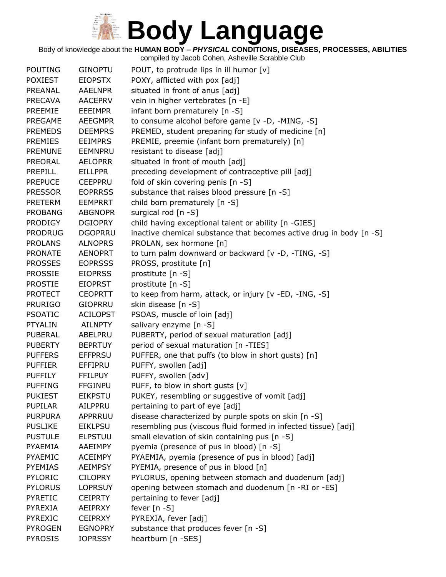Body of knowledge about the **HUMAN BODY –** *PHYSICAL* **CONDITIONS, DISEASES, PROCESSES, ABILITIES**

| <b>POUTING</b> | <b>GINOPTU</b>  | POUT, to protrude lips in ill humor [v]                             |
|----------------|-----------------|---------------------------------------------------------------------|
| <b>POXIEST</b> | <b>EIOPSTX</b>  | POXY, afflicted with pox [adj]                                      |
| PREANAL        | <b>AAELNPR</b>  | situated in front of anus [adj]                                     |
| <b>PRECAVA</b> | <b>AACEPRV</b>  | vein in higher vertebrates [n -E]                                   |
| <b>PREEMIE</b> | <b>EEEIMPR</b>  | infant born prematurely [n -S]                                      |
| PREGAME        | <b>AEEGMPR</b>  | to consume alcohol before game [v -D, -MING, -S]                    |
| <b>PREMEDS</b> | <b>DEEMPRS</b>  | PREMED, student preparing for study of medicine [n]                 |
| <b>PREMIES</b> | <b>EEIMPRS</b>  | PREMIE, preemie (infant born prematurely) [n]                       |
| <b>PREMUNE</b> | EEMNPRU         | resistant to disease [adj]                                          |
| <b>PREORAL</b> | <b>AELOPRR</b>  | situated in front of mouth [adj]                                    |
| PREPILL        | <b>EILLPPR</b>  | preceding development of contraceptive pill [adj]                   |
| <b>PREPUCE</b> | <b>CEEPPRU</b>  | fold of skin covering penis [n -S]                                  |
| <b>PRESSOR</b> | <b>EOPRRSS</b>  | substance that raises blood pressure [n -S]                         |
| <b>PRETERM</b> | <b>EEMPRRT</b>  | child born prematurely [n -S]                                       |
| <b>PROBANG</b> | <b>ABGNOPR</b>  | surgical rod [n -S]                                                 |
| <b>PRODIGY</b> | <b>DGIOPRY</b>  | child having exceptional talent or ability [n -GIES]                |
| <b>PRODRUG</b> | <b>DGOPRRU</b>  | inactive chemical substance that becomes active drug in body [n -S] |
| <b>PROLANS</b> | <b>ALNOPRS</b>  | PROLAN, sex hormone [n]                                             |
| <b>PRONATE</b> | <b>AENOPRT</b>  | to turn palm downward or backward [v -D, -TING, -S]                 |
| <b>PROSSES</b> | <b>EOPRSSS</b>  | PROSS, prostitute [n]                                               |
| <b>PROSSIE</b> | <b>EIOPRSS</b>  | prostitute [n -S]                                                   |
| <b>PROSTIE</b> | <b>EIOPRST</b>  | prostitute [n -S]                                                   |
| <b>PROTECT</b> | <b>CEOPRTT</b>  | to keep from harm, attack, or injury [v -ED, -ING, -S]              |
| <b>PRURIGO</b> | <b>GIOPRRU</b>  | skin disease [n -S]                                                 |
| <b>PSOATIC</b> | <b>ACILOPST</b> | PSOAS, muscle of loin [adj]                                         |
| <b>PTYALIN</b> | <b>AILNPTY</b>  | salivary enzyme [n -S]                                              |
| <b>PUBERAL</b> | ABELPRU         | PUBERTY, period of sexual maturation [adj]                          |
| <b>PUBERTY</b> | <b>BEPRTUY</b>  | period of sexual maturation [n -TIES]                               |
| <b>PUFFERS</b> | <b>EFFPRSU</b>  | PUFFER, one that puffs (to blow in short gusts) [n]                 |
| <b>PUFFIER</b> | EFFIPRU         | PUFFY, swollen [adj]                                                |
| <b>PUFFILY</b> | <b>FFILPUY</b>  | PUFFY, swollen [adv]                                                |
| <b>PUFFING</b> | <b>FFGINPU</b>  | PUFF, to blow in short gusts [v]                                    |
| <b>PUKIEST</b> | <b>EIKPSTU</b>  | PUKEY, resembling or suggestive of vomit [adj]                      |
| <b>PUPILAR</b> | AILPPRU         | pertaining to part of eye [adj]                                     |
| <b>PURPURA</b> | APPRRUU         | disease characterized by purple spots on skin [n -S]                |
| <b>PUSLIKE</b> | <b>EIKLPSU</b>  | resembling pus (viscous fluid formed in infected tissue) [adj]      |
| <b>PUSTULE</b> | <b>ELPSTUU</b>  | small elevation of skin containing pus [n -S]                       |
| <b>PYAEMIA</b> | AAEIMPY         | pyemia (presence of pus in blood) [n -S]                            |
| PYAEMIC        | <b>ACEIMPY</b>  | PYAEMIA, pyemia (presence of pus in blood) [adj]                    |
| <b>PYEMIAS</b> | <b>AEIMPSY</b>  | PYEMIA, presence of pus in blood [n]                                |
| <b>PYLORIC</b> | <b>CILOPRY</b>  | PYLORUS, opening between stomach and duodenum [adj]                 |
| <b>PYLORUS</b> | <b>LOPRSUY</b>  | opening between stomach and duodenum [n -RI or -ES]                 |
| <b>PYRETIC</b> | <b>CEIPRTY</b>  | pertaining to fever [adj]                                           |
| <b>PYREXIA</b> | AEIPRXY         | fever $[n - S]$                                                     |
| <b>PYREXIC</b> | <b>CEIPRXY</b>  | PYREXIA, fever [adj]                                                |
| <b>PYROGEN</b> | <b>EGNOPRY</b>  | substance that produces fever [n -S]                                |
| <b>PYROSIS</b> | <b>IOPRSSY</b>  | heartburn [n -SES]                                                  |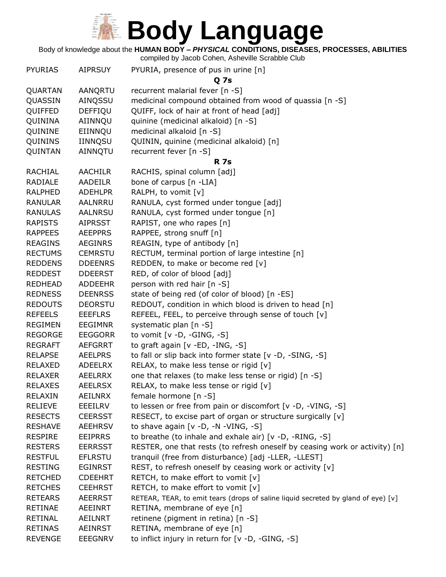Body of knowledge about the **HUMAN BODY –** *PHYSICAL* **CONDITIONS, DISEASES, PROCESSES, ABILITIES**

| <b>PYURIAS</b> | <b>AIPRSUY</b> | PYURIA, presence of pus in urine [n]                                              |
|----------------|----------------|-----------------------------------------------------------------------------------|
|                |                | Q 7s                                                                              |
| QUARTAN        | <b>AANQRTU</b> | recurrent malarial fever [n -S]                                                   |
| QUASSIN        | AINQSSU        | medicinal compound obtained from wood of quassia [n -S]                           |
| QUIFFED        | DEFFIQU        | QUIFF, lock of hair at front of head [adj]                                        |
| QUININA        | AIINNQU        | quinine (medicinal alkaloid) [n -S]                                               |
| QUININE        | EIINNQU        | medicinal alkaloid [n -S]                                                         |
| QUININS        | IINNQSU        | QUININ, quinine (medicinal alkaloid) [n]                                          |
| QUINTAN        | AINNQTU        | recurrent fever [n -S]                                                            |
|                |                | <b>R</b> 7s                                                                       |
| <b>RACHIAL</b> | <b>AACHILR</b> | RACHIS, spinal column [adj]                                                       |
| RADIALE        | <b>AADEILR</b> | bone of carpus [n -LIA]                                                           |
| <b>RALPHED</b> | <b>ADEHLPR</b> | RALPH, to vomit [v]                                                               |
| <b>RANULAR</b> | AALNRRU        | RANULA, cyst formed under tongue [adj]                                            |
| <b>RANULAS</b> | <b>AALNRSU</b> | RANULA, cyst formed under tongue [n]                                              |
| <b>RAPISTS</b> | <b>AIPRSST</b> | RAPIST, one who rapes [n]                                                         |
| <b>RAPPEES</b> | <b>AEEPPRS</b> | RAPPEE, strong snuff [n]                                                          |
| <b>REAGINS</b> | <b>AEGINRS</b> | REAGIN, type of antibody [n]                                                      |
| <b>RECTUMS</b> | <b>CEMRSTU</b> | RECTUM, terminal portion of large intestine [n]                                   |
| <b>REDDENS</b> | <b>DDEENRS</b> | REDDEN, to make or become red [v]                                                 |
| <b>REDDEST</b> | <b>DDEERST</b> | RED, of color of blood [adj]                                                      |
| <b>REDHEAD</b> | <b>ADDEEHR</b> | person with red hair [n -S]                                                       |
| <b>REDNESS</b> | <b>DEENRSS</b> | state of being red (of color of blood) [n -ES]                                    |
| <b>REDOUTS</b> | <b>DEORSTU</b> | REDOUT, condition in which blood is driven to head [n]                            |
| <b>REFEELS</b> | <b>EEEFLRS</b> | REFEEL, FEEL, to perceive through sense of touch [v]                              |
| <b>REGIMEN</b> | <b>EEGIMNR</b> | systematic plan [n -S]                                                            |
| <b>REGORGE</b> | <b>EEGGORR</b> | to vomit $[v -D, -GING, -S]$                                                      |
| <b>REGRAFT</b> | <b>AEFGRRT</b> | to graft again [v -ED, -ING, -S]                                                  |
| <b>RELAPSE</b> | <b>AEELPRS</b> | to fall or slip back into former state [v -D, -SING, -S]                          |
| <b>RELAXED</b> | <b>ADEELRX</b> | RELAX, to make less tense or rigid [v]                                            |
| <b>RELAXER</b> | AEELRRX        | one that relaxes (to make less tense or rigid) [n -S]                             |
| <b>RELAXES</b> | <b>AEELRSX</b> | RELAX, to make less tense or rigid [v]                                            |
| <b>RELAXIN</b> | <b>AEILNRX</b> | female hormone [n -S]                                                             |
| <b>RELIEVE</b> | EEEILRV        | to lessen or free from pain or discomfort [v -D, -VING, -S]                       |
| <b>RESECTS</b> | <b>CEERSST</b> | RESECT, to excise part of organ or structure surgically [v]                       |
| <b>RESHAVE</b> | <b>AEEHRSV</b> | to shave again $[v -D, -N - VING, -S]$                                            |
| <b>RESPIRE</b> | <b>EEIPRRS</b> | to breathe (to inhale and exhale air) [v -D, -RING, -S]                           |
| <b>RESTERS</b> | <b>EERRSST</b> | RESTER, one that rests (to refresh oneself by ceasing work or activity) $[n]$     |
| <b>RESTFUL</b> | <b>EFLRSTU</b> | tranquil (free from disturbance) [adj -LLER, -LLEST]                              |
| <b>RESTING</b> | <b>EGINRST</b> | REST, to refresh oneself by ceasing work or activity [v]                          |
| <b>RETCHED</b> | <b>CDEEHRT</b> | RETCH, to make effort to vomit [v]                                                |
| <b>RETCHES</b> | <b>CEEHRST</b> | RETCH, to make effort to vomit [v]                                                |
| <b>RETEARS</b> | <b>AEERRST</b> | RETEAR, TEAR, to emit tears (drops of saline liquid secreted by gland of eye) [v] |
| <b>RETINAE</b> | <b>AEEINRT</b> | RETINA, membrane of eye [n]                                                       |
| <b>RETINAL</b> | <b>AEILNRT</b> | retinene (pigment in retina) [n -S]                                               |
| <b>RETINAS</b> | <b>AEINRST</b> | RETINA, membrane of eye [n]                                                       |
| <b>REVENGE</b> | <b>EEEGNRV</b> | to inflict injury in return for [v -D, -GING, -S]                                 |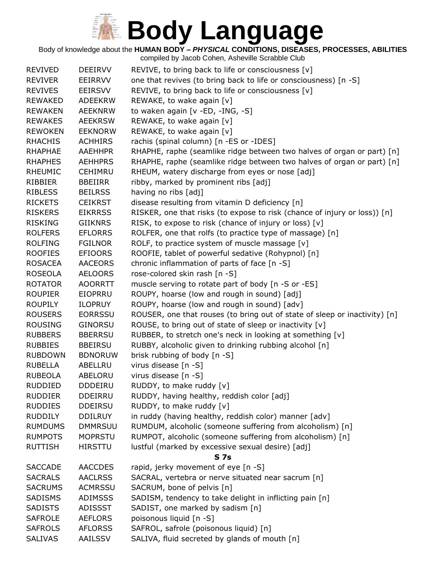Body of knowledge about the **HUMAN BODY –** *PHYSICAL* **CONDITIONS, DISEASES, PROCESSES, ABILITIES**

| <b>REVIVED</b> | <b>DEEIRVV</b> | REVIVE, to bring back to life or consciousness [v]                         |
|----------------|----------------|----------------------------------------------------------------------------|
| <b>REVIVER</b> | EEIRRVV        | one that revives (to bring back to life or consciousness) [n -S]           |
| <b>REVIVES</b> | <b>EEIRSVV</b> | REVIVE, to bring back to life or consciousness [v]                         |
| <b>REWAKED</b> | <b>ADEEKRW</b> | REWAKE, to wake again [v]                                                  |
| <b>REWAKEN</b> | <b>AEEKNRW</b> | to waken again [v -ED, -ING, -S]                                           |
| <b>REWAKES</b> | <b>AEEKRSW</b> | REWAKE, to wake again [v]                                                  |
| <b>REWOKEN</b> | <b>EEKNORW</b> | REWAKE, to wake again [v]                                                  |
| <b>RHACHIS</b> | <b>ACHHIRS</b> | rachis (spinal column) [n -ES or -IDES]                                    |
| <b>RHAPHAE</b> | <b>AAEHHPR</b> | RHAPHE, raphe (seamlike ridge between two halves of organ or part) [n]     |
| <b>RHAPHES</b> | <b>AEHHPRS</b> | RHAPHE, raphe (seamlike ridge between two halves of organ or part) [n]     |
| <b>RHEUMIC</b> | <b>CEHIMRU</b> | RHEUM, watery discharge from eyes or nose [adj]                            |
| RIBBIER        | <b>BBEIIRR</b> | ribby, marked by prominent ribs [adj]                                      |
| <b>RIBLESS</b> | <b>BEILRSS</b> | having no ribs [adj]                                                       |
| <b>RICKETS</b> | <b>CEIKRST</b> | disease resulting from vitamin D deficiency [n]                            |
| <b>RISKERS</b> | <b>EIKRRSS</b> | RISKER, one that risks (to expose to risk (chance of injury or loss)) [n]  |
| <b>RISKING</b> | <b>GIIKNRS</b> | RISK, to expose to risk (chance of injury or loss) [v]                     |
| <b>ROLFERS</b> | <b>EFLORRS</b> | ROLFER, one that rolfs (to practice type of massage) [n]                   |
| <b>ROLFING</b> | <b>FGILNOR</b> | ROLF, to practice system of muscle massage [v]                             |
| <b>ROOFIES</b> | <b>EFIOORS</b> | ROOFIE, tablet of powerful sedative (Rohypnol) [n]                         |
| <b>ROSACEA</b> | <b>AACEORS</b> | chronic inflammation of parts of face [n -S]                               |
| <b>ROSEOLA</b> | <b>AELOORS</b> | rose-colored skin rash [n -S]                                              |
| <b>ROTATOR</b> | <b>AOORRTT</b> | muscle serving to rotate part of body [n -S or -ES]                        |
| <b>ROUPIER</b> | <b>EIOPRRU</b> | ROUPY, hoarse (low and rough in sound) [adj]                               |
| <b>ROUPILY</b> | <b>ILOPRUY</b> | ROUPY, hoarse (low and rough in sound) [adv]                               |
| <b>ROUSERS</b> | <b>EORRSSU</b> | ROUSER, one that rouses (to bring out of state of sleep or inactivity) [n] |
| <b>ROUSING</b> | <b>GINORSU</b> | ROUSE, to bring out of state of sleep or inactivity [v]                    |
| <b>RUBBERS</b> | <b>BBERRSU</b> | RUBBER, to stretch one's neck in looking at something [v]                  |
| <b>RUBBIES</b> | <b>BBEIRSU</b> | RUBBY, alcoholic given to drinking rubbing alcohol [n]                     |
| <b>RUBDOWN</b> | <b>BDNORUW</b> | brisk rubbing of body [n -S]                                               |
| <b>RUBELLA</b> | ABELLRU        | virus disease [n -S]                                                       |
| <b>RUBEOLA</b> | ABELORU        | virus disease [n -S]                                                       |
| <b>RUDDIED</b> | <b>DDDEIRU</b> | RUDDY, to make ruddy [v]                                                   |
| <b>RUDDIER</b> | <b>DDEIRRU</b> | RUDDY, having healthy, reddish color [adj]                                 |
| <b>RUDDIES</b> | <b>DDEIRSU</b> | RUDDY, to make ruddy [v]                                                   |
| <b>RUDDILY</b> | <b>DDILRUY</b> | in ruddy (having healthy, reddish color) manner [adv]                      |
| <b>RUMDUMS</b> | <b>DMMRSUU</b> | RUMDUM, alcoholic (someone suffering from alcoholism) [n]                  |
| <b>RUMPOTS</b> | <b>MOPRSTU</b> | RUMPOT, alcoholic (someone suffering from alcoholism) [n]                  |
| <b>RUTTISH</b> | <b>HIRSTTU</b> | lustful (marked by excessive sexual desire) [adj]                          |
|                |                | <b>S7s</b>                                                                 |
| <b>SACCADE</b> | <b>AACCDES</b> | rapid, jerky movement of eye [n -S]                                        |
| <b>SACRALS</b> | <b>AACLRSS</b> | SACRAL, vertebra or nerve situated near sacrum [n]                         |
| <b>SACRUMS</b> | <b>ACMRSSU</b> | SACRUM, bone of pelvis [n]                                                 |
| SADISMS        | <b>ADIMSSS</b> | SADISM, tendency to take delight in inflicting pain [n]                    |
| <b>SADISTS</b> | <b>ADISSST</b> | SADIST, one marked by sadism [n]                                           |
| <b>SAFROLE</b> | <b>AEFLORS</b> | poisonous liquid [n -S]                                                    |
| <b>SAFROLS</b> | <b>AFLORSS</b> | SAFROL, safrole (poisonous liquid) [n]                                     |
| <b>SALIVAS</b> | AAILSSV        | SALIVA, fluid secreted by glands of mouth [n]                              |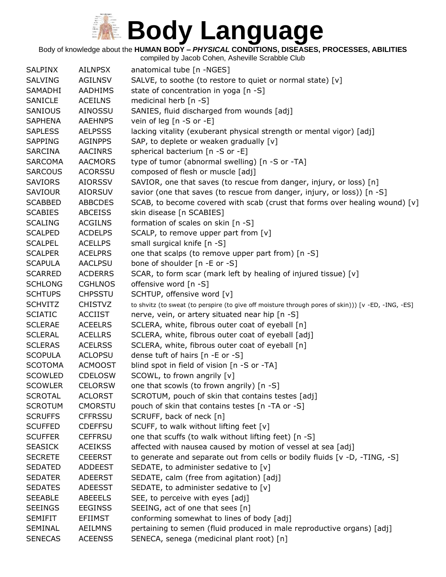#### Body of knowledge about the **HUMAN BODY –** *PHYSICAL* **CONDITIONS, DISEASES, PROCESSES, ABILITIES**

| <b>SALPINX</b> | <b>AILNPSX</b> | anatomical tube [n -NGES]                                                                          |
|----------------|----------------|----------------------------------------------------------------------------------------------------|
| <b>SALVING</b> | <b>AGILNSV</b> | SALVE, to soothe (to restore to quiet or normal state) [v]                                         |
| SAMADHI        | AADHIMS        | state of concentration in yoga [n -S]                                                              |
| SANICLE        | <b>ACEILNS</b> | medicinal herb [n -S]                                                                              |
| SANIOUS        | <b>AINOSSU</b> | SANIES, fluid discharged from wounds [adj]                                                         |
| <b>SAPHENA</b> | <b>AAEHNPS</b> | vein of leg [n -S or -E]                                                                           |
| <b>SAPLESS</b> | <b>AELPSSS</b> | lacking vitality (exuberant physical strength or mental vigor) [adj]                               |
| <b>SAPPING</b> | <b>AGINPPS</b> | SAP, to deplete or weaken gradually [v]                                                            |
| <b>SARCINA</b> | <b>AACINRS</b> | spherical bacterium [n -S or -E]                                                                   |
| <b>SARCOMA</b> | <b>AACMORS</b> | type of tumor (abnormal swelling) [n -S or -TA]                                                    |
| <b>SARCOUS</b> | <b>ACORSSU</b> | composed of flesh or muscle [adj]                                                                  |
| <b>SAVIORS</b> | <b>AIORSSV</b> | SAVIOR, one that saves (to rescue from danger, injury, or loss) [n]                                |
| <b>SAVIOUR</b> | <b>AIORSUV</b> | savior (one that saves (to rescue from danger, injury, or loss)) [n -S]                            |
| <b>SCABBED</b> | <b>ABBCDES</b> | SCAB, to become covered with scab (crust that forms over healing wound) [v]                        |
| <b>SCABIES</b> | <b>ABCEISS</b> | skin disease [n SCABIES]                                                                           |
| <b>SCALING</b> | <b>ACGILNS</b> | formation of scales on skin [n -S]                                                                 |
| <b>SCALPED</b> | <b>ACDELPS</b> | SCALP, to remove upper part from [v]                                                               |
| <b>SCALPEL</b> | <b>ACELLPS</b> | small surgical knife [n -S]                                                                        |
| <b>SCALPER</b> | <b>ACELPRS</b> | one that scalps (to remove upper part from) [n -S]                                                 |
| <b>SCAPULA</b> | <b>AACLPSU</b> | bone of shoulder [n -E or -S]                                                                      |
| <b>SCARRED</b> | <b>ACDERRS</b> | SCAR, to form scar (mark left by healing of injured tissue) [v]                                    |
| <b>SCHLONG</b> | <b>CGHLNOS</b> | offensive word [n -S]                                                                              |
| <b>SCHTUPS</b> | <b>CHPSSTU</b> | SCHTUP, offensive word [v]                                                                         |
| <b>SCHVITZ</b> | <b>CHISTVZ</b> | to shvitz (to sweat (to perspire (to give off moisture through pores of skin))) [v -ED, -ING, -ES] |
| <b>SCIATIC</b> | <b>ACCIIST</b> | nerve, vein, or artery situated near hip [n -S]                                                    |
| <b>SCLERAE</b> | <b>ACEELRS</b> | SCLERA, white, fibrous outer coat of eyeball [n]                                                   |
| <b>SCLERAL</b> | <b>ACELLRS</b> | SCLERA, white, fibrous outer coat of eyeball [adj]                                                 |
| <b>SCLERAS</b> | <b>ACELRSS</b> | SCLERA, white, fibrous outer coat of eyeball [n]                                                   |
| <b>SCOPULA</b> | <b>ACLOPSU</b> | dense tuft of hairs [n -E or -S]                                                                   |
| <b>SCOTOMA</b> | <b>ACMOOST</b> | blind spot in field of vision [n -S or -TA]                                                        |
| <b>SCOWLED</b> | <b>CDELOSW</b> | SCOWL, to frown angrily [v]                                                                        |
| <b>SCOWLER</b> | <b>CELORSW</b> | one that scowls (to frown angrily) [n -S]                                                          |
| <b>SCROTAL</b> | <b>ACLORST</b> | SCROTUM, pouch of skin that contains testes [adj]                                                  |
| <b>SCROTUM</b> | <b>CMORSTU</b> | pouch of skin that contains testes [n -TA or -S]                                                   |
| <b>SCRUFFS</b> | <b>CFFRSSU</b> | SCRUFF, back of neck [n]                                                                           |
| <b>SCUFFED</b> | <b>CDEFFSU</b> | SCUFF, to walk without lifting feet [v]                                                            |
| <b>SCUFFER</b> | <b>CEFFRSU</b> | one that scuffs (to walk without lifting feet) [n -S]                                              |
| <b>SEASICK</b> | <b>ACEIKSS</b> | affected with nausea caused by motion of vessel at sea [adj]                                       |
| <b>SECRETE</b> | <b>CEEERST</b> | to generate and separate out from cells or bodily fluids [ $v$ -D, -TING, -S]                      |
| <b>SEDATED</b> | <b>ADDEEST</b> | SEDATE, to administer sedative to [v]                                                              |
| <b>SEDATER</b> | <b>ADEERST</b> | SEDATE, calm (free from agitation) [adj]                                                           |
| <b>SEDATES</b> | <b>ADEESST</b> | SEDATE, to administer sedative to [v]                                                              |
| <b>SEEABLE</b> | <b>ABEEELS</b> | SEE, to perceive with eyes [adj]                                                                   |
| <b>SEEINGS</b> | <b>EEGINSS</b> | SEEING, act of one that sees [n]                                                                   |
| <b>SEMIFIT</b> | <b>EFIIMST</b> | conforming somewhat to lines of body [adj]                                                         |
| <b>SEMINAL</b> | <b>AEILMNS</b> | pertaining to semen (fluid produced in male reproductive organs) [adj]                             |
| <b>SENECAS</b> | <b>ACEENSS</b> | SENECA, senega (medicinal plant root) [n]                                                          |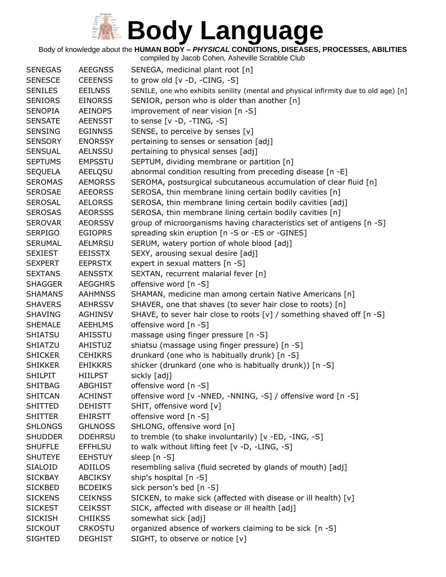Body of knowledge about the **HUMAN BODY –** *PHYSICAL* **CONDITIONS, DISEASES, PROCESSES, ABILITIES**

| <b>SENEGAS</b> | <b>AEEGNSS</b> | SENEGA, medicinal plant root [n]                                                     |
|----------------|----------------|--------------------------------------------------------------------------------------|
| <b>SENESCE</b> | <b>CEEENSS</b> | to grow old $[v -D, -CING, -S]$                                                      |
| <b>SENILES</b> | <b>EEILNSS</b> | SENILE, one who exhibits senility (mental and physical infirmity due to old age) [n] |
| <b>SENIORS</b> | <b>EINORSS</b> | SENIOR, person who is older than another [n]                                         |
| <b>SENOPIA</b> | <b>AEINOPS</b> | improvement of near vision [n -S]                                                    |
| <b>SENSATE</b> | <b>AEENSST</b> | to sense $[v -D, -TING, -S]$                                                         |
| <b>SENSING</b> | <b>EGINNSS</b> | SENSE, to perceive by senses [v]                                                     |
| <b>SENSORY</b> | <b>ENORSSY</b> | pertaining to senses or sensation [adj]                                              |
| <b>SENSUAL</b> | <b>AELNSSU</b> | pertaining to physical senses [adj]                                                  |
| <b>SEPTUMS</b> | <b>EMPSSTU</b> | SEPTUM, dividing membrane or partition [n]                                           |
| <b>SEQUELA</b> | AEELQSU        | abnormal condition resulting from preceding disease [n -E]                           |
| <b>SEROMAS</b> | <b>AEMORSS</b> | SEROMA, postsurgical subcutaneous accumulation of clear fluid [n]                    |
| <b>SEROSAE</b> | <b>AEEORSS</b> | SEROSA, thin membrane lining certain bodily cavities [n]                             |
| <b>SEROSAL</b> | <b>AELORSS</b> | SEROSA, thin membrane lining certain bodily cavities [adj]                           |
| <b>SEROSAS</b> | <b>AEORSSS</b> | SEROSA, thin membrane lining certain bodily cavities [n]                             |
| <b>SEROVAR</b> | <b>AEORSSV</b> | group of microorganisms having characteristics set of antigens [n -S]                |
| <b>SERPIGO</b> | <b>EGIOPRS</b> | spreading skin eruption [n -S or -ES or -GINES]                                      |
| <b>SERUMAL</b> | <b>AELMRSU</b> | SERUM, watery portion of whole blood [adj]                                           |
| <b>SEXIEST</b> | <b>EEISSTX</b> | SEXY, arousing sexual desire [adj]                                                   |
| <b>SEXPERT</b> | <b>EEPRSTX</b> | expert in sexual matters [n -S]                                                      |
| <b>SEXTANS</b> | <b>AENSSTX</b> | SEXTAN, recurrent malarial fever [n]                                                 |
| <b>SHAGGER</b> | <b>AEGGHRS</b> | offensive word [n -S]                                                                |
| <b>SHAMANS</b> | <b>AAHMNSS</b> | SHAMAN, medicine man among certain Native Americans [n]                              |
| <b>SHAVERS</b> | <b>AEHRSSV</b> | SHAVER, one that shaves (to sever hair close to roots) [n]                           |
| <b>SHAVING</b> | <b>AGHINSV</b> | SHAVE, to sever hair close to roots [v] / something shaved off [n -S]                |
| <b>SHEMALE</b> | <b>AEEHLMS</b> | offensive word [n -S]                                                                |
| <b>SHIATSU</b> | AHISSTU        | massage using finger pressure [n -S]                                                 |
| SHIATZU        | <b>AHISTUZ</b> | shiatsu (massage using finger pressure) [n -S]                                       |
| <b>SHICKER</b> | <b>CEHIKRS</b> | drunkard (one who is habitually drunk) [n -S]                                        |
| <b>SHIKKER</b> | <b>EHIKKRS</b> | shicker (drunkard (one who is habitually drunk)) [n -S]                              |
| <b>SHILPIT</b> | <b>HIILPST</b> | sickly [adj]                                                                         |
| <b>SHITBAG</b> | <b>ABGHIST</b> | offensive word [n -S]                                                                |
| <b>SHITCAN</b> | <b>ACHINST</b> | offensive word [v -NNED, -NNING, -S] / offensive word [n -S]                         |
| <b>SHITTED</b> | <b>DEHISTT</b> | SHIT, offensive word [v]                                                             |
| <b>SHITTER</b> | <b>EHIRSTT</b> | offensive word [n -S]                                                                |
| <b>SHLONGS</b> | <b>GHLNOSS</b> | SHLONG, offensive word [n]                                                           |
| <b>SHUDDER</b> | <b>DDEHRSU</b> | to tremble (to shake involuntarily) [v -ED, -ING, -S]                                |
| <b>SHUFFLE</b> | <b>EFFHLSU</b> | to walk without lifting feet [v -D, -LING, -S]                                       |
| <b>SHUTEYE</b> | <b>EEHSTUY</b> | sleep [n -S]                                                                         |
| <b>SIALOID</b> | ADIILOS        | resembling saliva (fluid secreted by glands of mouth) [adj]                          |
| <b>SICKBAY</b> | <b>ABCIKSY</b> | ship's hospital [n -S]                                                               |
| <b>SICKBED</b> | <b>BCDEIKS</b> | sick person's bed [n -S]                                                             |
| <b>SICKENS</b> | <b>CEIKNSS</b> | SICKEN, to make sick (affected with disease or ill health) [v]                       |
| <b>SICKEST</b> | <b>CEIKSST</b> | SICK, affected with disease or ill health [adj]                                      |
| <b>SICKISH</b> | <b>CHIIKSS</b> | somewhat sick [adj]                                                                  |
| <b>SICKOUT</b> | <b>CRKOSTU</b> | organized absence of workers claiming to be sick [n -S]                              |
| <b>SIGHTED</b> | <b>DEGHIST</b> | SIGHT, to observe or notice [v]                                                      |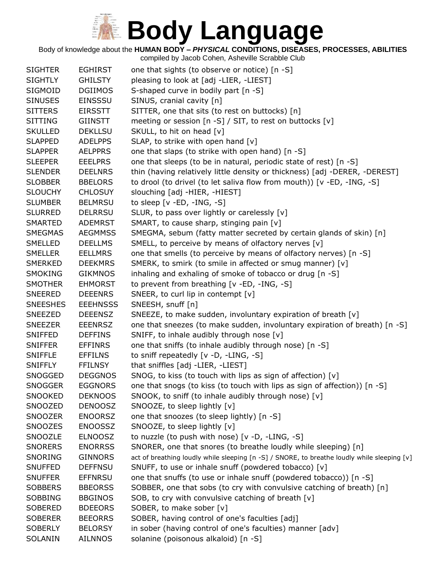Body of knowledge about the **HUMAN BODY –** *PHYSICAL* **CONDITIONS, DISEASES, PROCESSES, ABILITIES**

| <b>SIGHTER</b>  | <b>EGHIRST</b>  | one that sights (to observe or notice) [n -S]                                               |
|-----------------|-----------------|---------------------------------------------------------------------------------------------|
| <b>SIGHTLY</b>  | <b>GHILSTY</b>  | pleasing to look at [adj -LIER, -LIEST]                                                     |
| SIGMOID         | <b>DGIIMOS</b>  | S-shaped curve in bodily part [n -S]                                                        |
| <b>SINUSES</b>  | <b>EINSSSU</b>  | SINUS, cranial cavity [n]                                                                   |
| <b>SITTERS</b>  | <b>EIRSSTT</b>  | SITTER, one that sits (to rest on buttocks) [n]                                             |
| <b>SITTING</b>  | <b>GIINSTT</b>  | meeting or session [n -S] / SIT, to rest on buttocks [v]                                    |
| <b>SKULLED</b>  | <b>DEKLLSU</b>  | SKULL, to hit on head [v]                                                                   |
| <b>SLAPPED</b>  | <b>ADELPPS</b>  | SLAP, to strike with open hand [v]                                                          |
| <b>SLAPPER</b>  | <b>AELPPRS</b>  | one that slaps (to strike with open hand) [n -S]                                            |
| <b>SLEEPER</b>  | <b>EEELPRS</b>  | one that sleeps (to be in natural, periodic state of rest) [n -S]                           |
| <b>SLENDER</b>  | <b>DEELNRS</b>  | thin (having relatively little density or thickness) [adj -DERER, -DEREST]                  |
| <b>SLOBBER</b>  | <b>BBELORS</b>  | to drool (to drivel (to let saliva flow from mouth)) [v -ED, -ING, -S]                      |
| <b>SLOUCHY</b>  | <b>CHLOSUY</b>  | slouching [adj -HIER, -HIEST]                                                               |
| <b>SLUMBER</b>  | <b>BELMRSU</b>  | to sleep $[v - ED, -ING, -S]$                                                               |
| <b>SLURRED</b>  | <b>DELRRSU</b>  | SLUR, to pass over lightly or carelessly [v]                                                |
| <b>SMARTED</b>  | <b>ADEMRST</b>  | SMART, to cause sharp, stinging pain [v]                                                    |
| <b>SMEGMAS</b>  | <b>AEGMMSS</b>  | SMEGMA, sebum (fatty matter secreted by certain glands of skin) [n]                         |
| SMELLED         | <b>DEELLMS</b>  | SMELL, to perceive by means of olfactory nerves [v]                                         |
| <b>SMELLER</b>  | <b>EELLMRS</b>  | one that smells (to perceive by means of olfactory nerves) [n -S]                           |
| <b>SMERKED</b>  | <b>DEEKMRS</b>  | SMERK, to smirk (to smile in affected or smug manner) [v]                                   |
| <b>SMOKING</b>  | <b>GIKMNOS</b>  | inhaling and exhaling of smoke of tobacco or drug [n -S]                                    |
| <b>SMOTHER</b>  | <b>EHMORST</b>  | to prevent from breathing [v -ED, -ING, -S]                                                 |
| <b>SNEERED</b>  | <b>DEEENRS</b>  | SNEER, to curl lip in contempt [v]                                                          |
| <b>SNEESHES</b> | <b>EEEHNSSS</b> | SNEESH, snuff [n]                                                                           |
| SNEEZED         | <b>DEEENSZ</b>  | SNEEZE, to make sudden, involuntary expiration of breath [v]                                |
| <b>SNEEZER</b>  | <b>EEENRSZ</b>  | one that sneezes (to make sudden, involuntary expiration of breath) [n -S]                  |
| <b>SNIFFED</b>  | <b>DEFFINS</b>  | SNIFF, to inhale audibly through nose [v]                                                   |
| <b>SNIFFER</b>  | <b>EFFINRS</b>  | one that sniffs (to inhale audibly through nose) [n -S]                                     |
| <b>SNIFFLE</b>  | <b>EFFILNS</b>  | to sniff repeatedly [v -D, -LING, -S]                                                       |
| <b>SNIFFLY</b>  | <b>FFILNSY</b>  | that sniffles [adj -LIER, -LIEST]                                                           |
| SNOGGED         | <b>DEGGNOS</b>  | SNOG, to kiss (to touch with lips as sign of affection) [v]                                 |
| <b>SNOGGER</b>  | <b>EGGNORS</b>  | one that snogs (to kiss (to touch with lips as sign of affection)) [n -S]                   |
| <b>SNOOKED</b>  | <b>DEKNOOS</b>  | SNOOK, to sniff (to inhale audibly through nose) [v]                                        |
| SNOOZED         | <b>DENOOSZ</b>  | SNOOZE, to sleep lightly [v]                                                                |
| <b>SNOOZER</b>  | <b>ENOORSZ</b>  | one that snoozes (to sleep lightly) [n -S]                                                  |
| <b>SNOOZES</b>  | <b>ENOOSSZ</b>  | SNOOZE, to sleep lightly [v]                                                                |
| SNOOZLE         | <b>ELNOOSZ</b>  | to nuzzle (to push with nose) [v -D, -LING, -S]                                             |
| <b>SNORERS</b>  | <b>ENORRSS</b>  | SNORER, one that snores (to breathe loudly while sleeping) [n]                              |
| SNORING         | <b>GINNORS</b>  | act of breathing loudly while sleeping [n -S] / SNORE, to breathe loudly while sleeping [v] |
| <b>SNUFFED</b>  | <b>DEFFNSU</b>  | SNUFF, to use or inhale snuff (powdered tobacco) [v]                                        |
| <b>SNUFFER</b>  | <b>EFFNRSU</b>  | one that snuffs (to use or inhale snuff (powdered tobacco)) [n -S]                          |
| <b>SOBBERS</b>  | <b>BBEORSS</b>  | SOBBER, one that sobs (to cry with convulsive catching of breath) [n]                       |
| <b>SOBBING</b>  | <b>BBGINOS</b>  | SOB, to cry with convulsive catching of breath [v]                                          |
| <b>SOBERED</b>  | <b>BDEEORS</b>  | SOBER, to make sober [v]                                                                    |
| <b>SOBERER</b>  | <b>BEEORRS</b>  | SOBER, having control of one's faculties [adj]                                              |
| <b>SOBERLY</b>  | <b>BELORSY</b>  | in sober (having control of one's faculties) manner [adv]                                   |
| SOLANIN         | <b>AILNNOS</b>  | solanine (poisonous alkaloid) [n -S]                                                        |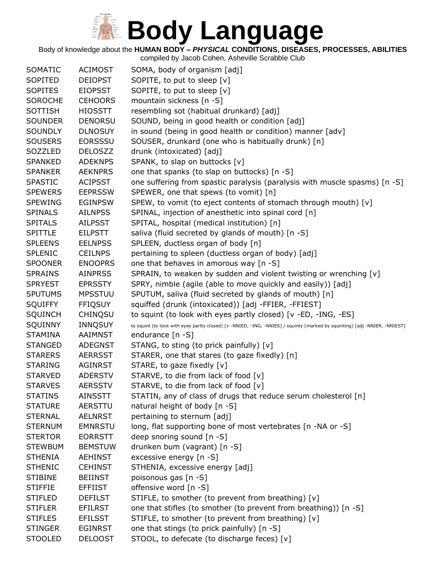Body of knowledge about the **HUMAN BODY –** *PHYSICAL* **CONDITIONS, DISEASES, PROCESSES, ABILITIES**

| SOMATIC        | <b>ACIMOST</b> | SOMA, body of organism [adj]                                                                                               |
|----------------|----------------|----------------------------------------------------------------------------------------------------------------------------|
| SOPITED        | <b>DEIOPST</b> | SOPITE, to put to sleep [v]                                                                                                |
| <b>SOPITES</b> | <b>EIOPSST</b> | SOPITE, to put to sleep [v]                                                                                                |
| <b>SOROCHE</b> | <b>CEHOORS</b> | mountain sickness [n -S]                                                                                                   |
| <b>SOTTISH</b> | <b>HIOSSTT</b> | resembling sot (habitual drunkard) [adj]                                                                                   |
| <b>SOUNDER</b> | <b>DENORSU</b> | SOUND, being in good health or condition [adj]                                                                             |
| <b>SOUNDLY</b> | <b>DLNOSUY</b> | in sound (being in good health or condition) manner [adv]                                                                  |
| <b>SOUSERS</b> | <b>EORSSSU</b> | SOUSER, drunkard (one who is habitually drunk) [n]                                                                         |
| SOZZLED        | <b>DELOSZZ</b> | drunk (intoxicated) [adj]                                                                                                  |
| <b>SPANKED</b> | <b>ADEKNPS</b> | SPANK, to slap on buttocks [v]                                                                                             |
| <b>SPANKER</b> | <b>AEKNPRS</b> | one that spanks (to slap on buttocks) [n -S]                                                                               |
| <b>SPASTIC</b> | <b>ACIPSST</b> | one suffering from spastic paralysis (paralysis with muscle spasms) [n -S]                                                 |
| <b>SPEWERS</b> | <b>EEPRSSW</b> | SPEWER, one that spews (to vomit) [n]                                                                                      |
| <b>SPEWING</b> | <b>EGINPSW</b> | SPEW, to vomit (to eject contents of stomach through mouth) [v]                                                            |
| <b>SPINALS</b> | <b>AILNPSS</b> | SPINAL, injection of anesthetic into spinal cord [n]                                                                       |
| <b>SPITALS</b> | <b>AILPSST</b> | SPITAL, hospital (medical institution) [n]                                                                                 |
| <b>SPITTLE</b> | <b>EILPSTT</b> | saliva (fluid secreted by glands of mouth) [n -S]                                                                          |
| <b>SPLEENS</b> | <b>EELNPSS</b> | SPLEEN, ductless organ of body [n]                                                                                         |
| <b>SPLENIC</b> | <b>CEILNPS</b> | pertaining to spleen (ductless organ of body) [adj]                                                                        |
| <b>SPOONER</b> | <b>ENOOPRS</b> | one that behaves in amorous way [n -S]                                                                                     |
| <b>SPRAINS</b> | <b>AINPRSS</b> | SPRAIN, to weaken by sudden and violent twisting or wrenching [v]                                                          |
| <b>SPRYEST</b> | <b>EPRSSTY</b> | SPRY, nimble (agile (able to move quickly and easily)) [adj]                                                               |
| <b>SPUTUMS</b> | <b>MPSSTUU</b> | SPUTUM, saliva (fluid secreted by glands of mouth) [n]                                                                     |
| <b>SQUIFFY</b> | <b>FFIQSUY</b> | squiffed (drunk (intoxicated)) [adj -FFIER, -FFIEST]                                                                       |
| <b>SQUINCH</b> | <b>CHINQSU</b> | to squint (to look with eyes partly closed) [v -ED, -ING, -ES]                                                             |
| SQUINNY        | INNQSUY        | to squint (to look with eyes partly closed) [v -NNIED, -ING, -NNIES] / squinty (marked by squinting) [adj -NNIER, -NNIEST] |
| <b>STAMINA</b> | <b>AAIMNST</b> | endurance $[n - S]$                                                                                                        |
| <b>STANGED</b> | <b>ADEGNST</b> | STANG, to sting (to prick painfully) [v]                                                                                   |
| <b>STARERS</b> | <b>AERRSST</b> | STARER, one that stares (to gaze fixedly) [n]                                                                              |
| <b>STARING</b> | <b>AGINRST</b> | STARE, to gaze fixedly [v]                                                                                                 |
| <b>STARVED</b> | <b>ADERSTV</b> | STARVE, to die from lack of food [v]                                                                                       |
| <b>STARVES</b> | <b>AERSSTV</b> | STARVE, to die from lack of food [v]                                                                                       |
| <b>STATINS</b> | <b>AINSSTT</b> | STATIN, any of class of drugs that reduce serum cholesterol [n]                                                            |
| <b>STATURE</b> | AERSTTU        | natural height of body [n -S]                                                                                              |
| <b>STERNAL</b> | <b>AELNRST</b> | pertaining to sternum [adj]                                                                                                |
| <b>STERNUM</b> | <b>EMNRSTU</b> | long, flat supporting bone of most vertebrates [n -NA or -S]                                                               |
| <b>STERTOR</b> | <b>EORRSTT</b> | deep snoring sound $[n - S]$                                                                                               |
| <b>STEWBUM</b> | <b>BEMSTUW</b> | drunken bum (vagrant) [n -S]                                                                                               |
| <b>STHENIA</b> | <b>AEHINST</b> | excessive energy [n -S]                                                                                                    |
| <b>STHENIC</b> | <b>CEHINST</b> | STHENIA, excessive energy [adj]                                                                                            |
| <b>STIBINE</b> | <b>BEIINST</b> | poisonous gas [n -S]                                                                                                       |
| <b>STIFFIE</b> | <b>EFFIIST</b> | offensive word [n -S]                                                                                                      |
| <b>STIFLED</b> | <b>DEFILST</b> | STIFLE, to smother (to prevent from breathing) [v]                                                                         |
| <b>STIFLER</b> | <b>EFILRST</b> | one that stifles (to smother (to prevent from breathing)) [n -S]                                                           |
| <b>STIFLES</b> | <b>EFILSST</b> | STIFLE, to smother (to prevent from breathing) [v]                                                                         |
| <b>STINGER</b> | <b>EGINRST</b> | one that stings (to prick painfully) [n -S]                                                                                |
| <b>STOOLED</b> | <b>DELOOST</b> | STOOL, to defecate (to discharge feces) [v]                                                                                |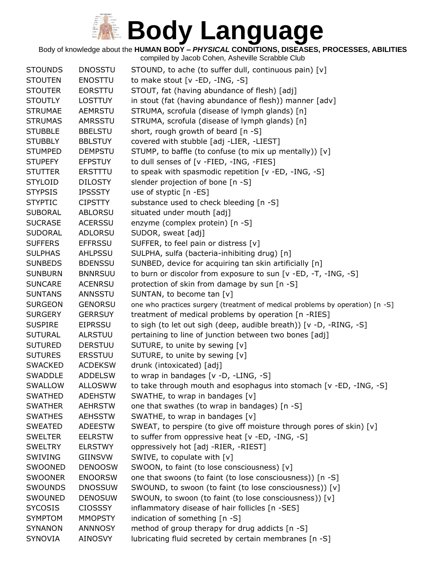Body of knowledge about the **HUMAN BODY –** *PHYSICAL* **CONDITIONS, DISEASES, PROCESSES, ABILITIES**

| <b>STOUNDS</b> | <b>DNOSSTU</b> | STOUND, to ache (to suffer dull, continuous pain) [v]                         |
|----------------|----------------|-------------------------------------------------------------------------------|
| <b>STOUTEN</b> | <b>ENOSTTU</b> | to make stout [v -ED, -ING, -S]                                               |
| <b>STOUTER</b> | <b>EORSTTU</b> | STOUT, fat (having abundance of flesh) [adj]                                  |
| <b>STOUTLY</b> | <b>LOSTTUY</b> | in stout (fat (having abundance of flesh)) manner [adv]                       |
| <b>STRUMAE</b> | <b>AEMRSTU</b> | STRUMA, scrofula (disease of lymph glands) [n]                                |
| <b>STRUMAS</b> | AMRSSTU        | STRUMA, scrofula (disease of lymph glands) [n]                                |
| <b>STUBBLE</b> | <b>BBELSTU</b> | short, rough growth of beard [n -S]                                           |
| <b>STUBBLY</b> | <b>BBLSTUY</b> | covered with stubble [adj -LIER, -LIEST]                                      |
| <b>STUMPED</b> | <b>DEMPSTU</b> | STUMP, to baffle (to confuse (to mix up mentally)) [v]                        |
| <b>STUPEFY</b> | <b>EFPSTUY</b> | to dull senses of [v -FIED, -ING, -FIES]                                      |
| <b>STUTTER</b> | <b>ERSTTTU</b> | to speak with spasmodic repetition [v -ED, -ING, -S]                          |
| <b>STYLOID</b> | <b>DILOSTY</b> | slender projection of bone [n -S]                                             |
| <b>STYPSIS</b> | <b>IPSSSTY</b> | use of styptic [n -ES]                                                        |
| <b>STYPTIC</b> | <b>CIPSTTY</b> | substance used to check bleeding [n -S]                                       |
| <b>SUBORAL</b> | <b>ABLORSU</b> | situated under mouth [adj]                                                    |
| <b>SUCRASE</b> | <b>ACERSSU</b> | enzyme (complex protein) [n -S]                                               |
| <b>SUDORAL</b> | <b>ADLORSU</b> | SUDOR, sweat [adj]                                                            |
| <b>SUFFERS</b> | <b>EFFRSSU</b> | SUFFER, to feel pain or distress [v]                                          |
| <b>SULPHAS</b> | AHLPSSU        | SULPHA, sulfa (bacteria-inhibiting drug) [n]                                  |
| <b>SUNBEDS</b> | <b>BDENSSU</b> | SUNBED, device for acquiring tan skin artificially [n]                        |
| <b>SUNBURN</b> | <b>BNNRSUU</b> | to burn or discolor from exposure to sun [v -ED, -T, -ING, -S]                |
| <b>SUNCARE</b> | <b>ACENRSU</b> | protection of skin from damage by sun [n -S]                                  |
| <b>SUNTANS</b> | ANNSSTU        | SUNTAN, to become tan [v]                                                     |
| <b>SURGEON</b> | <b>GENORSU</b> | one who practices surgery (treatment of medical problems by operation) [n -S] |
| <b>SURGERY</b> | <b>GERRSUY</b> | treatment of medical problems by operation [n -RIES]                          |
| <b>SUSPIRE</b> | <b>EIPRSSU</b> | to sigh (to let out sigh (deep, audible breath)) [v -D, -RING, -S]            |
| <b>SUTURAL</b> | <b>ALRSTUU</b> | pertaining to line of junction between two bones [adj]                        |
| <b>SUTURED</b> | <b>DERSTUU</b> | SUTURE, to unite by sewing [v]                                                |
| <b>SUTURES</b> | <b>ERSSTUU</b> | SUTURE, to unite by sewing [v]                                                |
| <b>SWACKED</b> | <b>ACDEKSW</b> | drunk (intoxicated) [adj]                                                     |
| <b>SWADDLE</b> | <b>ADDELSW</b> | to wrap in bandages [v -D, -LING, -S]                                         |
| SWALLOW        | <b>ALLOSWW</b> | to take through mouth and esophagus into stomach [v -ED, -ING, -S]            |
| <b>SWATHED</b> | <b>ADEHSTW</b> | SWATHE, to wrap in bandages [v]                                               |
| <b>SWATHER</b> | <b>AEHRSTW</b> | one that swathes (to wrap in bandages) [n -S]                                 |
| <b>SWATHES</b> | <b>AEHSSTW</b> | SWATHE, to wrap in bandages [v]                                               |
| <b>SWEATED</b> | <b>ADEESTW</b> | SWEAT, to perspire (to give off moisture through pores of skin) [v]           |
| <b>SWELTER</b> | <b>EELRSTW</b> | to suffer from oppressive heat $[v - ED, -ING, -S]$                           |
| <b>SWELTRY</b> | <b>ELRSTWY</b> | oppressively hot [adj -RIER, -RIEST]                                          |
| <b>SWIVING</b> | GIINSVW        | SWIVE, to copulate with [v]                                                   |
| SWOONED        | <b>DENOOSW</b> | SWOON, to faint (to lose consciousness) [v]                                   |
| <b>SWOONER</b> | <b>ENOORSW</b> | one that swoons (to faint (to lose consciousness)) [n -S]                     |
| SWOUNDS        | <b>DNOSSUW</b> | SWOUND, to swoon (to faint (to lose consciousness)) [v]                       |
| SWOUNED        | <b>DENOSUW</b> | SWOUN, to swoon (to faint (to lose consciousness)) [v]                        |
| <b>SYCOSIS</b> | <b>CIOSSSY</b> | inflammatory disease of hair follicles [n -SES]                               |
| <b>SYMPTOM</b> | <b>MMOPSTY</b> | indication of something [n -S]                                                |
| <b>SYNANON</b> | ANNNOSY        | method of group therapy for drug addicts [n -S]                               |
| <b>SYNOVIA</b> | <b>AINOSVY</b> | lubricating fluid secreted by certain membranes [n -S]                        |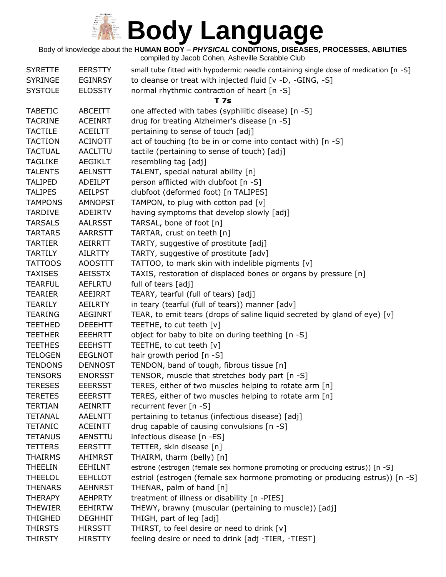

#### Body of knowledge about the **HUMAN BODY –** *PHYSICAL* **CONDITIONS, DISEASES, PROCESSES, ABILITIES**

| <b>SYRETTE</b> | <b>EERSTTY</b> | small tube fitted with hypodermic needle containing single dose of medication [n -S] |
|----------------|----------------|--------------------------------------------------------------------------------------|
| <b>SYRINGE</b> | <b>EGINRSY</b> | to cleanse or treat with injected fluid [v -D, -GING, -S]                            |
| <b>SYSTOLE</b> | <b>ELOSSTY</b> | normal rhythmic contraction of heart [n -S]                                          |
|                |                | <b>T7s</b>                                                                           |
| <b>TABETIC</b> | ABCEITT        | one affected with tabes (syphilitic disease) [n -S]                                  |
| <b>TACRINE</b> | <b>ACEINRT</b> | drug for treating Alzheimer's disease [n -S]                                         |
| <b>TACTILE</b> | <b>ACEILTT</b> | pertaining to sense of touch [adj]                                                   |
| <b>TACTION</b> | <b>ACINOTT</b> | act of touching (to be in or come into contact with) [n -S]                          |
| <b>TACTUAL</b> | <b>AACLTTU</b> | tactile (pertaining to sense of touch) [adj]                                         |
| <b>TAGLIKE</b> | <b>AEGIKLT</b> | resembling tag [adj]                                                                 |
| <b>TALENTS</b> | <b>AELNSTT</b> | TALENT, special natural ability [n]                                                  |
| <b>TALIPED</b> | ADEILPT        | person afflicted with clubfoot [n -S]                                                |
| <b>TALIPES</b> | <b>AEILPST</b> | clubfoot (deformed foot) [n TALIPES]                                                 |
| <b>TAMPONS</b> | <b>AMNOPST</b> | TAMPON, to plug with cotton pad [v]                                                  |
| <b>TARDIVE</b> | <b>ADEIRTV</b> | having symptoms that develop slowly [adj]                                            |
| <b>TARSALS</b> | <b>AALRSST</b> | TARSAL, bone of foot [n]                                                             |
| <b>TARTARS</b> | AARRSTT        | TARTAR, crust on teeth [n]                                                           |
| <b>TARTIER</b> | AEIRRTT        | TARTY, suggestive of prostitute [adj]                                                |
| <b>TARTILY</b> | <b>AILRTTY</b> | TARTY, suggestive of prostitute [adv]                                                |
| <b>TATTOOS</b> | <b>AOOSTTT</b> | TATTOO, to mark skin with indelible pigments [v]                                     |
| <b>TAXISES</b> | <b>AEISSTX</b> | TAXIS, restoration of displaced bones or organs by pressure [n]                      |
| <b>TEARFUL</b> | <b>AEFLRTU</b> | full of tears [adj]                                                                  |
| <b>TEARIER</b> | AEEIRRT        | TEARY, tearful (full of tears) [adj]                                                 |
| TEARILY        | AEILRTY        | in teary (tearful (full of tears)) manner [adv]                                      |
| <b>TEARING</b> | <b>AEGINRT</b> | TEAR, to emit tears (drops of saline liquid secreted by gland of eye) [v]            |
| <b>TEETHED</b> | <b>DEEEHTT</b> | TEETHE, to cut teeth [v]                                                             |
| <b>TEETHER</b> | <b>EEEHRTT</b> | object for baby to bite on during teething [n -S]                                    |
| <b>TEETHES</b> | <b>EEEHSTT</b> | TEETHE, to cut teeth [v]                                                             |
| <b>TELOGEN</b> | <b>EEGLNOT</b> | hair growth period $[n - S]$                                                         |
| <b>TENDONS</b> | <b>DENNOST</b> | TENDON, band of tough, fibrous tissue [n]                                            |
| <b>TENSORS</b> | <b>ENORSST</b> | TENSOR, muscle that stretches body part [n -S]                                       |
| <b>TERESES</b> | <b>EEERSST</b> | TERES, either of two muscles helping to rotate arm [n]                               |
| <b>TERETES</b> | <b>EEERSTT</b> | TERES, either of two muscles helping to rotate arm [n]                               |
| <b>TERTIAN</b> | <b>AEINRTT</b> | recurrent fever [n -S]                                                               |
| <b>TETANAL</b> | <b>AAELNTT</b> | pertaining to tetanus (infectious disease) [adj]                                     |
| <b>TETANIC</b> | <b>ACEINTT</b> | drug capable of causing convulsions [n -S]                                           |
| <b>TETANUS</b> | <b>AENSTTU</b> | infectious disease [n -ES]                                                           |
| <b>TETTERS</b> | <b>EERSTTT</b> | TETTER, skin disease [n]                                                             |
| <b>THAIRMS</b> | AHIMRST        | THAIRM, tharm (belly) [n]                                                            |
| THEELIN        | <b>EEHILNT</b> | estrone (estrogen (female sex hormone promoting or producing estrus)) [n -S]         |
| <b>THEELOL</b> | <b>EEHLLOT</b> | estriol (estrogen (female sex hormone promoting or producing estrus)) [n -S]         |
| <b>THENARS</b> | <b>AEHNRST</b> | THENAR, palm of hand [n]                                                             |
| THERAPY        | <b>AEHPRTY</b> | treatment of illness or disability [n -PIES]                                         |
| <b>THEWIER</b> | <b>EEHIRTW</b> | THEWY, brawny (muscular (pertaining to muscle)) [adj]                                |
| <b>THIGHED</b> | <b>DEGHHIT</b> | THIGH, part of leg [adj]                                                             |
| <b>THIRSTS</b> | <b>HIRSSTT</b> | THIRST, to feel desire or need to drink [v]                                          |
| THIRSTY        | <b>HIRSTTY</b> | feeling desire or need to drink [adj -TIER, -TIEST]                                  |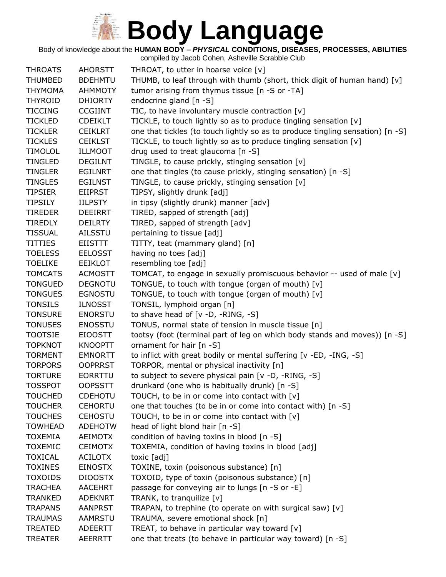Body of knowledge about the **HUMAN BODY –** *PHYSICAL* **CONDITIONS, DISEASES, PROCESSES, ABILITIES**

| <b>THROATS</b> | <b>AHORSTT</b> | THROAT, to utter in hoarse voice $[v]$                                         |
|----------------|----------------|--------------------------------------------------------------------------------|
| <b>THUMBED</b> | <b>BDEHMTU</b> | THUMB, to leaf through with thumb (short, thick digit of human hand) [v]       |
| <b>THYMOMA</b> | <b>AHMMOTY</b> | tumor arising from thymus tissue [n -S or -TA]                                 |
| <b>THYROID</b> | <b>DHIORTY</b> | endocrine gland [n -S]                                                         |
| <b>TICCING</b> | <b>CCGIINT</b> | TIC, to have involuntary muscle contraction [v]                                |
| <b>TICKLED</b> | <b>CDEIKLT</b> | TICKLE, to touch lightly so as to produce tingling sensation [v]               |
| <b>TICKLER</b> | <b>CEIKLRT</b> | one that tickles (to touch lightly so as to produce tingling sensation) [n -S] |
| <b>TICKLES</b> | <b>CEIKLST</b> | TICKLE, to touch lightly so as to produce tingling sensation [v]               |
| <b>TIMOLOL</b> | <b>ILLMOOT</b> | drug used to treat glaucoma [n -S]                                             |
| <b>TINGLED</b> | <b>DEGILNT</b> | TINGLE, to cause prickly, stinging sensation [v]                               |
| <b>TINGLER</b> | <b>EGILNRT</b> | one that tingles (to cause prickly, stinging sensation) [n -S]                 |
| <b>TINGLES</b> | <b>EGILNST</b> | TINGLE, to cause prickly, stinging sensation [v]                               |
| <b>TIPSIER</b> | <b>EIIPRST</b> | TIPSY, slightly drunk [adj]                                                    |
| <b>TIPSILY</b> | <b>IILPSTY</b> | in tipsy (slightly drunk) manner [adv]                                         |
| <b>TIREDER</b> | <b>DEEIRRT</b> | TIRED, sapped of strength [adj]                                                |
| <b>TIREDLY</b> | <b>DEILRTY</b> | TIRED, sapped of strength [adv]                                                |
| <b>TISSUAL</b> | AILSSTU        | pertaining to tissue [adj]                                                     |
| <b>TITTIES</b> | <b>EIISTTT</b> | TITTY, teat (mammary gland) [n]                                                |
| <b>TOELESS</b> | <b>EELOSST</b> | having no toes [adj]                                                           |
| <b>TOELIKE</b> | <b>EEIKLOT</b> | resembling toe [adj]                                                           |
| <b>TOMCATS</b> | <b>ACMOSTT</b> | TOMCAT, to engage in sexually promiscuous behavior -- used of male [v]         |
| <b>TONGUED</b> | <b>DEGNOTU</b> | TONGUE, to touch with tongue (organ of mouth) [v]                              |
| <b>TONGUES</b> | <b>EGNOSTU</b> | TONGUE, to touch with tongue (organ of mouth) [v]                              |
| <b>TONSILS</b> | <b>ILNOSST</b> | TONSIL, lymphoid organ [n]                                                     |
| <b>TONSURE</b> | <b>ENORSTU</b> | to shave head of $[v -D, -RING, -S]$                                           |
| <b>TONUSES</b> | <b>ENOSSTU</b> | TONUS, normal state of tension in muscle tissue [n]                            |
| <b>TOOTSIE</b> | <b>EIOOSTT</b> | tootsy (foot (terminal part of leg on which body stands and moves)) [n -S]     |
| <b>TOPKNOT</b> | <b>KNOOPTT</b> | ornament for hair [n -S]                                                       |
| <b>TORMENT</b> | <b>EMNORTT</b> | to inflict with great bodily or mental suffering [v -ED, -ING, -S]             |
| <b>TORPORS</b> | <b>OOPRRST</b> | TORPOR, mental or physical inactivity [n]                                      |
| <b>TORTURE</b> | <b>EORRTTU</b> | to subject to severe physical pain [v -D, -RING, -S]                           |
| <b>TOSSPOT</b> | <b>OOPSSTT</b> | drunkard (one who is habitually drunk) [n -S]                                  |
| <b>TOUCHED</b> | <b>CDEHOTU</b> | TOUCH, to be in or come into contact with [v]                                  |
| <b>TOUCHER</b> | <b>CEHORTU</b> | one that touches (to be in or come into contact with) [n -S]                   |
| <b>TOUCHES</b> | <b>CEHOSTU</b> | TOUCH, to be in or come into contact with [v]                                  |
| <b>TOWHEAD</b> | <b>ADEHOTW</b> | head of light blond hair [n -S]                                                |
| <b>TOXEMIA</b> | <b>AEIMOTX</b> | condition of having toxins in blood [n -S]                                     |
| <b>TOXEMIC</b> | <b>CEIMOTX</b> | TOXEMIA, condition of having toxins in blood [adj]                             |
| <b>TOXICAL</b> | <b>ACILOTX</b> | toxic [adj]                                                                    |
| <b>TOXINES</b> | <b>EINOSTX</b> | TOXINE, toxin (poisonous substance) [n]                                        |
| <b>TOXOIDS</b> | <b>DIOOSTX</b> | TOXOID, type of toxin (poisonous substance) [n]                                |
| <b>TRACHEA</b> | <b>AACEHRT</b> | passage for conveying air to lungs [n -S or -E]                                |
| <b>TRANKED</b> | <b>ADEKNRT</b> | TRANK, to tranquilize [v]                                                      |
| <b>TRAPANS</b> | <b>AANPRST</b> | TRAPAN, to trephine (to operate on with surgical saw) [v]                      |
| <b>TRAUMAS</b> | AAMRSTU        | TRAUMA, severe emotional shock [n]                                             |
| <b>TREATED</b> | <b>ADEERTT</b> | TREAT, to behave in particular way toward [v]                                  |
| <b>TREATER</b> | <b>AEERRTT</b> | one that treats (to behave in particular way toward) [n -S]                    |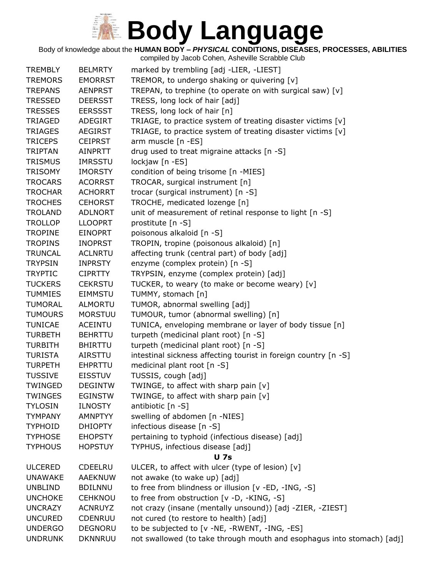Body of knowledge about the **HUMAN BODY –** *PHYSICAL* **CONDITIONS, DISEASES, PROCESSES, ABILITIES**

| <b>TREMBLY</b> | <b>BELMRTY</b> | marked by trembling [adj -LIER, -LIEST]                                |
|----------------|----------------|------------------------------------------------------------------------|
| <b>TREMORS</b> | <b>EMORRST</b> | TREMOR, to undergo shaking or quivering [v]                            |
| <b>TREPANS</b> | <b>AENPRST</b> | TREPAN, to trephine (to operate on with surgical saw) [v]              |
| <b>TRESSED</b> | <b>DEERSST</b> | TRESS, long lock of hair [adj]                                         |
| <b>TRESSES</b> | <b>EERSSST</b> | TRESS, long lock of hair [n]                                           |
| <b>TRIAGED</b> | ADEGIRT        | TRIAGE, to practice system of treating disaster victims [v]            |
| <b>TRIAGES</b> | <b>AEGIRST</b> | TRIAGE, to practice system of treating disaster victims [v]            |
| <b>TRICEPS</b> | <b>CEIPRST</b> | arm muscle [n -ES]                                                     |
| <b>TRIPTAN</b> | <b>AINPRTT</b> | drug used to treat migraine attacks [n -S]                             |
| <b>TRISMUS</b> | <b>IMRSSTU</b> | lockjaw [n -ES]                                                        |
| <b>TRISOMY</b> | <b>IMORSTY</b> | condition of being trisome [n -MIES]                                   |
| <b>TROCARS</b> | <b>ACORRST</b> | TROCAR, surgical instrument [n]                                        |
| <b>TROCHAR</b> | <b>ACHORRT</b> | trocar (surgical instrument) [n -S]                                    |
| <b>TROCHES</b> | <b>CEHORST</b> | TROCHE, medicated lozenge [n]                                          |
| <b>TROLAND</b> | <b>ADLNORT</b> | unit of measurement of retinal response to light [n -S]                |
| <b>TROLLOP</b> | <b>LLOOPRT</b> | prostitute [n -S]                                                      |
| <b>TROPINE</b> | <b>EINOPRT</b> | poisonous alkaloid [n -S]                                              |
| <b>TROPINS</b> | <b>INOPRST</b> | TROPIN, tropine (poisonous alkaloid) [n]                               |
| <b>TRUNCAL</b> | <b>ACLNRTU</b> | affecting trunk (central part) of body [adj]                           |
| <b>TRYPSIN</b> | <b>INPRSTY</b> | enzyme (complex protein) [n -S]                                        |
| <b>TRYPTIC</b> | <b>CIPRTTY</b> | TRYPSIN, enzyme (complex protein) [adj]                                |
| <b>TUCKERS</b> | <b>CEKRSTU</b> | TUCKER, to weary (to make or become weary) [v]                         |
| <b>TUMMIES</b> | <b>EIMMSTU</b> | TUMMY, stomach [n]                                                     |
| <b>TUMORAL</b> | <b>ALMORTU</b> | TUMOR, abnormal swelling [adj]                                         |
| <b>TUMOURS</b> | <b>MORSTUU</b> | TUMOUR, tumor (abnormal swelling) [n]                                  |
| <b>TUNICAE</b> | <b>ACEINTU</b> | TUNICA, enveloping membrane or layer of body tissue [n]                |
| <b>TURBETH</b> | <b>BEHRTTU</b> | turpeth (medicinal plant root) [n -S]                                  |
| <b>TURBITH</b> | <b>BHIRTTU</b> | turpeth (medicinal plant root) [n -S]                                  |
| <b>TURISTA</b> | AIRSTTU        | intestinal sickness affecting tourist in foreign country [n -S]        |
| <b>TURPETH</b> | <b>EHPRTTU</b> | medicinal plant root [n -S]                                            |
| <b>TUSSIVE</b> | <b>EISSTUV</b> | TUSSIS, cough [adj]                                                    |
| TWINGED        | <b>DEGINTW</b> | TWINGE, to affect with sharp pain [v]                                  |
| <b>TWINGES</b> | <b>EGINSTW</b> | TWINGE, to affect with sharp pain $[v]$                                |
| <b>TYLOSIN</b> | <b>ILNOSTY</b> | antibiotic [n -S]                                                      |
| <b>TYMPANY</b> | <b>AMNPTYY</b> | swelling of abdomen [n -NIES]                                          |
| <b>TYPHOID</b> | <b>DHIOPTY</b> | infectious disease [n -S]                                              |
| <b>TYPHOSE</b> | <b>EHOPSTY</b> | pertaining to typhoid (infectious disease) [adj]                       |
| <b>TYPHOUS</b> | <b>HOPSTUY</b> | TYPHUS, infectious disease [adj]                                       |
|                |                | <b>U</b> 7s                                                            |
| <b>ULCERED</b> | <b>CDEELRU</b> | ULCER, to affect with ulcer (type of lesion) [v]                       |
| <b>UNAWAKE</b> | <b>AAEKNUW</b> | not awake (to wake up) [adj]                                           |
| <b>UNBLIND</b> | <b>BDILNNU</b> | to free from blindness or illusion [v -ED, -ING, -S]                   |
| <b>UNCHOKE</b> | <b>CEHKNOU</b> | to free from obstruction [v -D, -KING, -S]                             |
| <b>UNCRAZY</b> | <b>ACNRUYZ</b> | not crazy (insane (mentally unsound)) [adj -ZIER, -ZIEST]              |
| <b>UNCURED</b> | CDENRUU        | not cured (to restore to health) [adj]                                 |
| <b>UNDERGO</b> | <b>DEGNORU</b> | to be subjected to [v -NE, -RWENT, -ING, -ES]                          |
| <b>UNDRUNK</b> | <b>DKNNRUU</b> | not swallowed (to take through mouth and esophagus into stomach) [adj] |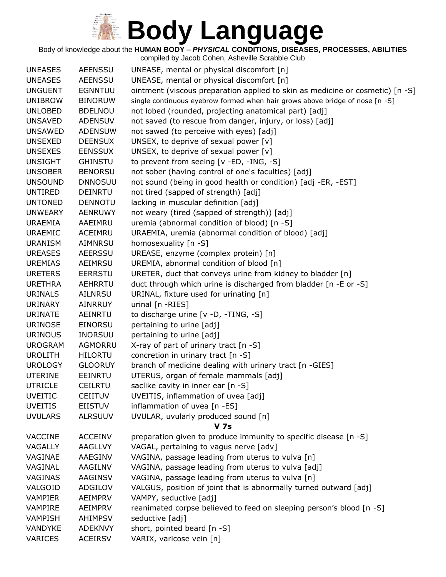Body of knowledge about the **HUMAN BODY –** *PHYSICAL* **CONDITIONS, DISEASES, PROCESSES, ABILITIES**

| <b>UNEASES</b> | <b>AEENSSU</b> | UNEASE, mental or physical discomfort [n]                                     |
|----------------|----------------|-------------------------------------------------------------------------------|
| <b>UNEASES</b> | <b>AEENSSU</b> | UNEASE, mental or physical discomfort [n]                                     |
| <b>UNGUENT</b> | <b>EGNNTUU</b> | ointment (viscous preparation applied to skin as medicine or cosmetic) [n -S] |
| <b>UNIBROW</b> | <b>BINORUW</b> | single continuous eyebrow formed when hair grows above bridge of nose [n -S]  |
| <b>UNLOBED</b> | <b>BDELNOU</b> | not lobed (rounded, projecting anatomical part) [adj]                         |
| <b>UNSAVED</b> | <b>ADENSUV</b> | not saved (to rescue from danger, injury, or loss) [adj]                      |
| <b>UNSAWED</b> | <b>ADENSUW</b> | not sawed (to perceive with eyes) [adj]                                       |
| <b>UNSEXED</b> | <b>DEENSUX</b> | UNSEX, to deprive of sexual power $[v]$                                       |
| <b>UNSEXES</b> | <b>EENSSUX</b> | UNSEX, to deprive of sexual power [v]                                         |
| <b>UNSIGHT</b> | <b>GHINSTU</b> | to prevent from seeing [v -ED, -ING, -S]                                      |
| <b>UNSOBER</b> | <b>BENORSU</b> | not sober (having control of one's faculties) [adj]                           |
| <b>UNSOUND</b> | <b>DNNOSUU</b> | not sound (being in good health or condition) [adj -ER, -EST]                 |
| <b>UNTIRED</b> | <b>DEINRTU</b> | not tired (sapped of strength) [adj]                                          |
| <b>UNTONED</b> | <b>DENNOTU</b> | lacking in muscular definition [adj]                                          |
| <b>UNWEARY</b> | <b>AENRUWY</b> | not weary (tired (sapped of strength)) [adj]                                  |
| <b>URAEMIA</b> | AAEIMRU        | uremia (abnormal condition of blood) [n -S]                                   |
| <b>URAEMIC</b> | ACEIMRU        | URAEMIA, uremia (abnormal condition of blood) [adj]                           |
| <b>URANISM</b> | <b>AIMNRSU</b> | homosexuality [n -S]                                                          |
| <b>UREASES</b> | <b>AEERSSU</b> | UREASE, enzyme (complex protein) [n]                                          |
| <b>UREMIAS</b> | AEIMRSU        | UREMIA, abnormal condition of blood [n]                                       |
| <b>URETERS</b> | <b>EERRSTU</b> | URETER, duct that conveys urine from kidney to bladder [n]                    |
| <b>URETHRA</b> | AEHRRTU        | duct through which urine is discharged from bladder [n -E or -S]              |
| <b>URINALS</b> | <b>AILNRSU</b> | URINAL, fixture used for urinating [n]                                        |
| URINARY        | <b>AINRRUY</b> | urinal [n -RIES]                                                              |
| <b>URINATE</b> | AEINRTU        | to discharge urine [v -D, -TING, -S]                                          |
| <b>URINOSE</b> | <b>EINORSU</b> | pertaining to urine [adj]                                                     |
| <b>URINOUS</b> | <b>INORSUU</b> | pertaining to urine [adj]                                                     |
| <b>UROGRAM</b> | AGMORRU        | X-ray of part of urinary tract [n -S]                                         |
| <b>UROLITH</b> | <b>HILORTU</b> | concretion in urinary tract [n -S]                                            |
| <b>UROLOGY</b> | <b>GLOORUY</b> | branch of medicine dealing with urinary tract [n -GIES]                       |
| <b>UTERINE</b> | <b>EEINRTU</b> | UTERUS, organ of female mammals [adj]                                         |
| <b>UTRICLE</b> | <b>CEILRTU</b> | saclike cavity in inner ear [n -S]                                            |
| <b>UVEITIC</b> | <b>CEIITUV</b> | UVEITIS, inflammation of uvea [adj]                                           |
| <b>UVEITIS</b> | <b>EIISTUV</b> | inflammation of uvea [n -ES]                                                  |
| <b>UVULARS</b> | <b>ALRSUUV</b> | UVULAR, uvularly produced sound [n]                                           |
|                |                | <b>V</b> 7s                                                                   |
| <b>VACCINE</b> | <b>ACCEINV</b> | preparation given to produce immunity to specific disease [n -S]              |
| VAGALLY        | <b>AAGLLVY</b> | VAGAL, pertaining to vagus nerve [adv]                                        |
| VAGINAE        | AAEGINV        | VAGINA, passage leading from uterus to vulva [n]                              |
| VAGINAL        | AAGILNV        | VAGINA, passage leading from uterus to vulva [adj]                            |
| VAGINAS        | AAGINSV        | VAGINA, passage leading from uterus to vulva [n]                              |
| VALGOID        | ADGILOV        | VALGUS, position of joint that is abnormally turned outward [adj]             |
| <b>VAMPIER</b> | AEIMPRV        | VAMPY, seductive [adj]                                                        |
| VAMPIRE        | AEIMPRV        | reanimated corpse believed to feed on sleeping person's blood [n -S]          |
| <b>VAMPISH</b> | <b>AHIMPSV</b> | seductive [adj]                                                               |
| VANDYKE        | <b>ADEKNVY</b> | short, pointed beard [n -S]                                                   |
| <b>VARICES</b> | <b>ACEIRSV</b> | VARIX, varicose vein [n]                                                      |
|                |                |                                                                               |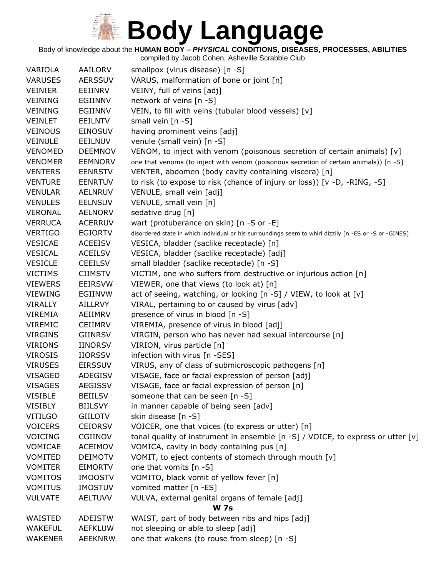#### Body of knowledge about the **HUMAN BODY –** *PHYSICAL* **CONDITIONS, DISEASES, PROCESSES, ABILITIES**

| VARIOLA        | AAILORV        | smallpox (virus disease) [n -S]                                                                        |
|----------------|----------------|--------------------------------------------------------------------------------------------------------|
| <b>VARUSES</b> | <b>AERSSUV</b> | VARUS, malformation of bone or joint [n]                                                               |
| <b>VEINIER</b> | EEIINRV        | VEINY, full of veins [adj]                                                                             |
| <b>VEINING</b> | EGIINNV        | network of veins [n -S]                                                                                |
| <b>VEINING</b> | EGIINNV        | VEIN, to fill with veins (tubular blood vessels) [v]                                                   |
| <b>VEINLET</b> | <b>EEILNTV</b> | small vein $[n -S]$                                                                                    |
| <b>VEINOUS</b> | <b>EINOSUV</b> | having prominent veins [adj]                                                                           |
| <b>VEINULE</b> | EEILNUV        | venule (small vein) [n -S]                                                                             |
| <b>VENOMED</b> | <b>DEEMNOV</b> | VENOM, to inject with venom (poisonous secretion of certain animals) $[v]$                             |
| <b>VENOMER</b> | <b>EEMNORV</b> | one that venoms (to inject with venom (poisonous secretion of certain animals)) [n -S]                 |
| <b>VENTERS</b> | <b>EENRSTV</b> | VENTER, abdomen (body cavity containing viscera) [n]                                                   |
| <b>VENTURE</b> | <b>EENRTUV</b> | to risk (to expose to risk (chance of injury or loss)) [v -D, -RING, -S]                               |
| <b>VENULAR</b> | <b>AELNRUV</b> | VENULE, small vein [adj]                                                                               |
| <b>VENULES</b> | <b>EELNSUV</b> | VENULE, small vein [n]                                                                                 |
| VERONAL        | <b>AELNORV</b> | sedative drug [n]                                                                                      |
| <b>VERRUCA</b> | <b>ACERRUV</b> | wart (protuberance on skin) [n -S or -E]                                                               |
| <b>VERTIGO</b> | <b>EGIORTV</b> | disordered state in which individual or his surroundings seem to whirl dizzily [n -ES or -S or -GINES] |
| <b>VESICAE</b> | <b>ACEEISV</b> | VESICA, bladder (saclike receptacle) [n]                                                               |
| <b>VESICAL</b> | <b>ACEILSV</b> | VESICA, bladder (saclike receptacle) [adj]                                                             |
| <b>VESICLE</b> | <b>CEEILSV</b> | small bladder (saclike receptacle) [n -S]                                                              |
| <b>VICTIMS</b> | <b>CIIMSTV</b> | VICTIM, one who suffers from destructive or injurious action [n]                                       |
| <b>VIEWERS</b> | <b>EEIRSVW</b> | VIEWER, one that views (to look at) [n]                                                                |
| <b>VIEWING</b> | EGIINVW        | act of seeing, watching, or looking [n -S] / VIEW, to look at [v]                                      |
| <b>VIRALLY</b> | AILLRVY        | VIRAL, pertaining to or caused by virus [adv]                                                          |
| VIREMIA        | AEIIMRV        | presence of virus in blood [n -S]                                                                      |
| VIREMIC        | <b>CEIIMRV</b> | VIREMIA, presence of virus in blood [adj]                                                              |
| <b>VIRGINS</b> | <b>GIINRSV</b> | VIRGIN, person who has never had sexual intercourse [n]                                                |
| <b>VIRIONS</b> | <b>IINORSV</b> | VIRION, virus particle [n]                                                                             |
| <b>VIROSIS</b> | <b>IIORSSV</b> | infection with virus [n -SES]                                                                          |
| <b>VIRUSES</b> | <b>EIRSSUV</b> | VIRUS, any of class of submicroscopic pathogens [n]                                                    |
| <b>VISAGED</b> | ADEGISV        | VISAGE, face or facial expression of person [adj]                                                      |
| <b>VISAGES</b> | <b>AEGISSV</b> | VISAGE, face or facial expression of person [n]                                                        |
| <b>VISIBLE</b> | <b>BEIILSV</b> | someone that can be seen [n -S]                                                                        |
| <b>VISIBLY</b> | <b>BIILSVY</b> | in manner capable of being seen [adv]                                                                  |
| <b>VITILGO</b> | <b>GIILOTV</b> | skin disease [n -S]                                                                                    |
| <b>VOICERS</b> | <b>CEIORSV</b> | VOICER, one that voices (to express or utter) [n]                                                      |
| <b>VOICING</b> | <b>CGIINOV</b> | tonal quality of instrument in ensemble [n -S] / VOICE, to express or utter [v]                        |
| VOMICAE        | <b>ACEIMOV</b> | VOMICA, cavity in body containing pus [n]                                                              |
| <b>VOMITED</b> | <b>DEIMOTV</b> | VOMIT, to eject contents of stomach through mouth [v]                                                  |
| <b>VOMITER</b> | <b>EIMORTV</b> | one that vomits [n -S]                                                                                 |
| <b>VOMITOS</b> | <b>IMOOSTV</b> | VOMITO, black vomit of yellow fever [n]                                                                |
| <b>VOMITUS</b> | <b>IMOSTUV</b> | vomited matter [n -ES]                                                                                 |
| <b>VULVATE</b> | <b>AELTUVV</b> | VULVA, external genital organs of female [adj]                                                         |
|                |                | <b>W 7s</b>                                                                                            |
| WAISTED        | <b>ADEISTW</b> | WAIST, part of body between ribs and hips [adj]                                                        |
| <b>WAKEFUL</b> | <b>AEFKLUW</b> | not sleeping or able to sleep [adj]                                                                    |
| WAKENER        | <b>AEEKNRW</b> | one that wakens (to rouse from sleep) [n -S]                                                           |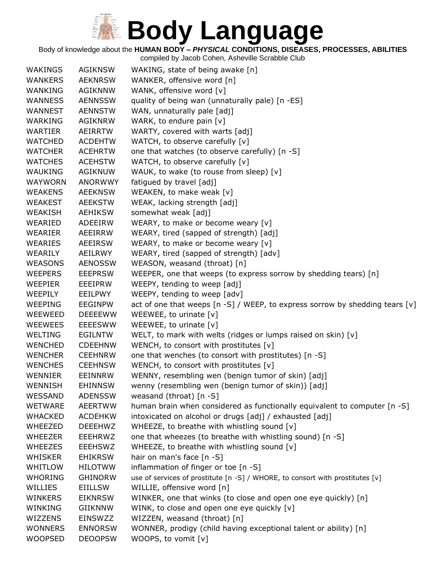Body of knowledge about the **HUMAN BODY –** *PHYSICAL* **CONDITIONS, DISEASES, PROCESSES, ABILITIES**

| <b>WAKINGS</b> | <b>AGIKNSW</b> | WAKING, state of being awake [n]                                                 |
|----------------|----------------|----------------------------------------------------------------------------------|
| <b>WANKERS</b> | <b>AEKNRSW</b> | WANKER, offensive word [n]                                                       |
| WANKING        | <b>AGIKNNW</b> | WANK, offensive word [v]                                                         |
| <b>WANNESS</b> | <b>AENNSSW</b> | quality of being wan (unnaturally pale) [n -ES]                                  |
| WANNEST        | <b>AENNSTW</b> | WAN, unnaturally pale [adj]                                                      |
| WARKING        | <b>AGIKNRW</b> | WARK, to endure pain [v]                                                         |
| <b>WARTIER</b> | <b>AEIRRTW</b> | WARTY, covered with warts [adj]                                                  |
| <b>WATCHED</b> | <b>ACDEHTW</b> | WATCH, to observe carefully [v]                                                  |
| <b>WATCHER</b> | <b>ACEHRTW</b> | one that watches (to observe carefully) [n -S]                                   |
| <b>WATCHES</b> | <b>ACEHSTW</b> | WATCH, to observe carefully [v]                                                  |
| <b>WAUKING</b> | <b>AGIKNUW</b> | WAUK, to wake (to rouse from sleep) [v]                                          |
| <b>WAYWORN</b> | <b>ANORWWY</b> | fatigued by travel [adj]                                                         |
| <b>WEAKENS</b> | <b>AEEKNSW</b> | WEAKEN, to make weak [v]                                                         |
| <b>WEAKEST</b> | <b>AEEKSTW</b> | WEAK, lacking strength [adj]                                                     |
| WEAKISH        | <b>AEHIKSW</b> | somewhat weak [adj]                                                              |
| WEARIED        | ADEEIRW        | WEARY, to make or become weary [v]                                               |
| WEARIER        | <b>AEEIRRW</b> | WEARY, tired (sapped of strength) [adj]                                          |
| WEARIES        | <b>AEEIRSW</b> | WEARY, to make or become weary [v]                                               |
| WEARILY        | AEILRWY        | WEARY, tired (sapped of strength) [adv]                                          |
| <b>WEASONS</b> | <b>AENOSSW</b> | WEASON, weasand (throat) [n]                                                     |
| <b>WEEPERS</b> | <b>EEEPRSW</b> | WEEPER, one that weeps (to express sorrow by shedding tears) [n]                 |
| WEEPIER        | EEEIPRW        | WEEPY, tending to weep [adj]                                                     |
| WEEPILY        | EEILPWY        | WEEPY, tending to weep [adv]                                                     |
| WEEPING        | <b>EEGINPW</b> | act of one that weeps $[n -S]$ / WEEP, to express sorrow by shedding tears $[v]$ |
| WEEWEED        | <b>DEEEEWW</b> | WEEWEE, to urinate $[v]$                                                         |
| <b>WEEWEES</b> | <b>EEEESWW</b> | WEEWEE, to urinate [v]                                                           |
| WELTING        | <b>EGILNTW</b> | WELT, to mark with welts (ridges or lumps raised on skin) [v]                    |
| <b>WENCHED</b> | <b>CDEEHNW</b> | WENCH, to consort with prostitutes $[v]$                                         |
| <b>WENCHER</b> | <b>CEEHNRW</b> | one that wenches (to consort with prostitutes) [n -S]                            |
| <b>WENCHES</b> | <b>CEEHNSW</b> | WENCH, to consort with prostitutes $[v]$                                         |
| WENNIER        | EEINNRW        | WENNY, resembling wen (benign tumor of skin) [adj]                               |
| <b>WENNISH</b> | <b>EHINNSW</b> | wenny (resembling wen (benign tumor of skin)) [adj]                              |
| WESSAND        | <b>ADENSSW</b> | weasand (throat) $[n - S]$                                                       |
| <b>WETWARE</b> | <b>AEERTWW</b> | human brain when considered as functionally equivalent to computer [n -S]        |
| <b>WHACKED</b> | <b>ACDEHKW</b> | intoxicated on alcohol or drugs [adj] / exhausted [adj]                          |
| WHEEZED        | <b>DEEEHWZ</b> | WHEEZE, to breathe with whistling sound [v]                                      |
| <b>WHEEZER</b> | <b>EEEHRWZ</b> | one that wheezes (to breathe with whistling sound) [n -S]                        |
| <b>WHEEZES</b> | <b>EEEHSWZ</b> | WHEEZE, to breathe with whistling sound [v]                                      |
| <b>WHISKER</b> | <b>EHIKRSW</b> | hair on man's face [n -S]                                                        |
| <b>WHITLOW</b> | <b>HILOTWW</b> | inflammation of finger or toe [n -S]                                             |
| <b>WHORING</b> | <b>GHINORW</b> | use of services of prostitute [n -S] / WHORE, to consort with prostitutes [v]    |
| WILLIES        | EIILLSW        | WILLIE, offensive word [n]                                                       |
| WINKERS        | <b>EIKNRSW</b> | WINKER, one that winks (to close and open one eye quickly) [n]                   |
| WINKING        | <b>GIIKNNW</b> | WINK, to close and open one eye quickly [v]                                      |
| WIZZENS        | <b>EINSWZZ</b> | WIZZEN, weasand (throat) [n]                                                     |
| <b>WONNERS</b> | <b>ENNORSW</b> | WONNER, prodigy (child having exceptional talent or ability) [n]                 |
| <b>WOOPSED</b> | <b>DEOOPSW</b> | WOOPS, to vomit [v]                                                              |